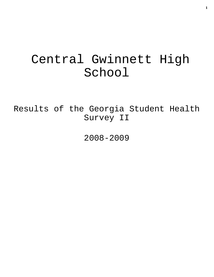# Central Gwinnett High School

Results of the Georgia Student Health Survey II

2008-2009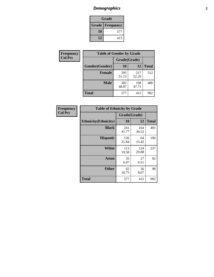# *Demographics* **2**

| Grade                    |     |  |  |  |
|--------------------------|-----|--|--|--|
| <b>Grade   Frequency</b> |     |  |  |  |
| 10                       | 577 |  |  |  |
| 12                       | 415 |  |  |  |

| Frequency      | <b>Table of Gender by Grade</b> |              |              |              |  |  |
|----------------|---------------------------------|--------------|--------------|--------------|--|--|
| <b>Col Pct</b> |                                 | Grade(Grade) |              |              |  |  |
|                | Gender(Gender)                  | 10           | 12           | <b>Total</b> |  |  |
|                | <b>Female</b>                   | 295<br>51.13 | 217<br>52.29 | 512          |  |  |
|                | <b>Male</b>                     | 282<br>48.87 | 198<br>47.71 | 480          |  |  |
|                | <b>Total</b>                    | 577          | 415          | 992          |  |  |

| <b>Frequency</b><br>Col Pct |
|-----------------------------|

| <b>Table of Ethnicity by Grade</b> |              |              |              |  |  |  |
|------------------------------------|--------------|--------------|--------------|--|--|--|
|                                    | Grade(Grade) |              |              |  |  |  |
| <b>Ethnicity</b> (Ethnicity)       | 10           | 12           | <b>Total</b> |  |  |  |
| <b>Black</b>                       | 241<br>41.77 | 164<br>39.52 | 405          |  |  |  |
| <b>Hispanic</b>                    | 126<br>21.84 | 64<br>15.42  | 190          |  |  |  |
| <b>White</b>                       | 113<br>19.58 | 124<br>29.88 | 237          |  |  |  |
| <b>Asian</b>                       | 35<br>6.07   | 27<br>6.51   | 62           |  |  |  |
| <b>Other</b>                       | 62<br>10.75  | 36<br>8.67   | 98           |  |  |  |
| Total                              | 577          | 415          | 992          |  |  |  |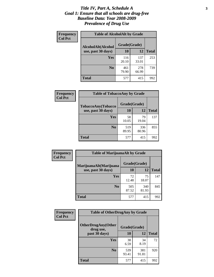#### *Title IV, Part A, Schedule A* **3** *Goal 1: Ensure that all schools are drug-free Baseline Data: Year 2008-2009 Prevalence of Drug Use*

| Frequency<br><b>Col Pct</b> | <b>Table of AlcoholAlt by Grade</b> |              |              |              |  |  |
|-----------------------------|-------------------------------------|--------------|--------------|--------------|--|--|
|                             | AlcoholAlt(Alcohol                  | Grade(Grade) |              |              |  |  |
|                             | use, past 30 days)                  | 10           | 12           | <b>Total</b> |  |  |
|                             | Yes                                 | 116<br>20.10 | 137<br>33.01 | 253          |  |  |
|                             | N <sub>0</sub>                      | 461<br>79.90 | 278<br>66.99 | 739          |  |  |
|                             | <b>Total</b>                        | 577          | 415          | 992          |  |  |

| Frequency<br><b>Col Pct</b> | <b>Table of TobaccoAny by Grade</b> |              |              |              |  |
|-----------------------------|-------------------------------------|--------------|--------------|--------------|--|
|                             | TobaccoAny(Tobacco                  | Grade(Grade) |              |              |  |
|                             | use, past 30 days)                  | 10           | 12           | <b>Total</b> |  |
|                             | Yes                                 | 58<br>10.05  | 79<br>19.04  | 137          |  |
|                             | N <sub>0</sub>                      | 519<br>89.95 | 336<br>80.96 | 855          |  |
|                             | Total                               | 577          | 415          | 992          |  |

| Frequency<br><b>Col Pct</b> | <b>Table of MarijuanaAlt by Grade</b> |              |              |              |  |
|-----------------------------|---------------------------------------|--------------|--------------|--------------|--|
|                             | MarijuanaAlt(Marijuana                | Grade(Grade) |              |              |  |
|                             | use, past 30 days)                    | <b>10</b>    | <b>12</b>    | <b>Total</b> |  |
|                             | <b>Yes</b>                            | 72<br>12.48  | 75<br>18.07  | 147          |  |
|                             | N <sub>0</sub>                        | 505<br>87.52 | 340<br>81.93 | 845          |  |
|                             | <b>Total</b>                          | 577          | 415          | 992          |  |

| <b>Frequency</b> | <b>Table of OtherDrugAny by Grade</b>  |              |              |              |  |
|------------------|----------------------------------------|--------------|--------------|--------------|--|
| <b>Col Pct</b>   | <b>OtherDrugAny(Other</b><br>drug use, | Grade(Grade) |              |              |  |
|                  | past 30 days)                          | 10           | 12           | <b>Total</b> |  |
|                  | Yes                                    | 38<br>6.59   | 34<br>8.19   | 72           |  |
|                  | N <sub>0</sub>                         | 539<br>93.41 | 381<br>91.81 | 920          |  |
|                  | <b>Total</b>                           | 577          | 415          | 992          |  |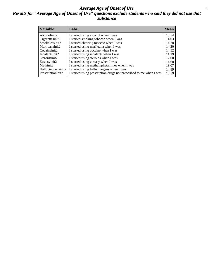#### *Average Age of Onset of Use* **4** *Results for "Average Age of Onset of Use" questions exclude students who said they did not use that substance*

| <b>Variable</b>    | Label                                                              | <b>Mean</b> |
|--------------------|--------------------------------------------------------------------|-------------|
| Alcoholinit2       | I started using alcohol when I was                                 | 13.54       |
| Cigarettesinit2    | I started smoking tobacco when I was                               | 14.03       |
| Smokelessinit2     | I started chewing tobacco when I was                               | 14.28       |
| Marijuanainit2     | I started using marijuana when I was                               | 14.20       |
| Cocaineinit2       | I started using cocaine when I was                                 | 14.52       |
| Inhalantsinit2     | I started using inhalants when I was                               | 11.29       |
| Steroidsinit2      | I started using steroids when I was                                | 12.00       |
| Ecstasyinit2       | I started using ecstasy when I was                                 | 14.68       |
| Methinit2          | I started using methamphetamines when I was                        | 13.07       |
| Hallucinogensinit2 | I started using hallucinogens when I was                           | 14.89       |
| Prescriptioninit2  | I started using prescription drugs not prescribed to me when I was | 13.59       |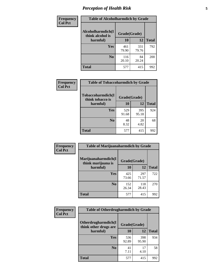# *Perception of Health Risk* **5**

| Frequency      | <b>Table of Alcoholharmdich by Grade</b> |              |              |              |  |
|----------------|------------------------------------------|--------------|--------------|--------------|--|
| <b>Col Pct</b> | Alcoholharmdich(I<br>think alcohol is    | Grade(Grade) |              |              |  |
|                | harmful)                                 | 10           | 12           | <b>Total</b> |  |
|                | Yes                                      | 461<br>79.90 | 331<br>79.76 | 792          |  |
|                | N <sub>0</sub>                           | 116<br>20.10 | 84<br>20.24  | 200          |  |
|                | <b>Total</b>                             | 577          | 415          | 992          |  |

| Frequency      | <b>Table of Tobaccoharmdich by Grade</b> |              |              |              |
|----------------|------------------------------------------|--------------|--------------|--------------|
| <b>Col Pct</b> | Tobaccoharmdich(I<br>think tobacco is    | Grade(Grade) |              |              |
|                | harmful)                                 | 10           | 12           | <b>Total</b> |
|                | Yes                                      | 529<br>91.68 | 395<br>95.18 | 924          |
|                | N <sub>0</sub>                           | 48<br>8.32   | 20<br>4.82   | 68           |
|                | Total                                    | 577          | 415          | 992          |

| <b>Frequency</b> | <b>Table of Marijuanaharmdich by Grade</b> |              |              |              |  |  |
|------------------|--------------------------------------------|--------------|--------------|--------------|--|--|
| <b>Col Pct</b>   | Marijuanaharmdich(I<br>think marijuana is  | Grade(Grade) |              |              |  |  |
|                  | harmful)                                   | 10           | 12           | <b>Total</b> |  |  |
|                  | Yes                                        | 425<br>73.66 | 297<br>71.57 | 722          |  |  |
|                  | N <sub>0</sub>                             | 152<br>26.34 | 118<br>28.43 | 270          |  |  |
|                  | <b>Total</b>                               | 577          | 415          | 992          |  |  |

| Frequency      | <b>Table of Otherdrugharmdich by Grade</b>                   |              |              |              |  |  |  |  |
|----------------|--------------------------------------------------------------|--------------|--------------|--------------|--|--|--|--|
| <b>Col Pct</b> | Otherdrugharmdich(I<br>Grade(Grade)<br>think other drugs are |              |              |              |  |  |  |  |
|                | harmful)                                                     | 10           | 12           | <b>Total</b> |  |  |  |  |
|                | Yes                                                          | 536<br>92.89 | 398<br>95.90 | 934          |  |  |  |  |
|                | N <sub>0</sub>                                               | 41<br>7.11   | 17<br>4.10   | 58           |  |  |  |  |
|                | <b>Total</b>                                                 | 577          | 415          | 992          |  |  |  |  |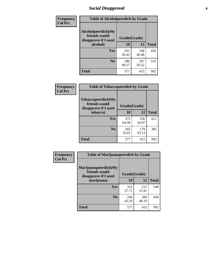# *Social Disapproval* **6**

| Frequency      | <b>Table of Alcoholpeerdich by Grade</b>                    |              |              |              |  |  |  |
|----------------|-------------------------------------------------------------|--------------|--------------|--------------|--|--|--|
| <b>Col Pct</b> | Alcoholpeerdich(My<br>friends would<br>disapprove if I used | Grade(Grade) |              |              |  |  |  |
|                | alcohol)                                                    | 10           | 12           | <b>Total</b> |  |  |  |
|                | <b>Yes</b>                                                  | 291<br>50.43 | 168<br>40.48 | 459          |  |  |  |
|                | N <sub>0</sub>                                              | 286<br>49.57 | 247<br>59.52 | 533          |  |  |  |
|                | <b>Total</b>                                                | 577          | 415          | 992          |  |  |  |

| <b>Frequency</b> |
|------------------|
| <b>Col Pct</b>   |

| <b>Table of Tobaccopeerdich by Grade</b>                    |              |              |              |  |  |  |  |
|-------------------------------------------------------------|--------------|--------------|--------------|--|--|--|--|
| Tobaccopeerdich(My<br>friends would<br>disapprove if I used |              | Grade(Grade) |              |  |  |  |  |
| tobacco)                                                    | 10           | 12           | <b>Total</b> |  |  |  |  |
| Yes                                                         | 375<br>64.99 | 236<br>56.87 | 611          |  |  |  |  |
| N <sub>0</sub>                                              | 202<br>35.01 | 179<br>43.13 | 381          |  |  |  |  |
| <b>Total</b>                                                | 577          | 415          | 992          |  |  |  |  |

| <b>Frequency</b> | <b>Table of Marijuanapeerdich by Grade</b>                    |              |              |              |  |  |  |  |
|------------------|---------------------------------------------------------------|--------------|--------------|--------------|--|--|--|--|
| <b>Col Pct</b>   | Marijuanapeerdich(My<br>friends would<br>disapprove if I used | Grade(Grade) |              |              |  |  |  |  |
|                  | marijuana)                                                    | 10           | 12           | <b>Total</b> |  |  |  |  |
|                  | <b>Yes</b>                                                    | 333<br>57.71 | 215<br>51.81 | 548          |  |  |  |  |
|                  | N <sub>0</sub>                                                | 244<br>42.29 | 200<br>48.19 | 444          |  |  |  |  |
|                  | <b>Total</b>                                                  | 577          | 415          | 992          |  |  |  |  |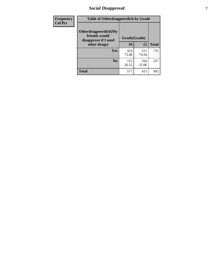# *Social Disapproval* **7**

| Frequency      | <b>Table of Otherdrugpeerdich by Grade</b>                    |              |              |              |  |  |  |  |
|----------------|---------------------------------------------------------------|--------------|--------------|--------------|--|--|--|--|
| <b>Col Pct</b> | Otherdrugpeerdich(My<br>friends would<br>disapprove if I used | Grade(Grade) |              |              |  |  |  |  |
|                | other drugs)                                                  | 10           | 12           | <b>Total</b> |  |  |  |  |
|                | Yes                                                           | 424<br>73.48 | 311<br>74.94 | 735          |  |  |  |  |
|                | N <sub>0</sub>                                                | 153<br>26.52 | 104<br>25.06 | 257          |  |  |  |  |
|                | <b>Total</b>                                                  | 577          | 415          | 992          |  |  |  |  |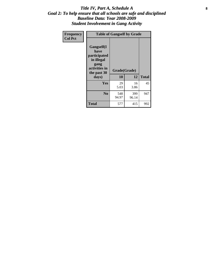#### Title IV, Part A, Schedule A **8** *Goal 2: To help ensure that all schools are safe and disciplined Baseline Data: Year 2008-2009 Student Involvement in Gang Activity*

| Frequency      | <b>Table of Gangself by Grade</b>                                                                 |                    |              |              |
|----------------|---------------------------------------------------------------------------------------------------|--------------------|--------------|--------------|
| <b>Col Pct</b> | Gangself(I<br>have<br>participated<br>in illegal<br>gang<br>activities in<br>the past 30<br>days) | Grade(Grade)<br>10 | 12           | <b>Total</b> |
|                | Yes                                                                                               | 29<br>5.03         | 16<br>3.86   | 45           |
|                | N <sub>0</sub>                                                                                    | 548<br>94.97       | 399<br>96.14 | 947          |
|                | <b>Total</b>                                                                                      | 577                | 415          | 992          |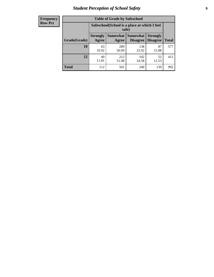# *Student Perception of School Safety* **9**

| <b>Frequency</b><br>Row Pct |
|-----------------------------|
|                             |

| <b>Table of Grade by Safeschool</b> |                                                                                                                                           |                                                        |              |             |     |  |  |  |
|-------------------------------------|-------------------------------------------------------------------------------------------------------------------------------------------|--------------------------------------------------------|--------------|-------------|-----|--|--|--|
|                                     |                                                                                                                                           | Safeschool (School is a place at which I feel<br>safe) |              |             |     |  |  |  |
| Grade(Grade)                        | <b>Somewhat</b><br><b>Somewhat</b><br><b>Strongly</b><br><b>Strongly</b><br><b>Disagree</b><br>Disagree<br><b>Total</b><br>Agree<br>Agree |                                                        |              |             |     |  |  |  |
| 10                                  | 63<br>10.92                                                                                                                               | 289<br>50.09                                           | 138<br>23.92 | 87<br>15.08 | 577 |  |  |  |
| 12                                  | 49<br>11.81                                                                                                                               | 212<br>51.08                                           | 102<br>24.58 | 52<br>12.53 | 415 |  |  |  |
| <b>Total</b>                        | 112                                                                                                                                       | 501                                                    | 240          | 139         | 992 |  |  |  |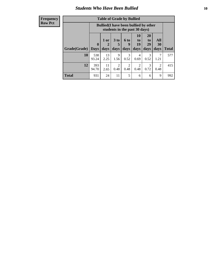#### *Students Who Have Been Bullied* **10**

| <b>Frequency</b> |
|------------------|
| Row Pct          |

| <b>Table of Grade by Bullied</b> |                             |                                                                               |                              |                          |                        |                               |                                                                                                                                                                         |       |
|----------------------------------|-----------------------------|-------------------------------------------------------------------------------|------------------------------|--------------------------|------------------------|-------------------------------|-------------------------------------------------------------------------------------------------------------------------------------------------------------------------|-------|
|                                  |                             | <b>Bullied</b> (I have been bullied by other<br>students in the past 30 days) |                              |                          |                        |                               |                                                                                                                                                                         |       |
| Grade(Grade)                     | $\mathbf{0}$<br><b>Days</b> | 1 or<br>2<br>days                                                             | 3 <sub>to</sub><br>5<br>days | <b>6 to</b><br>9<br>days | 10<br>to<br>19<br>days | <b>20</b><br>to<br>29<br>days | All<br>30<br>days                                                                                                                                                       | Total |
| 10                               | 538<br>93.24                | 13<br>2.25                                                                    | 9<br>1.56                    | 3<br>0.52                | 4<br>0.69              | 3<br>0.52                     | 1.21                                                                                                                                                                    | 577   |
| 12                               | 393<br>94.70                | 11<br>2.65                                                                    | 2<br>0.48                    | $\overline{2}$<br>0.48   | $\mathfrak{D}$<br>0.48 | 3<br>0.72                     | $\mathcal{D}_{\mathcal{A}}^{\mathcal{A}}(\mathcal{A})=\mathcal{D}_{\mathcal{A}}^{\mathcal{A}}(\mathcal{A})\mathcal{D}_{\mathcal{A}}^{\mathcal{A}}(\mathcal{A})$<br>0.48 | 415   |
| <b>Total</b>                     | 931                         | 24                                                                            | 11                           | 5                        | 6                      | 6                             | 9                                                                                                                                                                       | 992   |

 $\blacksquare$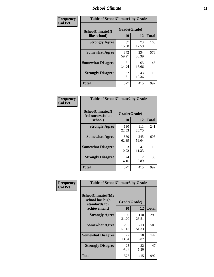### *School Climate* **11**

| Frequency      | <b>Table of SchoolClimate1 by Grade</b> |                    |              |              |  |  |  |
|----------------|-----------------------------------------|--------------------|--------------|--------------|--|--|--|
| <b>Col Pct</b> | SchoolClimate1(I<br>like school)        | Grade(Grade)<br>10 | 12           | <b>Total</b> |  |  |  |
|                | <b>Strongly Agree</b>                   | 87<br>15.08        | 73<br>17.59  | 160          |  |  |  |
|                | <b>Somewhat Agree</b>                   | 342<br>59.27       | 234<br>56.39 | 576          |  |  |  |
|                | <b>Somewhat Disagree</b>                | 81<br>14.04        | 65<br>15.66  | 146          |  |  |  |
|                | <b>Strongly Disagree</b>                | 67<br>11.61        | 43<br>10.36  | 110          |  |  |  |
|                | Total                                   | 577                | 415          | 992          |  |  |  |

| Frequency      | <b>Table of SchoolClimate2 by Grade</b>           |                    |              |              |
|----------------|---------------------------------------------------|--------------------|--------------|--------------|
| <b>Col Pct</b> | SchoolClimate2(I<br>feel successful at<br>school) | Grade(Grade)<br>10 | 12           | <b>Total</b> |
|                | <b>Strongly Agree</b>                             | 130<br>22.53       | 111<br>26.75 | 241          |
|                | <b>Somewhat Agree</b>                             | 360<br>62.39       | 245<br>59.04 | 605          |
|                | <b>Somewhat Disagree</b>                          | 63<br>10.92        | 47<br>11.33  | 110          |
|                | <b>Strongly Disagree</b>                          | 24<br>4.16         | 12<br>2.89   | 36           |
|                | <b>Total</b>                                      | 577                | 415          | 992          |

| Frequency      | <b>Table of SchoolClimate3 by Grade</b>               |              |              |              |  |
|----------------|-------------------------------------------------------|--------------|--------------|--------------|--|
| <b>Col Pct</b> | SchoolClimate3(My<br>school has high<br>standards for | Grade(Grade) |              |              |  |
|                | achievement)                                          | 10           | 12           | <b>Total</b> |  |
|                | <b>Strongly Agree</b>                                 | 180<br>31.20 | 110<br>26.51 | 290          |  |
|                | <b>Somewhat Agree</b>                                 | 295<br>51.13 | 213<br>51.33 | 508          |  |
|                | <b>Somewhat Disagree</b>                              | 77<br>13.34  | 70<br>16.87  | 147          |  |
|                | <b>Strongly Disagree</b>                              | 25<br>4.33   | 22<br>5.30   | 47           |  |
|                | Total                                                 | 577          | 415          | 992          |  |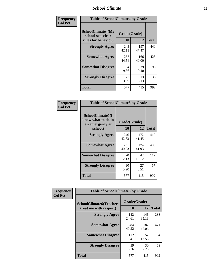### *School Climate* **12**

| Frequency      | <b>Table of SchoolClimate4 by Grade</b>                              |                    |              |              |
|----------------|----------------------------------------------------------------------|--------------------|--------------|--------------|
| <b>Col Pct</b> | <b>SchoolClimate4(My</b><br>school sets clear<br>rules for behavior) | Grade(Grade)<br>10 | 12           | <b>Total</b> |
|                | <b>Strongly Agree</b>                                                | 243<br>42.11       | 197<br>47.47 | 440          |
|                | <b>Somewhat Agree</b>                                                | 257<br>44.54       | 166<br>40.00 | 423          |
|                | <b>Somewhat Disagree</b>                                             | 54<br>9.36         | 39<br>9.40   | 93           |
|                | <b>Strongly Disagree</b>                                             | 23<br>3.99         | 13<br>3.13   | 36           |
|                | Total                                                                | 577                | 415          | 992          |

| <b>Table of SchoolClimate5 by Grade</b>                   |              |              |              |  |  |
|-----------------------------------------------------------|--------------|--------------|--------------|--|--|
| SchoolClimate5(I<br>know what to do in<br>an emergency at | Grade(Grade) |              |              |  |  |
| school)                                                   | 10           | 12           | <b>Total</b> |  |  |
| <b>Strongly Agree</b>                                     | 246<br>42.63 | 172<br>41.45 | 418          |  |  |
| <b>Somewhat Agree</b>                                     | 231<br>40.03 | 174<br>41.93 | 405          |  |  |
| <b>Somewhat Disagree</b>                                  | 70<br>12.13  | 42<br>10.12  | 112          |  |  |
| <b>Strongly Disagree</b>                                  | 30<br>5.20   | 27<br>6.51   | 57           |  |  |
| <b>Total</b>                                              | 577          | 415          | 992          |  |  |

| Frequency      | <b>Table of SchoolClimate6 by Grade</b>                  |                    |              |              |
|----------------|----------------------------------------------------------|--------------------|--------------|--------------|
| <b>Col Pct</b> | <b>SchoolClimate6(Teachers</b><br>treat me with respect) | Grade(Grade)<br>10 | 12           | <b>Total</b> |
|                | <b>Strongly Agree</b>                                    | 142<br>24.61       | 146<br>35.18 | 288          |
|                | <b>Somewhat Agree</b>                                    | 284<br>49.22       | 187<br>45.06 | 471          |
|                | <b>Somewhat Disagree</b>                                 | 112<br>19.41       | 52<br>12.53  | 164          |
|                | <b>Strongly Disagree</b>                                 | 39<br>6.76         | 30<br>7.23   | 69           |
|                | <b>Total</b>                                             | 577                | 415          | 992          |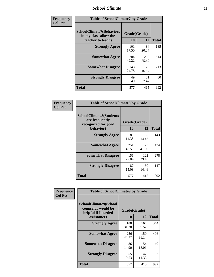### *School Climate* **13**

| Frequency      | <b>Table of SchoolClimate7 by Grade</b>                                       |                    |              |              |
|----------------|-------------------------------------------------------------------------------|--------------------|--------------|--------------|
| <b>Col Pct</b> | <b>SchoolClimate7(Behaviors</b><br>in my class allow the<br>teacher to teach) | Grade(Grade)<br>10 | 12           | <b>Total</b> |
|                | <b>Strongly Agree</b>                                                         | 101<br>17.50       | 84<br>20.24  | 185          |
|                | <b>Somewhat Agree</b>                                                         | 284<br>49.22       | 230<br>55.42 | 514          |
|                | <b>Somewhat Disagree</b>                                                      | 143<br>24.78       | 70<br>16.87  | 213          |
|                | <b>Strongly Disagree</b>                                                      | 49<br>8.49         | 31<br>7.47   | 80           |
|                | <b>Total</b>                                                                  | 577                | 415          | 992          |

| Frequency      | <b>Table of SchoolClimate8 by Grade</b>                                              |                    |              |              |
|----------------|--------------------------------------------------------------------------------------|--------------------|--------------|--------------|
| <b>Col Pct</b> | <b>SchoolClimate8(Students</b><br>are frequently<br>recognized for good<br>behavior) | Grade(Grade)<br>10 | 12           | <b>Total</b> |
|                | <b>Strongly Agree</b>                                                                | 83<br>14.38        | 60<br>14.46  | 143          |
|                | <b>Somewhat Agree</b>                                                                | 251<br>43.50       | 173<br>41.69 | 424          |
|                | <b>Somewhat Disagree</b>                                                             | 156<br>27.04       | 122<br>29.40 | 278          |
|                | <b>Strongly Disagree</b>                                                             | 87<br>15.08        | 60<br>14.46  | 147          |
|                | Total                                                                                | 577                | 415          | 992          |

| Frequency      | <b>Table of SchoolClimate9 by Grade</b>                                           |                    |              |              |
|----------------|-----------------------------------------------------------------------------------|--------------------|--------------|--------------|
| <b>Col Pct</b> | SchoolClimate9(School<br>counselor would be<br>helpful if I needed<br>assistance) | Grade(Grade)<br>10 | 12           | <b>Total</b> |
|                | <b>Strongly Agree</b>                                                             | 180<br>31.20       | 164<br>39.52 | 344          |
|                | <b>Somewhat Agree</b>                                                             | 256<br>44.37       | 150<br>36.14 | 406          |
|                | <b>Somewhat Disagree</b>                                                          | 86<br>14.90        | 54<br>13.01  | 140          |
|                | <b>Strongly Disagree</b>                                                          | 55<br>9.53         | 47<br>11.33  | 102          |
|                | <b>Total</b>                                                                      | 577                | 415          | 992          |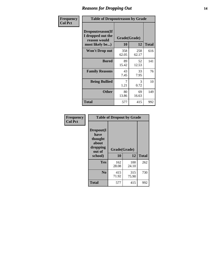### *Reasons for Dropping Out* **14**

| Frequency      | <b>Table of Dropoutreason by Grade</b>                                   |                           |              |              |
|----------------|--------------------------------------------------------------------------|---------------------------|--------------|--------------|
| <b>Col Pct</b> | Dropoutreason(If<br>I dropped out the<br>reason would<br>most likely be) | Grade(Grade)<br><b>10</b> | 12           | <b>Total</b> |
|                | Won't Drop out                                                           | 358<br>62.05              | 258<br>62.17 | 616          |
|                | <b>Bored</b>                                                             | 89<br>15.42               | 52<br>12.53  | 141          |
|                | <b>Family Reasons</b>                                                    | 43<br>7.45                | 33<br>7.95   | 76           |
|                | <b>Being Bullied</b>                                                     | 7<br>1.21                 | 3<br>0.72    | 10           |
|                | <b>Other</b>                                                             | 80<br>13.86               | 69<br>16.63  | 149          |
|                | Total                                                                    | 577                       | 415          | 992          |

| Frequency      | <b>Table of Dropout by Grade</b>                            |              |              |              |  |
|----------------|-------------------------------------------------------------|--------------|--------------|--------------|--|
| <b>Col Pct</b> | Dropout(I<br>have<br>thought<br>about<br>dropping<br>out of | Grade(Grade) |              |              |  |
|                | school)                                                     | 10           | 12           | <b>Total</b> |  |
|                | Yes                                                         | 162<br>28.08 | 100<br>24.10 | 262          |  |
|                | N <sub>0</sub>                                              | 415<br>71.92 | 315<br>75.90 | 730          |  |
|                | <b>Total</b>                                                | 577          | 415          | 992          |  |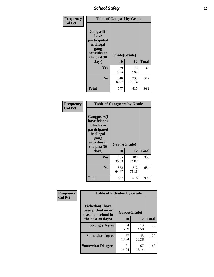*School Safety* **15**

| Frequency      | <b>Table of Gangself by Grade</b>                                                                 |                          |              |              |
|----------------|---------------------------------------------------------------------------------------------------|--------------------------|--------------|--------------|
| <b>Col Pct</b> | Gangself(I<br>have<br>participated<br>in illegal<br>gang<br>activities in<br>the past 30<br>days) | Grade(Grade)<br>10<br>12 |              | <b>Total</b> |
|                | Yes                                                                                               | 29<br>5.03               | 16<br>3.86   | 45           |
|                | N <sub>o</sub>                                                                                    | 548<br>94.97             | 399<br>96.14 | 947          |
|                | <b>Total</b>                                                                                      | 577                      | 415          | 992          |

| Frequency<br><b>Col Pct</b> | <b>Table of Gangpeers by Grade</b>                                                                                             |                    |              |              |
|-----------------------------|--------------------------------------------------------------------------------------------------------------------------------|--------------------|--------------|--------------|
|                             | <b>Gangpeers</b> (I<br>have friends<br>who have<br>participated<br>in illegal<br>gang<br>activities in<br>the past 30<br>days) | Grade(Grade)<br>10 | 12           | <b>Total</b> |
|                             | <b>Yes</b>                                                                                                                     | 205<br>35.53       | 103<br>24.82 | 308          |
|                             | N <sub>0</sub>                                                                                                                 | 372<br>64.47       | 312<br>75.18 | 684          |
|                             | <b>Total</b>                                                                                                                   | 577                | 415          | 992          |

| Frequency      |                                                                    | <b>Table of Pickedon by Grade</b> |             |              |  |  |  |  |  |  |  |
|----------------|--------------------------------------------------------------------|-----------------------------------|-------------|--------------|--|--|--|--|--|--|--|
| <b>Col Pct</b> | <b>Pickedon(I have</b><br>been picked on or<br>teased at school in | Grade(Grade)                      |             |              |  |  |  |  |  |  |  |
|                | the past 30 days)                                                  | 10                                | 12          | <b>Total</b> |  |  |  |  |  |  |  |
|                | <b>Strongly Agree</b>                                              | 34<br>5.89                        | 19<br>4.58  | 53           |  |  |  |  |  |  |  |
|                | <b>Somewhat Agree</b>                                              | 77<br>13.34                       | 43<br>10.36 | 120          |  |  |  |  |  |  |  |
|                | <b>Somewhat Disagree</b>                                           | 81<br>14.04                       | 67<br>16.14 | 148          |  |  |  |  |  |  |  |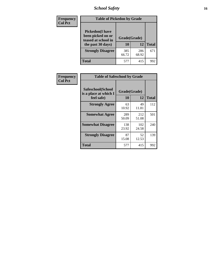# *School Safety* **16**

| <b>Frequency</b> | <b>Table of Pickedon by Grade</b>                                                        |                           |              |              |
|------------------|------------------------------------------------------------------------------------------|---------------------------|--------------|--------------|
| <b>Col Pct</b>   | <b>Pickedon</b> (I have<br>been picked on or<br>teased at school in<br>the past 30 days) | Grade(Grade)<br><b>10</b> | 12           | <b>Total</b> |
|                  | <b>Strongly Disagree</b>                                                                 | 385<br>66.72              | 286<br>68.92 | 671          |
|                  | Total                                                                                    | 577                       | 415          | 992          |

| Frequency      |                                                          | <b>Table of Safeschool by Grade</b> |              |              |  |  |  |  |  |  |  |
|----------------|----------------------------------------------------------|-------------------------------------|--------------|--------------|--|--|--|--|--|--|--|
| <b>Col Pct</b> | Safeschool(School<br>is a place at which I<br>feel safe) | Grade(Grade)<br>10                  | 12           | <b>Total</b> |  |  |  |  |  |  |  |
|                | <b>Strongly Agree</b>                                    | 63<br>10.92                         | 49<br>11.81  | 112          |  |  |  |  |  |  |  |
|                | <b>Somewhat Agree</b>                                    | 289<br>50.09                        | 212<br>51.08 | 501          |  |  |  |  |  |  |  |
|                | <b>Somewhat Disagree</b>                                 | 138<br>23.92                        | 102<br>24.58 | 240          |  |  |  |  |  |  |  |
|                | <b>Strongly Disagree</b>                                 | 87<br>15.08                         | 52<br>12.53  | 139          |  |  |  |  |  |  |  |
|                | <b>Total</b>                                             | 577                                 | 415          | 992          |  |  |  |  |  |  |  |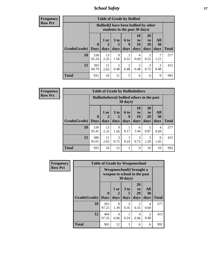*School Safety* **17**

| <b>Table of Grade by Bullied</b> |              |                                                                               |                              |                        |                               |                               |                          |       |  |  |  |  |
|----------------------------------|--------------|-------------------------------------------------------------------------------|------------------------------|------------------------|-------------------------------|-------------------------------|--------------------------|-------|--|--|--|--|
|                                  |              | <b>Bullied</b> (I have been bullied by other<br>students in the past 30 days) |                              |                        |                               |                               |                          |       |  |  |  |  |
| <b>Grade</b> (Grade)   Days      | $\bf{0}$     | 1 or<br>days                                                                  | 3 <sub>to</sub><br>5<br>days | 6 to<br>9<br>days      | <b>10</b><br>to<br>19<br>days | <b>20</b><br>to<br>29<br>days | All<br><b>30</b><br>days | Total |  |  |  |  |
| 10                               | 538<br>93.24 | 13<br>2.25                                                                    | 9<br>1.56                    | 3<br>0.52              | 4<br>0.69                     | 3<br>0.52                     | 1.21                     | 577   |  |  |  |  |
| 12                               | 393<br>94.70 | 11<br>2.65                                                                    | $\overline{2}$<br>0.48       | $\mathfrak{D}$<br>0.48 | 2<br>0.48                     | 3<br>0.72                     | $\mathcal{D}$<br>0.48    | 415   |  |  |  |  |
| <b>Total</b>                     | 931          | 24                                                                            | 11                           | 5                      | 6                             | 6                             | 9                        | 992   |  |  |  |  |

| <b>Frequency</b> |
|------------------|
| <b>Row Pct</b>   |

| <b>Table of Grade by Bulliedothers</b> |              |                                                                |                      |               |                       |                |           |              |  |  |  |  |
|----------------------------------------|--------------|----------------------------------------------------------------|----------------------|---------------|-----------------------|----------------|-----------|--------------|--|--|--|--|
|                                        |              | <b>Bulliedothers</b> (I bullied others in the past<br>30 days) |                      |               |                       |                |           |              |  |  |  |  |
|                                        | $\bf{0}$     | $1$ or<br>2                                                    | 3 <sub>to</sub><br>5 | 6 to<br>9     | <b>10</b><br>to<br>19 | 20<br>to<br>29 | All<br>30 |              |  |  |  |  |
| Grade(Grade)   Days                    |              | days                                                           | days                 | days          | days                  | days           | days      | <b>Total</b> |  |  |  |  |
| 10                                     | 539<br>93.41 | 13<br>2.25                                                     | 9<br>1.56            | 0.17          | 6<br>1.04             | 5<br>0.87      | 4<br>0.69 | 577          |  |  |  |  |
| 12                                     | 386<br>93.01 | 11<br>2.65                                                     | 3<br>0.72            | 0.24          | 3<br>0.72             | 5<br>1.20      | 6<br>1.45 | 415          |  |  |  |  |
| <b>Total</b>                           | 925          | 24                                                             | 12                   | $\mathcal{D}$ | 9                     | 10             | 10        | 992          |  |  |  |  |

| Frequency<br><b>Row Pct</b> | <b>Table of Grade by Weaponschool</b> |                             |                                                                  |                              |                        |                        |              |  |  |  |  |
|-----------------------------|---------------------------------------|-----------------------------|------------------------------------------------------------------|------------------------------|------------------------|------------------------|--------------|--|--|--|--|
|                             |                                       |                             | <b>Weaponschool</b> (I brought a<br>weapon to school in the past | 30 days)                     |                        |                        |              |  |  |  |  |
|                             | Grade(Grade)                          | $\mathbf{0}$<br><b>Days</b> | 1 or<br>2<br>days                                                | 3 <sub>to</sub><br>5<br>days | 20<br>to<br>29<br>days | All<br>30<br>days      | <b>Total</b> |  |  |  |  |
|                             | 10                                    | 561<br>97.23                | 8<br>1.39                                                        | $\overline{2}$<br>0.35       | 2<br>0.35              | 4<br>0.69              | 577          |  |  |  |  |
|                             | 12                                    | 404<br>97.35                | 4<br>0.96                                                        | 0.24                         | 4<br>0.96              | $\mathfrak{D}$<br>0.48 | 415          |  |  |  |  |
|                             | <b>Total</b>                          | 965                         | 12                                                               | 3                            | 6                      | 6                      | 992          |  |  |  |  |

ł,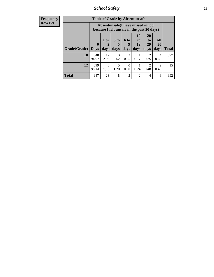*School Safety* **18**

| <b>Frequency</b> |              |                  | <b>Table of Grade by Absentunsafe</b>                                           |                      |                        |                |                        |                        |              |
|------------------|--------------|------------------|---------------------------------------------------------------------------------|----------------------|------------------------|----------------|------------------------|------------------------|--------------|
| Row Pct          |              |                  | Absentunsafe(I have missed school<br>because I felt unsafe in the past 30 days) |                      |                        |                |                        |                        |              |
|                  |              | $\boldsymbol{0}$ | 1 or<br>2                                                                       | 3 <sub>to</sub><br>5 | <b>6 to</b>            | 10<br>to<br>19 | <b>20</b><br>to<br>29  | All<br>30              |              |
|                  | Grade(Grade) | <b>Days</b>      | days                                                                            | days                 | days                   | days           | days                   | days                   | <b>Total</b> |
|                  | 10           | 548<br>94.97     | 17<br>2.95                                                                      | 3<br>0.52            | $\mathfrak{D}$<br>0.35 | 0.17           | $\mathfrak{D}$<br>0.35 | 4<br>0.69              | 577          |
|                  | 12           | 399<br>96.14     | 6<br>1.45                                                                       | 5<br>1.20            | $\Omega$<br>0.00       | 0.24           | $\overline{2}$<br>0.48 | $\overline{2}$<br>0.48 | 415          |
|                  | <b>Total</b> | 947              | 23                                                                              | 8                    | $\overline{2}$         | $\overline{2}$ | 4                      | 6                      | 992          |
|                  |              |                  |                                                                                 |                      |                        |                |                        |                        |              |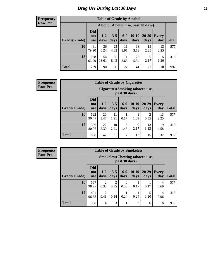# *Drug Use During Last 30 Days* **19**

#### **Frequency Row Pct**

| <b>Table of Grade by Alcohol</b> |                                 |                                     |                 |                 |                 |               |                     |              |  |  |  |  |
|----------------------------------|---------------------------------|-------------------------------------|-----------------|-----------------|-----------------|---------------|---------------------|--------------|--|--|--|--|
|                                  |                                 | Alcohol (Alcohol use, past 30 days) |                 |                 |                 |               |                     |              |  |  |  |  |
| Grade(Grade)                     | <b>Did</b><br>not<br><b>use</b> | $1 - 2$<br>days                     | $3 - 5$<br>days | $6 - 9$<br>days | $10-19$<br>days | 20-29<br>days | <b>Every</b><br>day | <b>Total</b> |  |  |  |  |
| 10                               | 461<br>79.90                    | 36<br>6.24                          | 25<br>4.33      | 11<br>1.91      | 18<br>3.12      | 13<br>2.25    | 13<br>2.25          | 577          |  |  |  |  |
| 12                               | 278<br>66.99                    | 54<br>13.01                         | 35<br>8.43      | 11<br>2.65      | 23<br>5.54      | 9<br>2.17     | 5<br>1.20           | 415          |  |  |  |  |
| <b>Total</b>                     | 739                             | 90                                  | 60              | 22              | 41              | 22            | 18                  | 992          |  |  |  |  |

#### **Frequency Row Pct**

| <b>Table of Grade by Cigarettes</b> |                                 |                                                   |                 |                 |                 |                        |                     |              |  |  |  |
|-------------------------------------|---------------------------------|---------------------------------------------------|-----------------|-----------------|-----------------|------------------------|---------------------|--------------|--|--|--|
|                                     |                                 | Cigarettes (Smoking tobacco use,<br>past 30 days) |                 |                 |                 |                        |                     |              |  |  |  |
| Grade(Grade)                        | <b>Did</b><br>not<br><b>use</b> | $1 - 2$<br>days                                   | $3 - 5$<br>days | $6 - 9$<br>days | $10-19$<br>days | 20-29<br>days          | <b>Every</b><br>day | <b>Total</b> |  |  |  |
| 10                                  | 522<br>90.47                    | 20<br>3.47                                        | 11<br>1.91      | 0.17            | 8<br>1.39       | $\mathfrak{D}$<br>0.35 | 13<br>2.25          | 577          |  |  |  |
| 12                                  | 336<br>80.96                    | 22<br>5.30                                        | 10<br>2.41      | 6<br>1.45       | 9<br>2.17       | 13<br>3.13             | 19<br>4.58          | 415          |  |  |  |
| <b>Total</b>                        | 858                             | 42                                                | 21              | 7               | 17              | 15                     | 32                  | 992          |  |  |  |

**Frequency Row Pct**

| <b>Table of Grade by Smokeless</b> |                                 |                                                        |                        |                  |                 |                   |                     |              |  |  |  |
|------------------------------------|---------------------------------|--------------------------------------------------------|------------------------|------------------|-----------------|-------------------|---------------------|--------------|--|--|--|
|                                    |                                 | <b>Smokeless</b> (Chewing tobaccouse,<br>past 30 days) |                        |                  |                 |                   |                     |              |  |  |  |
| Grade(Grade)                       | <b>Did</b><br>not<br><b>use</b> | $1 - 2$<br>days                                        | $3 - 5$<br>days        | $6-9$<br>days    | $10-19$<br>days | $20 - 29$<br>days | <b>Every</b><br>day | <b>Total</b> |  |  |  |
| 10                                 | 567<br>98.27                    | 2<br>0.35                                              | $\overline{c}$<br>0.35 | $\Omega$<br>0.00 | 0.17            | 0.17              | 4<br>0.69           | 577          |  |  |  |
| 12                                 | 401<br>96.63                    | 2<br>0.48                                              | 0.24                   | 0.24             | 0.24            | 5<br>1.20         | 4<br>0.96           | 415          |  |  |  |
| <b>Total</b>                       | 968                             | 4                                                      | 3                      | -                | $\overline{2}$  | 6                 | 8                   | 992          |  |  |  |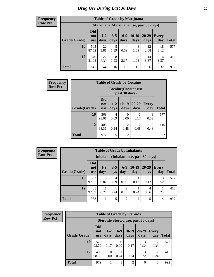I

| <b>Table of Grade by Marijuana</b> |                          |                                         |                 |                 |                 |               |                     |              |  |  |  |  |
|------------------------------------|--------------------------|-----------------------------------------|-----------------|-----------------|-----------------|---------------|---------------------|--------------|--|--|--|--|
|                                    |                          | Marijuana (Marijuana use, past 30 days) |                 |                 |                 |               |                     |              |  |  |  |  |
| Grade(Grade)                       | Did<br>not<br><b>use</b> | $1-2$<br>days                           | $3 - 5$<br>days | $6 - 9$<br>days | $10-19$<br>days | 20-29<br>days | <b>Every</b><br>day | <b>Total</b> |  |  |  |  |
| 10                                 | 505<br>87.52             | 22<br>3.81                              | 8<br>1.39       | 4<br>0.69       | 8<br>1.39       | 12<br>2.08    | 18<br>3.12          | 577          |  |  |  |  |
| 12                                 | 340<br>81.93             | 22<br>5.30                              | 8<br>1.93       | 9<br>2.17       | 8<br>1.93       | 14<br>3.37    | 14<br>3.37          | 415          |  |  |  |  |
| <b>Total</b>                       | 845                      | 44                                      | 16              | 13              | 16              | 26            | 32                  | 992          |  |  |  |  |

| <b>Frequency</b> | <b>Table of Grade by Cocaine</b> |                                 |                                        |                        |                   |              |              |  |
|------------------|----------------------------------|---------------------------------|----------------------------------------|------------------------|-------------------|--------------|--------------|--|
| <b>Row Pct</b>   |                                  |                                 | Cocaine (Cocaine use,<br>past 30 days) |                        |                   |              |              |  |
|                  | Grade(Grade)                     | <b>Did</b><br>not<br><b>use</b> | $1 - 2$<br>days                        | $10-19$<br>days        | $20 - 29$<br>days | Every<br>day | <b>Total</b> |  |
|                  | 10                               | 569<br>98.61                    | $\overline{4}$<br>0.69                 | 0<br>0.00              | 0.17              | 3<br>0.52    | 577          |  |
|                  | 12                               | 408<br>98.31                    | 0.24                                   | $\overline{c}$<br>0.48 | 2<br>0.48         | 2<br>0.48    | 415          |  |
|                  | <b>Total</b>                     | 977                             | 5                                      | $\overline{2}$         | 3                 | 5            | 992          |  |

| Frequency      | <b>Table of Grade by Inhalants</b> |                                 |                 |                 |                |                 |                                        |                     |              |  |
|----------------|------------------------------------|---------------------------------|-----------------|-----------------|----------------|-----------------|----------------------------------------|---------------------|--------------|--|
| <b>Row Pct</b> |                                    |                                 |                 |                 |                |                 | Inhalants (Inhalant use, past 30 days) |                     |              |  |
|                | Grade(Grade)                       | <b>Did</b><br>not<br><b>use</b> | $1 - 2$<br>days | $3 - 5$<br>days | $6-9$<br>days  | $10-19$<br>days | $20 - 29$<br>days                      | <b>Every</b><br>day | <b>Total</b> |  |
|                | 10                                 | 563<br>97.57                    | 5<br>0.87       | 4<br>0.69       | 0.00           | 0.17            | 0.17                                   | 3<br>0.52           | 577          |  |
|                | 12                                 | 405<br>97.59                    | 0.24            | 0.24            | ◠<br>0.48      | 0.24            | 4<br>0.96                              | 0.24                | 415          |  |
|                | <b>Total</b>                       | 968                             | 6               | 5               | $\overline{c}$ | 2               | 5                                      | 4                   | 992          |  |

| Frequency      |              | <b>Table of Grade by Steroids</b> |                  |                          |                                      |                   |                        |              |  |  |
|----------------|--------------|-----------------------------------|------------------|--------------------------|--------------------------------------|-------------------|------------------------|--------------|--|--|
| <b>Row Pct</b> |              |                                   |                  |                          | Steroids (Steroid use, past 30 days) |                   |                        |              |  |  |
|                | Grade(Grade) | <b>Did</b><br>not<br>use          | $1 - 2$<br>days  | $6-9$<br>days            | $10-19$<br>days                      | $20 - 29$<br>days | <b>Every</b><br>day    | <b>Total</b> |  |  |
|                | 10           | 570<br>98.79                      | 0.17             | $\left( \right)$<br>0.00 | 0.17                                 | 3<br>0.52         | $\overline{2}$<br>0.35 | 577          |  |  |
|                | 12           | 409<br>98.55                      | $\Omega$<br>0.00 | 0.24                     | 0.24                                 | 3<br>0.72         | 0.24                   | 415          |  |  |
|                | <b>Total</b> | 979                               |                  |                          | 2                                    | 6                 | 3                      | 992          |  |  |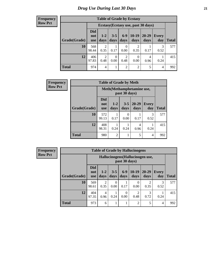| <b>Table of Grade by Ecstasy</b> |                                 |                                     |                  |                        |                  |               |                     |              |  |  |
|----------------------------------|---------------------------------|-------------------------------------|------------------|------------------------|------------------|---------------|---------------------|--------------|--|--|
|                                  |                                 | Ecstasy (Ecstasy use, past 30 days) |                  |                        |                  |               |                     |              |  |  |
| Grade(Grade)                     | <b>Did</b><br>not<br><b>use</b> | $1-2$<br>days                       | $3 - 5$<br>days  | $6-9$<br>days          | $10-19$<br>days  | 20-29<br>days | <b>Every</b><br>day | <b>Total</b> |  |  |
| 10                               | 568<br>98.44                    | $\overline{2}$<br>0.35              | 0.17             | 0<br>0.00              | 2<br>0.35        | 0.17          | 3<br>0.52           | 577          |  |  |
| 12                               | 406<br>97.83                    | $\overline{2}$<br>0.48              | $\theta$<br>0.00 | $\overline{c}$<br>0.48 | $\theta$<br>0.00 | 4<br>0.96     | 0.24                | 415          |  |  |
| <b>Total</b>                     | 974                             | $\overline{4}$                      |                  | $\overline{c}$         | $\overline{2}$   | 5             | 4                   | 992          |  |  |

| <b>Frequency</b> | <b>Table of Grade by Meth</b> |                          |                                             |                  |                   |                       |              |  |
|------------------|-------------------------------|--------------------------|---------------------------------------------|------------------|-------------------|-----------------------|--------------|--|
| <b>Row Pct</b>   |                               |                          | Meth (Methamphetamine use,<br>past 30 days) |                  |                   |                       |              |  |
|                  | Grade(Grade)                  | <b>Did</b><br>not<br>use | $1-2$<br>days                               | $3 - 5$<br>days  | $20 - 29$<br>days | <b>Every</b><br>day   | <b>Total</b> |  |
|                  | 10                            | 572<br>99.13             | 0.17                                        | $\Omega$<br>0.00 | 0.17              | $\mathcal{F}$<br>0.52 | 577          |  |
|                  | 12                            | 408<br>98.31             | 0.24                                        | 0.24             | 4<br>0.96         | 0.24                  | 415          |  |
|                  | <b>Total</b>                  | 980                      | $\mathfrak{D}$                              | 1                | 5                 | $\overline{4}$        | 992          |  |

**Frequency Row Pct**

| <b>Table of Grade by Hallucinogens</b> |                                 |                                                   |                 |                  |                 |                   |                     |              |  |
|----------------------------------------|---------------------------------|---------------------------------------------------|-----------------|------------------|-----------------|-------------------|---------------------|--------------|--|
|                                        |                                 | Hallucinogens (Hallucinogen use,<br>past 30 days) |                 |                  |                 |                   |                     |              |  |
| Grade(Grade)                           | <b>Did</b><br>not<br><b>use</b> | $1-2$<br>days                                     | $3 - 5$<br>days | $6-9$<br>days    | $10-19$<br>days | $20 - 29$<br>days | <b>Every</b><br>day | <b>Total</b> |  |
| 10                                     | 569<br>98.61                    | 2<br>0.35                                         | 0<br>0.00       | 0.17             | 0<br>0.00       | 0.35              | 0.52                | 577          |  |
| 12                                     | 404<br>97.35                    | 4<br>0.96                                         | 0.24            | $\Omega$<br>0.00 | 2<br>0.48       | 3<br>0.72         | 0.24                | 415          |  |
| <b>Total</b>                           | 973                             | 6                                                 | 1               |                  | $\overline{c}$  | 5                 | 4                   | 992          |  |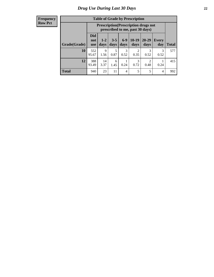| <b>Table of Grade by Prescription</b> |                          |                                                                                |                 |                |                        |                        |                     |       |  |  |
|---------------------------------------|--------------------------|--------------------------------------------------------------------------------|-----------------|----------------|------------------------|------------------------|---------------------|-------|--|--|
|                                       |                          | <b>Prescription</b> (Prescription drugs not<br>prescribed to me, past 30 days) |                 |                |                        |                        |                     |       |  |  |
| Grade(Grade)                          | Did<br>not<br><b>use</b> | $1 - 2$<br>days                                                                | $3 - 5$<br>days | $6-9$<br>days  | $10-19$<br>days        | $20 - 29$<br>days      | <b>Every</b><br>day | Total |  |  |
| 10                                    | 552<br>95.67             | 9<br>1.56                                                                      | 5<br>0.87       | 3<br>0.52      | $\overline{c}$<br>0.35 | 3<br>0.52              | 3<br>0.52           | 577   |  |  |
| 12                                    | 388<br>93.49             | 14<br>3.37                                                                     | 6<br>1.45       | 0.24           | 3<br>0.72              | $\overline{2}$<br>0.48 | 0.24                | 415   |  |  |
| <b>Total</b>                          | 940                      | 23                                                                             | 11              | $\overline{4}$ | 5                      | 5                      | 4                   | 992   |  |  |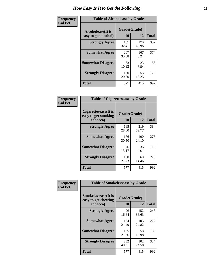| Frequency      |                                            | <b>Table of Alcoholease by Grade</b> |              |     |  |  |  |  |
|----------------|--------------------------------------------|--------------------------------------|--------------|-----|--|--|--|--|
| <b>Col Pct</b> | Alcoholease (It is<br>easy to get alcohol) | Grade(Grade)<br>10                   | <b>Total</b> |     |  |  |  |  |
|                | <b>Strongly Agree</b>                      | 187<br>32.41                         | 170<br>40.96 | 357 |  |  |  |  |
|                | <b>Somewhat Agree</b>                      | 207<br>35.88                         | 167<br>40.24 | 374 |  |  |  |  |
|                | <b>Somewhat Disagree</b>                   | 63<br>10.92                          | 23<br>5.54   | 86  |  |  |  |  |
|                | <b>Strongly Disagree</b>                   | 120<br>20.80                         | 55<br>13.25  | 175 |  |  |  |  |
|                | <b>Total</b>                               | 577                                  | 415          | 992 |  |  |  |  |

| Frequency      | <b>Table of Cigarettesease by Grade</b>                  |                           |              |              |  |  |  |
|----------------|----------------------------------------------------------|---------------------------|--------------|--------------|--|--|--|
| <b>Col Pct</b> | Cigarettesease (It is<br>easy to get smoking<br>tobacco) | Grade(Grade)<br><b>10</b> | 12           | <b>Total</b> |  |  |  |
|                | <b>Strongly Agree</b>                                    | 165<br>28.60              | 219<br>52.77 | 384          |  |  |  |
|                | <b>Somewhat Agree</b>                                    | 176<br>30.50              | 100<br>24.10 | 276          |  |  |  |
|                | <b>Somewhat Disagree</b>                                 | 76<br>13.17               | 36<br>8.67   | 112          |  |  |  |
|                | <b>Strongly Disagree</b>                                 | 160<br>27.73              | 60<br>14.46  | 220          |  |  |  |
|                | <b>Total</b>                                             | 577                       | 415          | 992          |  |  |  |

| Frequency      | <b>Table of Smokelessease by Grade</b>                         |                    |              |     |
|----------------|----------------------------------------------------------------|--------------------|--------------|-----|
| <b>Col Pct</b> | <b>Smokelessease</b> (It is<br>easy to get chewing<br>tobacco) | Grade(Grade)<br>10 | <b>Total</b> |     |
|                | <b>Strongly Agree</b>                                          | 96<br>16.64        | 152<br>36.63 | 248 |
|                | <b>Somewhat Agree</b>                                          | 124<br>21.49       | 103<br>24.82 | 227 |
|                | <b>Somewhat Disagree</b>                                       | 125<br>21.66       | 58<br>13.98  | 183 |
|                | <b>Strongly Disagree</b>                                       | 232<br>40.21       | 102<br>24.58 | 334 |
|                | <b>Total</b>                                                   | 577                | 415          | 992 |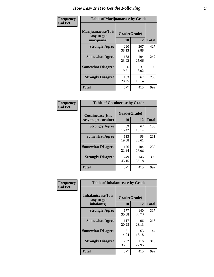| Frequency      | <b>Table of Marijuanaease by Grade</b>           |                    |              |              |  |  |  |
|----------------|--------------------------------------------------|--------------------|--------------|--------------|--|--|--|
| <b>Col Pct</b> | Marijuanaease(It is<br>easy to get<br>marijuana) | Grade(Grade)<br>10 | 12           | <b>Total</b> |  |  |  |
|                | <b>Strongly Agree</b>                            | 220<br>38.13       | 207<br>49.88 | 427          |  |  |  |
|                | <b>Somewhat Agree</b>                            | 138<br>23.92       | 104<br>25.06 | 242          |  |  |  |
|                | <b>Somewhat Disagree</b>                         | 56<br>9.71         | 37<br>8.92   | 93           |  |  |  |
|                | <b>Strongly Disagree</b>                         | 163<br>28.25       | 67<br>16.14  | 230          |  |  |  |
|                | <b>Total</b>                                     | 577                | 415          | 992          |  |  |  |

| <b>Table of Cocaineease by Grade</b>      |                    |              |     |  |  |  |  |  |  |
|-------------------------------------------|--------------------|--------------|-----|--|--|--|--|--|--|
| Cocaineease(It is<br>easy to get cocaine) | Grade(Grade)<br>10 | <b>Total</b> |     |  |  |  |  |  |  |
| <b>Strongly Agree</b>                     | 89<br>15.42        | 67<br>16.14  | 156 |  |  |  |  |  |  |
| <b>Somewhat Agree</b>                     | 113<br>19.58       | 98<br>23.61  | 211 |  |  |  |  |  |  |
| <b>Somewhat Disagree</b>                  | 126<br>21.84       | 104<br>25.06 | 230 |  |  |  |  |  |  |
| <b>Strongly Disagree</b>                  | 249<br>43.15       | 146<br>35.18 | 395 |  |  |  |  |  |  |
| <b>Total</b>                              | 577                | 415          | 992 |  |  |  |  |  |  |

| Frequency      | <b>Table of Inhalantsease by Grade</b>           |                    |              |              |  |  |  |  |  |  |  |  |
|----------------|--------------------------------------------------|--------------------|--------------|--------------|--|--|--|--|--|--|--|--|
| <b>Col Pct</b> | Inhalantsease(It is<br>easy to get<br>inhalants) | Grade(Grade)<br>10 | 12           | <b>Total</b> |  |  |  |  |  |  |  |  |
|                | <b>Strongly Agree</b>                            | 177<br>30.68       | 140<br>33.73 | 317          |  |  |  |  |  |  |  |  |
|                | <b>Somewhat Agree</b>                            | 117<br>20.28       | 96<br>23.13  | 213          |  |  |  |  |  |  |  |  |
|                | <b>Somewhat Disagree</b>                         | 81<br>14.04        | 63<br>15.18  | 144          |  |  |  |  |  |  |  |  |
|                | <b>Strongly Disagree</b>                         | 202<br>35.01       | 116<br>27.95 | 318          |  |  |  |  |  |  |  |  |
|                | Total                                            | 577                | 415          | 992          |  |  |  |  |  |  |  |  |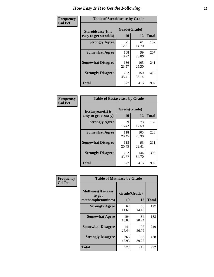| Frequency      |                                                     | <b>Table of Steroidsease by Grade</b> |              |     |  |  |  |  |  |  |  |  |  |  |
|----------------|-----------------------------------------------------|---------------------------------------|--------------|-----|--|--|--|--|--|--|--|--|--|--|
| <b>Col Pct</b> | <b>Steroidsease</b> (It is<br>easy to get steroids) | Grade(Grade)<br>10                    | <b>Total</b> |     |  |  |  |  |  |  |  |  |  |  |
|                | <b>Strongly Agree</b>                               | 71<br>12.31                           | 61<br>14.70  | 132 |  |  |  |  |  |  |  |  |  |  |
|                | <b>Somewhat Agree</b>                               | 108<br>18.72                          | 99<br>23.86  | 207 |  |  |  |  |  |  |  |  |  |  |
|                | <b>Somewhat Disagree</b>                            | 136<br>23.57                          | 105<br>25.30 | 241 |  |  |  |  |  |  |  |  |  |  |
|                | <b>Strongly Disagree</b>                            | 262<br>45.41                          | 150<br>36.14 | 412 |  |  |  |  |  |  |  |  |  |  |
|                | <b>Total</b>                                        | 577                                   | 415          | 992 |  |  |  |  |  |  |  |  |  |  |

| Frequency      | <b>Table of Ecstasyease by Grade</b>              |                    |              |              |
|----------------|---------------------------------------------------|--------------------|--------------|--------------|
| <b>Col Pct</b> | <b>Ecstasyease</b> (It is<br>easy to get ecstasy) | Grade(Grade)<br>10 | 12           | <b>Total</b> |
|                | <b>Strongly Agree</b>                             | 89<br>15.42        | 73<br>17.59  | 162          |
|                | <b>Somewhat Agree</b>                             | 118<br>20.45       | 105<br>25.30 | 223          |
|                | <b>Somewhat Disagree</b>                          | 118<br>20.45       | 93<br>22.41  | 211          |
|                | <b>Strongly Disagree</b>                          | 252<br>43.67       | 144<br>34.70 | 396          |
|                | <b>Total</b>                                      | 577                | 415          | 992          |

| Frequency      | <b>Table of Methease by Grade</b>                          |                    |              |              |
|----------------|------------------------------------------------------------|--------------------|--------------|--------------|
| <b>Col Pct</b> | <b>Methease</b> (It is easy<br>to get<br>methamphetamines) | Grade(Grade)<br>10 | 12           | <b>Total</b> |
|                | <b>Strongly Agree</b>                                      | 67<br>11.61        | 60<br>14.46  | 127          |
|                | <b>Somewhat Agree</b>                                      | 104<br>18.02       | 84<br>20.24  | 188          |
|                | <b>Somewhat Disagree</b>                                   | 141<br>24.44       | 108<br>26.02 | 249          |
|                | <b>Strongly Disagree</b>                                   | 265<br>45.93       | 163<br>39.28 | 428          |
|                | <b>Total</b>                                               | 577                | 415          | 992          |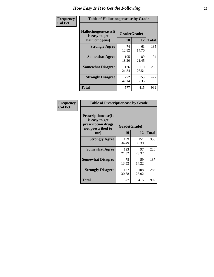| Frequency      |                                                          | <b>Table of Hallucinogensease by Grade</b> |              |     |  |  |  |  |  |  |  |  |  |  |
|----------------|----------------------------------------------------------|--------------------------------------------|--------------|-----|--|--|--|--|--|--|--|--|--|--|
| <b>Col Pct</b> | Hallucinogensease(It<br>is easy to get<br>hallucinogens) | Grade(Grade)<br>10                         | <b>Total</b> |     |  |  |  |  |  |  |  |  |  |  |
|                | <b>Strongly Agree</b>                                    | 74<br>12.82                                | 61<br>14.70  | 135 |  |  |  |  |  |  |  |  |  |  |
|                | <b>Somewhat Agree</b>                                    | 105<br>18.20                               | 89<br>21.45  | 194 |  |  |  |  |  |  |  |  |  |  |
|                | <b>Somewhat Disagree</b>                                 | 126<br>21.84                               | 110<br>26.51 | 236 |  |  |  |  |  |  |  |  |  |  |
|                | <b>Strongly Disagree</b>                                 | 272<br>47.14                               | 155<br>37.35 | 427 |  |  |  |  |  |  |  |  |  |  |
|                | <b>Total</b>                                             | 577                                        | 415          | 992 |  |  |  |  |  |  |  |  |  |  |

| Frequency<br>Col Pct |
|----------------------|
|                      |

| <b>Table of Prescriptionease by Grade</b>                                                |              |              |              |
|------------------------------------------------------------------------------------------|--------------|--------------|--------------|
| <b>Prescriptionease</b> (It<br>is easy to get<br>prescription drugs<br>not prescribed to |              | Grade(Grade) |              |
| me)                                                                                      | 10           | 12           | <b>Total</b> |
| <b>Strongly Agree</b>                                                                    | 199<br>34.49 | 151<br>36.39 | 350          |
| <b>Somewhat Agree</b>                                                                    | 123<br>21.32 | 97<br>23.37  | 220          |
| <b>Somewhat Disagree</b>                                                                 | 78<br>13.52  | 59<br>14.22  | 137          |
| <b>Strongly Disagree</b>                                                                 | 177<br>30.68 | 108<br>26.02 | 285          |
| Total                                                                                    | 577          | 415          | 992          |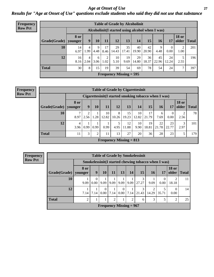*Age at Onset of Use* **27** *Results for "Age at Onset of Use" questions exclude students who said they did not use that substance*

| <b>Frequency</b> | <b>Table of Grade by Alcoholinit</b> |                        |           |           |            |             |                           |                                                  |             |             |             |                       |              |
|------------------|--------------------------------------|------------------------|-----------|-----------|------------|-------------|---------------------------|--------------------------------------------------|-------------|-------------|-------------|-----------------------|--------------|
| <b>Row Pct</b>   |                                      |                        |           |           |            |             |                           | Alcoholinit (I started using alcohol when I was) |             |             |             |                       |              |
|                  | Grade(Grade)                         | <b>8 or</b><br>younger | 9         | 10        | 11         | 12          | 13                        | 14                                               | 15          | <b>16</b>   | 17          | <b>18 or</b><br>older | <b>Total</b> |
|                  | 10                                   | 14<br>6.97             | 4<br>1.99 | 9<br>4.48 | 17<br>8.46 | 29<br>14.43 | 35<br>17.41               | 40<br>19.90                                      | 42<br>20.90 | 9<br>4.48   | 0<br>0.00   | 2<br>1.00             | 201          |
|                  | 12                                   | 16<br>8.16             | 4<br>2.04 | 6<br>3.06 | 2<br>1.02  | 10<br>5.10  | 19<br>9.69                | 29<br>14.80                                      | 36<br>18.37 | 45<br>22.96 | 24<br>12.24 | 5<br>2.55             | 196          |
|                  | <b>Total</b>                         | 30                     | 8         | 15        | 19         | 39          | 54                        | 69                                               | 78          | 54          | 24          | ⇁                     | 397          |
|                  |                                      |                        |           |           |            |             | Frequency Missing $= 595$ |                                                  |             |             |             |                       |              |

| <b>Frequency</b> |              |                        |           |                | <b>Table of Grade by Cigarettesinit</b>              |            |             |             |             |             |                  |                       |       |
|------------------|--------------|------------------------|-----------|----------------|------------------------------------------------------|------------|-------------|-------------|-------------|-------------|------------------|-----------------------|-------|
| <b>Row Pct</b>   |              |                        |           |                | Cigarettesinit(I started smoking tobacco when I was) |            |             |             |             |             |                  |                       |       |
|                  | Grade(Grade) | <b>8 or</b><br>younger | 9         | 10             | 11                                                   | 12         | 13          | 14          | 15          | 16          | 17               | <b>18 or</b><br>older | Total |
|                  | 10           | 8.97                   | റ<br>2.56 | 1.28           | 10<br>12.82                                          | 8<br>10.26 | 15<br>19.23 | 10<br>12.82 | 17<br>21.79 | 6<br>7.69   | $\theta$<br>0.00 | 2<br>2.56             | 78    |
|                  | 12           | 4<br>3.96              | 0.99      | 0.99           | 0.99                                                 | 5<br>4.95  | 12<br>11.88 | 10<br>9.90  | 19<br>18.81 | 22<br>21.78 | 23<br>22.77      | 3<br>2.97             | 101   |
|                  | <b>Total</b> | 11                     | 3         | $\overline{2}$ | 11                                                   | 13         | 27          | 20          | 36          | 28          | 23               |                       | 179   |
|                  |              |                        |           |                | Frequency Missing $= 813$                            |            |             |             |             |             |                  |                       |       |

| <b>Table of Grade by Smokelessinit</b>                                                                                         |      |                  |                           |      |                  |      |            |       |       |                         |    |  |  |
|--------------------------------------------------------------------------------------------------------------------------------|------|------------------|---------------------------|------|------------------|------|------------|-------|-------|-------------------------|----|--|--|
| Smokelessinit (I started chewing tobacco when I was)                                                                           |      |                  |                           |      |                  |      |            |       |       |                         |    |  |  |
| <b>18 or</b><br>8 or<br>13<br>15<br>older<br>9<br><b>10</b><br>16<br>Grade(Grade)<br>11<br>14<br>17<br><b>Total</b><br>younger |      |                  |                           |      |                  |      |            |       |       |                         |    |  |  |
| 10                                                                                                                             | 9.09 | $\Omega$<br>0.00 | 9.09                      | 9.09 | 9.09             | 9.09 | 3<br>27.27 | 9.09  | 0.00  | $\overline{c}$<br>18.18 | 11 |  |  |
| 12                                                                                                                             | 7.14 | 7.14             | $\theta$<br>0.00          | 7.14 | $\theta$<br>0.00 | 7.14 | 3<br>21.43 | 14.29 | 35.71 | 0.00                    | 14 |  |  |
| <b>Total</b><br>$\overline{2}$<br>$\overline{2}$<br>3<br>↑<br>$\overline{2}$<br>6                                              |      |                  |                           |      |                  |      |            |       |       |                         |    |  |  |
|                                                                                                                                |      |                  | Frequency Missing $= 967$ |      |                  |      |            |       |       |                         |    |  |  |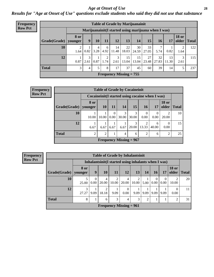#### *Age at Onset of Use* **28**

*Results for "Age at Onset of Use" questions exclude students who said they did not use that substance*

| <b>Frequency</b> |                                                                           |                                                      |      |           |           |             | <b>Table of Grade by Marijuanainit</b> |             |             |             |             |                        |              |  |
|------------------|---------------------------------------------------------------------------|------------------------------------------------------|------|-----------|-----------|-------------|----------------------------------------|-------------|-------------|-------------|-------------|------------------------|--------------|--|
| <b>Row Pct</b>   |                                                                           | Marijuanainit (I started using marijuana when I was) |      |           |           |             |                                        |             |             |             |             |                        |              |  |
|                  | Grade(Grade)                                                              | 8 or<br>younger                                      | 9    | 10        | 11        | 12          | 13                                     | 14          | 15          | 16          | 17          | <b>18 or</b><br>older  | <b>Total</b> |  |
|                  | 10                                                                        | 2<br>1.64                                            | 0.82 | 4<br>3.28 | 6<br>4.92 | 14<br>11.48 | 22<br>18.03                            | 30<br>24.59 | 33<br>27.05 | 5.74        | 0.82        | $\overline{2}$<br>1.64 | 122          |  |
|                  | 12                                                                        | 0.87                                                 | 2.61 | 0.87      | 2<br>1.74 | 3<br>2.61   | 15<br>13.04                            | 15<br>13.04 | 27<br>23.48 | 32<br>27.83 | 13<br>11.30 | 3<br>2.61              | 115          |  |
|                  | <b>Total</b><br>3<br>5<br>8<br>17<br>37<br>45<br>39<br>60<br>14<br>5<br>4 |                                                      |      |           |           |             |                                        |             |             |             |             |                        | 237          |  |
|                  |                                                                           |                                                      |      |           |           |             | Frequency Missing $= 755$              |             |             |             |             |                        |              |  |

| Frequency      |                          | <b>Table of Grade by Cocaineinit</b>                                   |           |                  |            |                                                  |                  |            |                  |               |  |  |  |  |  |
|----------------|--------------------------|------------------------------------------------------------------------|-----------|------------------|------------|--------------------------------------------------|------------------|------------|------------------|---------------|--|--|--|--|--|
| <b>Row Pct</b> |                          |                                                                        |           |                  |            | Cocaineinit (I started using cocaine when I was) |                  |            |                  |               |  |  |  |  |  |
|                | $Grade(Grade)$   younger | 8 or                                                                   | <b>10</b> | <b>11</b>        | <b>14</b>  | <b>15</b>                                        | <b>16</b>        | 17         | <b>18 or</b>     | older   Total |  |  |  |  |  |
|                | 10                       | 10.00                                                                  | 10.00     | $\Omega$<br>0.00 | 3<br>30.00 | 3<br>30.00                                       | $\Omega$<br>0.00 | 0<br>0.00  | 2<br>20.00       | 10            |  |  |  |  |  |
|                | 12                       | 6.67                                                                   | 6.67      | 6.67             | 6.67       | 3<br>20.00                                       | 2<br>13.33       | 6<br>40.00 | $\Omega$<br>0.00 | 15            |  |  |  |  |  |
|                | <b>Total</b>             | $\overline{2}$<br>$\overline{2}$<br>2<br>$\overline{2}$<br>4<br>6<br>6 |           |                  |            |                                                  |                  |            |                  |               |  |  |  |  |  |
|                |                          |                                                                        |           |                  |            | Frequency Missing $= 967$                        |                  |            |                  |               |  |  |  |  |  |

**Frequency Row Pct**

| <b>Table of Grade by Inhalantsinit</b> |                           |           |                                                      |                         |                  |            |                |                  |                  |                       |              |
|----------------------------------------|---------------------------|-----------|------------------------------------------------------|-------------------------|------------------|------------|----------------|------------------|------------------|-----------------------|--------------|
|                                        |                           |           | Inhalantsinit (I started using inhalants when I was) |                         |                  |            |                |                  |                  |                       |              |
| Grade(Grade)                           | 8 or<br>younger           | 9         | 10                                                   | 11                      | 12               | 13         | 14             | 16               | 17               | <b>18 or</b><br>older | <b>Total</b> |
| 10                                     | 25.00                     | 0<br>0.00 | 4<br>20.00                                           | $\overline{2}$<br>10.00 | 4<br>20.00       | 2<br>10.00 | 5.00           | $\Omega$<br>0.00 | $\Omega$<br>0.00 | ∍<br>10.00            | 20           |
| 12                                     | 3<br>27.27                | 9.09      | 18.18                                                | 9.09                    | $\theta$<br>0.00 | 9.09       | 9.09           | 9.09             | 9.09             | 0.00                  | 11           |
| <b>Total</b>                           | 8                         |           | 6                                                    | 3                       | 4                | 3          | $\overline{2}$ |                  |                  | ↑                     | 31           |
|                                        | Frequency Missing $= 961$ |           |                                                      |                         |                  |            |                |                  |                  |                       |              |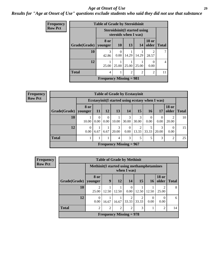#### *Age at Onset of Use* **29**

### *Results for "Age at Onset of Use" questions exclude students who said they did not use that substance*

| Frequency      |              | <b>Table of Grade by Steroidsinit</b>                       |           |                |                |                         |              |
|----------------|--------------|-------------------------------------------------------------|-----------|----------------|----------------|-------------------------|--------------|
| <b>Row Pct</b> |              | <b>Steroidsinit(I started using</b><br>steroids when I was) |           |                |                |                         |              |
|                | Grade(Grade) | 8 or<br>younger                                             | <b>10</b> | 13             | 14             | <b>18 or</b><br>older   | <b>Total</b> |
|                | 10           | 3<br>42.86                                                  | 0<br>0.00 | 14.29          | 14.29          | $\mathfrak{D}$<br>28.57 |              |
|                | 12           | 25.00                                                       | 25.00     | 25.00          | 25.00          | 0<br>0.00               | 4            |
|                | <b>Total</b> | 4                                                           |           | $\overline{c}$ | $\mathfrak{D}$ | $\overline{2}$          | 11           |
|                |              | Frequency Missing $= 981$                                   |           |                |                |                         |              |

| Frequency      |              |                        |                                                 |           |            | <b>Table of Grade by Ecstasyinit</b> |            |           |            |                       |              |
|----------------|--------------|------------------------|-------------------------------------------------|-----------|------------|--------------------------------------|------------|-----------|------------|-----------------------|--------------|
| <b>Row Pct</b> |              |                        | Ecstasyinit(I started using ecstasy when I was) |           |            |                                      |            |           |            |                       |              |
|                | Grade(Grade) | <b>8 or</b><br>younger | 11                                              | 12        | 13         | 14                                   | <b>15</b>  | 16        | 17         | <b>18 or</b><br>older | <b>Total</b> |
|                | 10           | 10.00                  | 0.00                                            | 0<br>0.00 | 10.00      | 30.00                                | 3<br>30.00 | 0<br>0.00 | 0<br>0.00  | ↑<br>20.00            | 10           |
|                | 12           | $\theta$<br>0.00       | 6.67                                            | 6.67      | 3<br>20.00 | 0.00                                 | ↑<br>13.33 | 33.33     | 3<br>20.00 | $\theta$<br>0.00      | 15           |
|                | <b>Total</b> |                        |                                                 |           | 4          | 3                                    | 5          |           | 3          | $\overline{2}$        | 25           |
|                |              |                        |                                                 |           |            | Frequency Missing $= 967$            |            |           |            |                       |              |

| <b>Frequency</b> |                        |                                                           |                | <b>Table of Grade by Methinit</b> |            |            |                  |                         |              |
|------------------|------------------------|-----------------------------------------------------------|----------------|-----------------------------------|------------|------------|------------------|-------------------------|--------------|
| <b>Row Pct</b>   |                        | Methinit (I started using methamphetamines<br>when I was) |                |                                   |            |            |                  |                         |              |
|                  | Grade(Grade)   younger | 8 or                                                      | 9              | <b>12</b>                         | 14         | <b>15</b>  | <b>16</b>        | <b>18 or</b><br>older   | <b>Total</b> |
|                  | 10                     | 25.00                                                     | 12.50          | 12.50                             | 0<br>0.00  | 12.50      | 12.50            | $\mathfrak{D}$<br>25.00 | 8            |
|                  | 12                     | $\theta$<br>0.00                                          | 16.67          | 16.67                             | ∍<br>33.33 | っ<br>33.33 | $\Omega$<br>0.00 | $\theta$<br>0.00        | 6            |
|                  | <b>Total</b>           | 2                                                         | $\overline{2}$ | 2                                 | 2          | 3          |                  | 2                       | 14           |
|                  |                        |                                                           |                | Frequency Missing $= 978$         |            |            |                  |                         |              |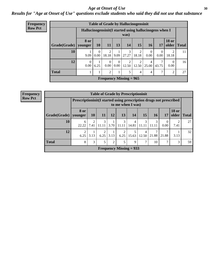#### Age at Onset of Use **30**

### *Results for "Age at Onset of Use" questions exclude students who said they did not use that substance*

| Frequency      |                        |                                                        |           |                  |                  |                           | <b>Table of Grade by Hallucinogensinit</b> |                  |                  |                       |              |
|----------------|------------------------|--------------------------------------------------------|-----------|------------------|------------------|---------------------------|--------------------------------------------|------------------|------------------|-----------------------|--------------|
| <b>Row Pct</b> |                        | Hallucinogensinit(I started using hallucinogens when I |           |                  |                  | was)                      |                                            |                  |                  |                       |              |
|                | Grade(Grade)   younger | 8 or                                                   | <b>10</b> | <b>11</b>        | 13               | 14                        | 15                                         | <b>16</b>        | <b>17</b>        | <b>18 or</b><br>older | <b>Total</b> |
|                | <b>10</b>              | 9.09                                                   | 0<br>0.00 | 2<br>18.18       | 9.09             | 3<br>27.27                | 2<br>18.18                                 | $\Omega$<br>0.00 | $\theta$<br>0.00 | 2<br>18.18            | 11           |
|                | 12                     | $\theta$<br>0.00                                       | 6.25      | $\theta$<br>0.00 | $\Omega$<br>0.00 | 12.50                     | $\overline{2}$<br>12.50                    | 4<br>25.00       | 43.75            | $\theta$<br>0.00      | 16           |
|                | <b>Total</b>           |                                                        |           | 2                | T                | 5                         | $\overline{4}$                             | 4                |                  | 2                     | 27           |
|                |                        |                                                        |           |                  |                  | Frequency Missing $= 965$ |                                            |                  |                  |                       |              |

| <b>Frequency</b> |
|------------------|
| <b>Row Pct</b>   |

|                        | <b>Table of Grade by Prescriptioninit</b>                                               |                        |            |                |                           |            |               |            |                  |                       |              |
|------------------------|-----------------------------------------------------------------------------------------|------------------------|------------|----------------|---------------------------|------------|---------------|------------|------------------|-----------------------|--------------|
|                        | Prescriptioninit(I started using prescription drugs not prescribed<br>to me when I was) |                        |            |                |                           |            |               |            |                  |                       |              |
| Grade(Grade)   younger | <b>8 or</b>                                                                             | <b>10</b>              | <b>11</b>  | 12             | 13                        | 14         | 15            | <b>16</b>  | 17               | <b>18 or</b><br>older | <b>Total</b> |
| 10                     | 6<br>22.22                                                                              | $\overline{2}$<br>7.41 | 3<br>11.11 | 3.70           | 3<br>11.11                | 4<br>14.81 | 3<br>11.11    | 3<br>11.11 | $\Omega$<br>0.00 | ി<br>7.41             | 27           |
| 12                     | $\overline{2}$<br>6.25                                                                  | 3.13                   | 2<br>6.25  | 3.13           | 2<br>6.25                 | 15.63      | 4<br>12.50    | 7<br>21.88 | 21.88            | 3.13                  | 32           |
| <b>Total</b>           | 8                                                                                       | 3                      | 5          | $\overline{2}$ | 5                         | 9          | $\mathcal{I}$ | 10         | 7                | 3                     | 59           |
|                        |                                                                                         |                        |            |                | Frequency Missing $= 933$ |            |               |            |                  |                       |              |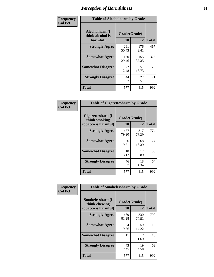| Frequency      | <b>Table of Alcoholharm by Grade</b>          |                    |              |              |  |  |  |  |
|----------------|-----------------------------------------------|--------------------|--------------|--------------|--|--|--|--|
| <b>Col Pct</b> | Alcoholharm(I<br>think alcohol is<br>harmful) | Grade(Grade)<br>10 | 12           | <b>Total</b> |  |  |  |  |
|                | <b>Strongly Agree</b>                         | 291<br>50.43       | 176<br>42.41 | 467          |  |  |  |  |
|                | <b>Somewhat Agree</b>                         | 170<br>29.46       | 155<br>37.35 | 325          |  |  |  |  |
|                | <b>Somewhat Disagree</b>                      | 72<br>12.48        | 57<br>13.73  | 129          |  |  |  |  |
|                | <b>Strongly Disagree</b>                      | 44<br>7.63         | 27<br>6.51   | 71           |  |  |  |  |
|                | <b>Total</b>                                  | 577                | 415          | 992          |  |  |  |  |

| <b>Table of Cigarettesharm by Grade</b>                  |                    |              |              |  |  |  |  |  |  |
|----------------------------------------------------------|--------------------|--------------|--------------|--|--|--|--|--|--|
| Cigarettesharm(I<br>think smoking<br>tobacco is harmful) | Grade(Grade)<br>10 | 12           | <b>Total</b> |  |  |  |  |  |  |
| <b>Strongly Agree</b>                                    | 457<br>79.20       | 317<br>76.39 | 774          |  |  |  |  |  |  |
| <b>Somewhat Agree</b>                                    | 56<br>9.71         | 68<br>16.39  | 124          |  |  |  |  |  |  |
| <b>Somewhat Disagree</b>                                 | 18<br>3.12         | 12<br>2.89   | 30           |  |  |  |  |  |  |
| <b>Strongly Disagree</b>                                 | 46<br>7.97         | 18<br>4.34   | 64           |  |  |  |  |  |  |
| <b>Total</b>                                             | 577                | 415          | 992          |  |  |  |  |  |  |

| Frequency      | <b>Table of Smokelessharm by Grade</b>                  |                    |              |     |  |  |  |  |  |  |
|----------------|---------------------------------------------------------|--------------------|--------------|-----|--|--|--|--|--|--|
| <b>Col Pct</b> | Smokelessharm(I<br>think chewing<br>tobacco is harmful) | Grade(Grade)<br>10 | <b>Total</b> |     |  |  |  |  |  |  |
|                | <b>Strongly Agree</b>                                   | 469<br>81.28       | 330<br>79.52 | 799 |  |  |  |  |  |  |
|                | <b>Somewhat Agree</b>                                   | 54<br>9.36         | 59<br>14.22  | 113 |  |  |  |  |  |  |
|                | <b>Somewhat Disagree</b>                                | 11<br>1.91         | 1.69         | 18  |  |  |  |  |  |  |
|                | <b>Strongly Disagree</b>                                | 43<br>7.45         | 19<br>4.58   | 62  |  |  |  |  |  |  |
|                | <b>Total</b>                                            | 577                | 415          | 992 |  |  |  |  |  |  |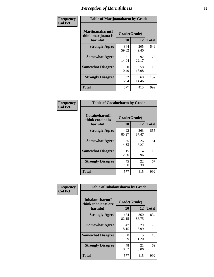| Frequency      | <b>Table of Marijuanaharm by Grade</b>            |                    |              |              |  |  |  |  |
|----------------|---------------------------------------------------|--------------------|--------------|--------------|--|--|--|--|
| <b>Col Pct</b> | Marijuanaharm(I<br>think marijuana is<br>harmful) | Grade(Grade)<br>10 | 12           | <b>Total</b> |  |  |  |  |
|                | <b>Strongly Agree</b>                             | 344<br>59.62       | 205<br>49.40 | 549          |  |  |  |  |
|                | <b>Somewhat Agree</b>                             | 81<br>14.04        | 92<br>22.17  | 173          |  |  |  |  |
|                | <b>Somewhat Disagree</b>                          | 60<br>10.40        | 58<br>13.98  | 118          |  |  |  |  |
|                | <b>Strongly Disagree</b>                          | 92<br>15.94        | 60<br>14.46  | 152          |  |  |  |  |
|                | <b>Total</b>                                      | 577                | 415          | 992          |  |  |  |  |

| <b>Table of Cocaineharm by Grade</b>          |                    |              |     |  |  |  |  |  |  |
|-----------------------------------------------|--------------------|--------------|-----|--|--|--|--|--|--|
| Cocaineharm(I<br>think cocaine is<br>harmful) | Grade(Grade)<br>10 | <b>Total</b> |     |  |  |  |  |  |  |
| <b>Strongly Agree</b>                         | 492<br>85.27       | 363<br>87.47 | 855 |  |  |  |  |  |  |
| <b>Somewhat Agree</b>                         | 25<br>4.33         | 26<br>6.27   | 51  |  |  |  |  |  |  |
| <b>Somewhat Disagree</b>                      | 15<br>2.60         | 4<br>0.96    | 19  |  |  |  |  |  |  |
| <b>Strongly Disagree</b>                      | 45<br>7.80         | 22<br>5.30   | 67  |  |  |  |  |  |  |
| <b>Total</b>                                  | 577                | 415          | 992 |  |  |  |  |  |  |

| Frequency      | <b>Table of Inhalantsharm by Grade</b>              |                           |              |              |
|----------------|-----------------------------------------------------|---------------------------|--------------|--------------|
| <b>Col Pct</b> | Inhalantsharm(I)<br>think inhalants are<br>harmful) | Grade(Grade)<br><b>10</b> | 12           | <b>Total</b> |
|                | <b>Strongly Agree</b>                               | 474<br>82.15              | 360<br>86.75 | 834          |
|                | <b>Somewhat Agree</b>                               | 47<br>8.15                | 29<br>6.99   | 76           |
|                | <b>Somewhat Disagree</b>                            | 8<br>1.39                 | 5<br>1.20    | 13           |
|                | <b>Strongly Disagree</b>                            | 48<br>8.32                | 21<br>5.06   | 69           |
|                | <b>Total</b>                                        | 577                       | 415          | 992          |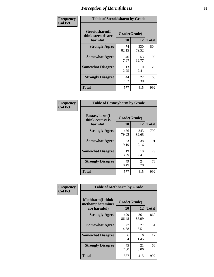| Frequency      | <b>Table of Steroidsharm by Grade</b>            |                    |              |              |
|----------------|--------------------------------------------------|--------------------|--------------|--------------|
| <b>Col Pct</b> | Steroidsharm(I<br>think steroids are<br>harmful) | Grade(Grade)<br>10 | 12           | <b>Total</b> |
|                | <b>Strongly Agree</b>                            | 474<br>82.15       | 330<br>79.52 | 804          |
|                | <b>Somewhat Agree</b>                            | 46<br>7.97         | 53<br>12.77  | 99           |
|                | <b>Somewhat Disagree</b>                         | 13<br>2.25         | 10<br>2.41   | 23           |
|                | <b>Strongly Disagree</b>                         | 44<br>7.63         | 22<br>5.30   | 66           |
|                | <b>Total</b>                                     | 577                | 415          | 992          |

| <b>Table of Ecstasyharm by Grade</b>                |                    |              |     |  |  |
|-----------------------------------------------------|--------------------|--------------|-----|--|--|
| $E$ cstasyharm $(I$<br>think ecstasy is<br>harmful) | Grade(Grade)<br>10 | <b>Total</b> |     |  |  |
| <b>Strongly Agree</b>                               | 456<br>79.03       | 343<br>82.65 | 799 |  |  |
| <b>Somewhat Agree</b>                               | 53<br>9.19         | 38<br>9.16   | 91  |  |  |
| <b>Somewhat Disagree</b>                            | 19<br>3.29         | 10<br>2.41   | 29  |  |  |
| <b>Strongly Disagree</b>                            | 49<br>8.49         | 24<br>5.78   | 73  |  |  |
| Total                                               | 577                | 415          | 992 |  |  |

| Frequency      | <b>Table of Methharm by Grade</b>                            |                           |              |              |  |
|----------------|--------------------------------------------------------------|---------------------------|--------------|--------------|--|
| <b>Col Pct</b> | <b>Methharm</b> (I think<br>methamphetamines<br>are harmful) | Grade(Grade)<br><b>10</b> | 12           | <b>Total</b> |  |
|                | <b>Strongly Agree</b>                                        | 499<br>86.48              | 361<br>86.99 | 860          |  |
|                | <b>Somewhat Agree</b>                                        | 27<br>4.68                | 27<br>6.51   | 54           |  |
|                | <b>Somewhat Disagree</b>                                     | 6<br>1.04                 | 6<br>1.45    | 12           |  |
|                | <b>Strongly Disagree</b>                                     | 45<br>7.80                | 21<br>5.06   | 66           |  |
|                | <b>Total</b>                                                 | 577                       | 415          | 992          |  |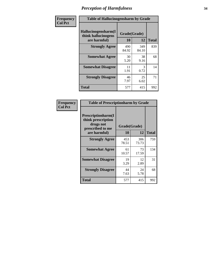| Frequency      | <b>Table of Hallucinogensharm by Grade</b>                 |                    |              |              |
|----------------|------------------------------------------------------------|--------------------|--------------|--------------|
| <b>Col Pct</b> | Hallucinogensharm(I<br>think hallucinogens<br>are harmful) | Grade(Grade)<br>10 | 12           | <b>Total</b> |
|                | <b>Strongly Agree</b>                                      | 490<br>84.92       | 349<br>84.10 | 839          |
|                | <b>Somewhat Agree</b>                                      | 30<br>5.20         | 38<br>9.16   | 68           |
|                | <b>Somewhat Disagree</b>                                   | 11<br>1.91         | 3<br>0.72    | 14           |
|                | <b>Strongly Disagree</b>                                   | 46<br>7.97         | 25<br>6.02   | 71           |
|                | <b>Total</b>                                               | 577                | 415          | 992          |

| <b>Table of Prescriptionharm by Grade</b>                                 |              |              |              |  |  |
|---------------------------------------------------------------------------|--------------|--------------|--------------|--|--|
| Prescriptionharm(I<br>think prescription<br>drugs not<br>prescribed to me | Grade(Grade) |              |              |  |  |
| are harmful)                                                              | 10           | 12           | <b>Total</b> |  |  |
| <b>Strongly Agree</b>                                                     | 453<br>78.51 | 306<br>73.73 | 759          |  |  |
| <b>Somewhat Agree</b>                                                     | 61<br>10.57  | 73<br>17.59  | 134          |  |  |
| <b>Somewhat Disagree</b>                                                  | 19<br>3.29   | 12<br>2.89   | 31           |  |  |
| <b>Strongly Disagree</b>                                                  | 44<br>7.63   | 24<br>5.78   | 68           |  |  |
| Total                                                                     | 577          | 415          | 992          |  |  |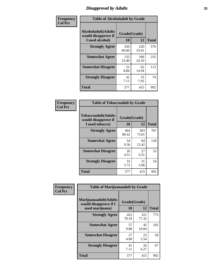# *Disapproval by Adults* **35**

| Frequency      | <b>Table of Alcoholadult by Grade</b>                                 |                    |              |              |
|----------------|-----------------------------------------------------------------------|--------------------|--------------|--------------|
| <b>Col Pct</b> | <b>Alcoholadult</b> (Adults<br>would disapprove if<br>I used alcohol) | Grade(Grade)<br>10 | 12           | <b>Total</b> |
|                | <b>Strongly Agree</b>                                                 | 350<br>60.66       | 220<br>53.01 | 570          |
|                | <b>Somewhat Agree</b>                                                 | 135<br>23.40       | 100<br>24.10 | 235          |
|                | <b>Somewhat Disagree</b>                                              | 51<br>8.84         | 62<br>14.94  | 113          |
|                | <b>Strongly Disagree</b>                                              | 41<br>7.11         | 33<br>7.95   | 74           |
|                | <b>Total</b>                                                          | 577                | 415          | 992          |

| <b>Table of Tobaccoadult by Grade</b>                                 |              |                    |              |  |  |
|-----------------------------------------------------------------------|--------------|--------------------|--------------|--|--|
| <b>Tobaccoadult</b> (Adults<br>would disapprove if<br>I used tobacco) | 10           | Grade(Grade)<br>12 | <b>Total</b> |  |  |
| <b>Strongly Agree</b>                                                 | 464<br>80.42 | 303<br>73.01       | 767          |  |  |
| <b>Somewhat Agree</b>                                                 | 54<br>9.36   | 64<br>15.42        | 118          |  |  |
| <b>Somewhat Disagree</b>                                              | 26<br>4.51   | 27<br>6.51         | 53           |  |  |
| <b>Strongly Disagree</b>                                              | 33<br>5.72   | 21<br>5.06         | 54           |  |  |
| <b>Total</b>                                                          | 577          | 415                | 992          |  |  |

| Frequency<br><b>Col Pct</b> | <b>Table of Marijuanaadult by Grade</b>                           |                    |              |              |  |
|-----------------------------|-------------------------------------------------------------------|--------------------|--------------|--------------|--|
|                             | Marijuanaadult(Adults<br>would disapprove if I<br>used marijuana) | Grade(Grade)<br>10 | 12           | <b>Total</b> |  |
|                             | <b>Strongly Agree</b>                                             | 452<br>78.34       | 321<br>77.35 | 773          |  |
|                             | <b>Somewhat Agree</b>                                             | 57<br>9.88         | 45<br>10.84  | 102          |  |
|                             | <b>Somewhat Disagree</b>                                          | 27<br>4.68         | 23<br>5.54   | 50           |  |
|                             | <b>Strongly Disagree</b>                                          | 41<br>7.11         | 26<br>6.27   | 67           |  |
|                             | <b>Total</b>                                                      | 577                | 415          | 992          |  |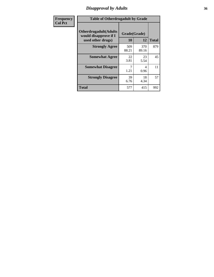# *Disapproval by Adults* **36**

| Frequency      | <b>Table of Otherdrugadult by Grade</b>                                     |                    |              |              |
|----------------|-----------------------------------------------------------------------------|--------------------|--------------|--------------|
| <b>Col Pct</b> | <b>Otherdrugadult</b> (Adults<br>would disapprove if I<br>used other drugs) | Grade(Grade)<br>10 | 12           | <b>Total</b> |
|                | <b>Strongly Agree</b>                                                       | 509<br>88.21       | 370<br>89.16 | 879          |
|                | <b>Somewhat Agree</b>                                                       | 22<br>3.81         | 23<br>5.54   | 45           |
|                | <b>Somewhat Disagree</b>                                                    | 1.21               | 4<br>0.96    | 11           |
|                | <b>Strongly Disagree</b>                                                    | 39<br>6.76         | 18<br>4.34   | 57           |
|                | <b>Total</b>                                                                | 577                | 415          | 992          |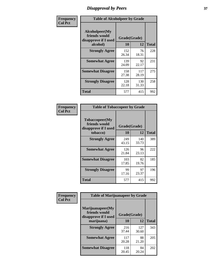# *Disapproval by Peers* 3

| Frequency      | <b>Table of Alcoholpeer by Grade</b>                    |              |              |              |
|----------------|---------------------------------------------------------|--------------|--------------|--------------|
| <b>Col Pct</b> | Alcoholpeer(My<br>friends would<br>disapprove if I used | Grade(Grade) |              |              |
|                | alcohol)                                                | 10           | 12           | <b>Total</b> |
|                | <b>Strongly Agree</b>                                   | 152<br>26.34 | 76<br>18.31  | 228          |
|                | <b>Somewhat Agree</b>                                   | 139<br>24.09 | 92<br>22.17  | 231          |
|                | <b>Somewhat Disagree</b>                                | 158<br>27.38 | 117<br>28.19 | 275          |
|                | <b>Strongly Disagree</b>                                | 128<br>22.18 | 130<br>31.33 | 258          |
|                | Total                                                   | 577          | 415          | 992          |

| Frequency      | <b>Table of Tobaccopeer by Grade</b>                                |                    |              |              |
|----------------|---------------------------------------------------------------------|--------------------|--------------|--------------|
| <b>Col Pct</b> | Tobaccopeer(My<br>friends would<br>disapprove if I used<br>tobacco) | Grade(Grade)<br>10 | 12           | <b>Total</b> |
|                | <b>Strongly Agree</b>                                               | 249<br>43.15       | 140<br>33.73 | 389          |
|                | <b>Somewhat Agree</b>                                               | 126<br>21.84       | 96<br>23.13  | 222          |
|                | <b>Somewhat Disagree</b>                                            | 103<br>17.85       | 82<br>19.76  | 185          |
|                | <b>Strongly Disagree</b>                                            | 99<br>17.16        | 97<br>23.37  | 196          |
|                | <b>Total</b>                                                        | 577                | 415          | 992          |

| Frequency      | <b>Table of Marijuanapeer by Grade</b>                    |              |              |              |
|----------------|-----------------------------------------------------------|--------------|--------------|--------------|
| <b>Col Pct</b> | Marijuanapeer(My<br>friends would<br>disapprove if I used | Grade(Grade) |              |              |
|                | marijuana)                                                | 10           | 12           | <b>Total</b> |
|                | <b>Strongly Agree</b>                                     | 216<br>37.44 | 127<br>30.60 | 343          |
|                | <b>Somewhat Agree</b>                                     | 117<br>20.28 | 88<br>21.20  | 205          |
|                | <b>Somewhat Disagree</b>                                  | 118<br>20.45 | 84<br>20.24  | 202          |

| i<br>I<br>۰.<br>٠ |  |
|-------------------|--|
|                   |  |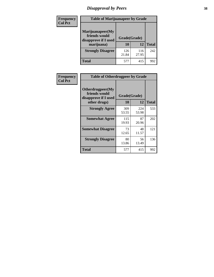# *Disapproval by Peers* **38**

| <b>Frequency</b> | <b>Table of Marijuanapeer by Grade</b>                                  |                    |              |              |
|------------------|-------------------------------------------------------------------------|--------------------|--------------|--------------|
| <b>Col Pct</b>   | Marijuanapeer(My<br>friends would<br>disapprove if I used<br>marijuana) | Grade(Grade)<br>10 | 12           | <b>Total</b> |
|                  |                                                                         |                    |              |              |
|                  | <b>Strongly Disagree</b>                                                | 126<br>21.84       | 116<br>27.95 | 242          |
|                  | <b>Total</b>                                                            | 577                | 415          | 992          |

| <b>Frequency</b> | <b>Table of Otherdrugpeer by Grade</b>                                    |                           |              |              |
|------------------|---------------------------------------------------------------------------|---------------------------|--------------|--------------|
| <b>Col Pct</b>   | Otherdrugpeer(My<br>friends would<br>disapprove if I used<br>other drugs) | Grade(Grade)<br><b>10</b> | 12           | <b>Total</b> |
|                  |                                                                           |                           |              |              |
|                  | <b>Strongly Agree</b>                                                     | 309<br>53.55              | 224<br>53.98 | 533          |
|                  | <b>Somewhat Agree</b>                                                     | 115<br>19.93              | 87<br>20.96  | 202          |
|                  | <b>Somewhat Disagree</b>                                                  | 73<br>12.65               | 48<br>11.57  | 121          |
|                  | <b>Strongly Disagree</b>                                                  | 80<br>13.86               | 56<br>13.49  | 136          |
|                  | <b>Total</b>                                                              | 577                       | 415          | 992          |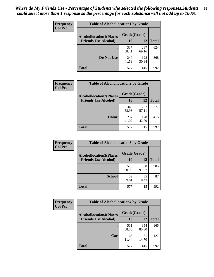| Frequency      | <b>Table of Alcohollocation1 by Grade</b><br>Grade(Grade)<br><b>Alcohollocation1(Places</b> |              |              |              |
|----------------|---------------------------------------------------------------------------------------------|--------------|--------------|--------------|
| <b>Col Pct</b> |                                                                                             |              |              |              |
|                | <b>Friends Use Alcohol)</b>                                                                 | 10           | 12           | <b>Total</b> |
|                |                                                                                             | 337<br>58.41 | 287<br>69.16 | 624          |
|                | Do Not Use                                                                                  | 240<br>41.59 | 128<br>30.84 | 368          |
|                | <b>Total</b>                                                                                | 577          | 415          | 992          |

| <b>Frequency</b> | <b>Table of Alcohollocation2 by Grade</b>                     |                           |              |              |
|------------------|---------------------------------------------------------------|---------------------------|--------------|--------------|
| <b>Col Pct</b>   | <b>Alcohollocation2(Places</b><br><b>Friends Use Alcohol)</b> | Grade(Grade)<br><b>10</b> | 12           | <b>Total</b> |
|                  |                                                               | 340<br>58.93              | 237<br>57.11 | 577          |
|                  | Home                                                          | 237<br>41.07              | 178<br>42.89 | 415          |
|                  | <b>Total</b>                                                  | 577                       | 415          | 992          |

| Frequency<br><b>Col Pct</b> | <b>Table of Alcohollocation 3 by Grade</b>                    |                    |              |              |
|-----------------------------|---------------------------------------------------------------|--------------------|--------------|--------------|
|                             | <b>Alcohollocation3(Places</b><br><b>Friends Use Alcohol)</b> | Grade(Grade)<br>10 | 12           | <b>Total</b> |
|                             |                                                               | 525<br>90.99       | 380<br>91.57 | 905          |
|                             | <b>School</b>                                                 | 52<br>9.01         | 35<br>8.43   | 87           |
|                             | <b>Total</b>                                                  | 577                | 415          | 992          |

| <b>Frequency</b> | <b>Table of Alcohollocation4 by Grade</b> |              |              |              |
|------------------|-------------------------------------------|--------------|--------------|--------------|
| <b>Col Pct</b>   | <b>Alcohollocation4(Places</b>            | Grade(Grade) |              |              |
|                  | <b>Friends Use Alcohol)</b>               | 10           | 12           | <b>Total</b> |
|                  |                                           | 511<br>88.56 | 354<br>85.30 | 865          |
|                  | Car                                       | 66<br>11.44  | 61<br>14.70  | 127          |
|                  | <b>Total</b>                              | 577          | 415          | 992          |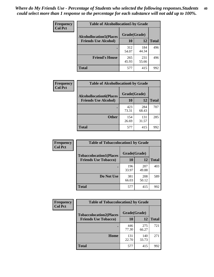| <b>Frequency</b><br><b>Col Pct</b> | <b>Table of Alcohollocation5 by Grade</b>      |              |              |              |
|------------------------------------|------------------------------------------------|--------------|--------------|--------------|
|                                    | Grade(Grade)<br><b>Alcohollocation5(Places</b> |              |              |              |
|                                    | <b>Friends Use Alcohol)</b>                    | 10           | 12           | <b>Total</b> |
|                                    |                                                | 312<br>54.07 | 184<br>44.34 | 496          |
|                                    | <b>Friend's House</b>                          | 265<br>45.93 | 231<br>55.66 | 496          |
|                                    | Total                                          | 577          | 415          | 992          |

| <b>Frequency</b> | <b>Table of Alcohollocation6 by Grade</b> |              |              |              |
|------------------|-------------------------------------------|--------------|--------------|--------------|
| <b>Col Pct</b>   | <b>Alcohollocation6(Places</b>            | Grade(Grade) |              |              |
|                  | <b>Friends Use Alcohol)</b>               | 10           | 12           | <b>Total</b> |
|                  |                                           | 423<br>73.31 | 284<br>68.43 | 707          |
|                  | <b>Other</b>                              | 154<br>26.69 | 131<br>31.57 | 285          |
|                  | <b>Total</b>                              | 577          | 415          | 992          |

| Frequency      | <b>Table of Tobaccolocation1 by Grade</b>                     |                    |              |              |
|----------------|---------------------------------------------------------------|--------------------|--------------|--------------|
| <b>Col Pct</b> | <b>Tobaccolocation1(Places</b><br><b>Friends Use Tobacco)</b> | Grade(Grade)<br>10 | 12           | <b>Total</b> |
|                |                                                               | 196<br>33.97       | 207<br>49.88 | 403          |
|                | Do Not Use                                                    | 381<br>66.03       | 208<br>50.12 | 589          |
|                | <b>Total</b>                                                  | 577                | 415          | 992          |

| Frequency      | <b>Table of Tobaccolocation2 by Grade</b> |              |              |              |  |
|----------------|-------------------------------------------|--------------|--------------|--------------|--|
| <b>Col Pct</b> | <b>Tobaccolocation2(Places</b>            | Grade(Grade) |              |              |  |
|                | <b>Friends Use Tobacco)</b>               | 10           | 12           | <b>Total</b> |  |
|                |                                           | 446<br>77.30 | 275<br>66.27 | 721          |  |
|                | Home                                      | 131<br>22.70 | 140<br>33.73 | 271          |  |
|                | <b>Total</b>                              | 577          | 415          | 992          |  |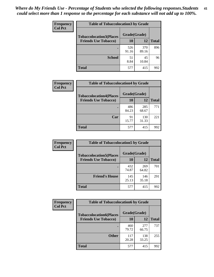| Frequency      | <b>Table of Tobaccolocation 3 by Grade</b> |              |              |              |
|----------------|--------------------------------------------|--------------|--------------|--------------|
| <b>Col Pct</b> | <b>Tobaccolocation3(Places</b>             | Grade(Grade) |              |              |
|                | <b>Friends Use Tobacco)</b>                | 10           | 12           | <b>Total</b> |
|                |                                            | 526<br>91.16 | 370<br>89.16 | 896          |
|                | <b>School</b>                              | 51<br>8.84   | 45<br>10.84  | 96           |
|                | <b>Total</b>                               | 577          | 415          | 992          |

| Frequency      | <b>Table of Tobaccolocation4 by Grade</b> |              |              |              |
|----------------|-------------------------------------------|--------------|--------------|--------------|
| <b>Col Pct</b> | <b>Tobaccolocation4(Places</b>            | Grade(Grade) |              |              |
|                | <b>Friends Use Tobacco)</b>               | 10           | 12           | <b>Total</b> |
|                |                                           | 486<br>84.23 | 285<br>68.67 | 771          |
|                | Car                                       | 91<br>15.77  | 130<br>31.33 | 221          |
|                | <b>Total</b>                              | 577          | 415          | 992          |

| Frequency      | <b>Table of Tobaccolocation5 by Grade</b> |              |              |              |
|----------------|-------------------------------------------|--------------|--------------|--------------|
| <b>Col Pct</b> | <b>Tobaccolocation5(Places</b>            | Grade(Grade) |              |              |
|                | <b>Friends Use Tobacco)</b>               | 10           | <b>12</b>    | <b>Total</b> |
|                |                                           | 432<br>74.87 | 269<br>64.82 | 701          |
|                | <b>Friend's House</b>                     | 145<br>25.13 | 146<br>35.18 | 291          |
|                | <b>Total</b>                              | 577          | 415          | 992          |

| <b>Frequency</b> | <b>Table of Tobaccolocation6 by Grade</b> |              |              |              |  |
|------------------|-------------------------------------------|--------------|--------------|--------------|--|
| <b>Col Pct</b>   | <b>Tobaccolocation6(Places</b>            | Grade(Grade) |              |              |  |
|                  | <b>Friends Use Tobacco)</b>               | 10           | 12           | <b>Total</b> |  |
|                  |                                           | 460<br>79.72 | 277<br>66.75 | 737          |  |
|                  | <b>Other</b>                              | 117<br>20.28 | 138<br>33.25 | 255          |  |
|                  | <b>Total</b>                              | 577          | 415          | 992          |  |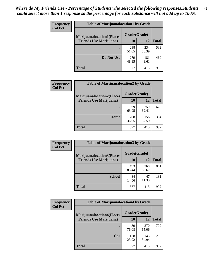| <b>Frequency</b> | <b>Table of Marijuanalocation1 by Grade</b> |              |              |              |
|------------------|---------------------------------------------|--------------|--------------|--------------|
| <b>Col Pct</b>   | <b>Marijuanalocation1(Places</b>            | Grade(Grade) |              |              |
|                  | <b>Friends Use Marijuana</b> )              | 10           | 12           | <b>Total</b> |
|                  |                                             | 298<br>51.65 | 234<br>56.39 | 532          |
|                  | Do Not Use                                  | 279<br>48.35 | 181<br>43.61 | 460          |
|                  | <b>Total</b>                                | 577          | 415          | 992          |

| <b>Frequency</b> | <b>Table of Marijuanalocation2 by Grade</b>                        |                    |              |              |
|------------------|--------------------------------------------------------------------|--------------------|--------------|--------------|
| <b>Col Pct</b>   | <b>Marijuanalocation2(Places</b><br><b>Friends Use Marijuana</b> ) | Grade(Grade)<br>10 | 12           | <b>Total</b> |
|                  |                                                                    | 369<br>63.95       | 259<br>62.41 | 628          |
|                  | Home                                                               | 208<br>36.05       | 156<br>37.59 | 364          |
|                  | <b>Total</b>                                                       | 577                | 415          | 992          |

| <b>Frequency</b> | <b>Table of Marijuanalocation3 by Grade</b> |              |              |              |
|------------------|---------------------------------------------|--------------|--------------|--------------|
| <b>Col Pct</b>   | <b>Marijuanalocation3</b> (Places           | Grade(Grade) |              |              |
|                  | <b>Friends Use Marijuana</b> )              | <b>10</b>    | 12           | <b>Total</b> |
|                  |                                             | 493<br>85.44 | 368<br>88.67 | 861          |
|                  | <b>School</b>                               | 84<br>14.56  | 47<br>11.33  | 131          |
|                  | <b>Total</b>                                | 577          | 415          | 992          |

| <b>Frequency</b> | <b>Table of Marijuanalocation4 by Grade</b> |              |              |              |  |
|------------------|---------------------------------------------|--------------|--------------|--------------|--|
| <b>Col Pct</b>   | <b>Marijuanalocation4(Places</b>            | Grade(Grade) |              |              |  |
|                  | <b>Friends Use Marijuana</b> )              | <b>10</b>    | 12           | <b>Total</b> |  |
|                  |                                             | 439<br>76.08 | 270<br>65.06 | 709          |  |
|                  | Car                                         | 138<br>23.92 | 145<br>34.94 | 283          |  |
|                  | <b>Total</b>                                | 577          | 415          | 992          |  |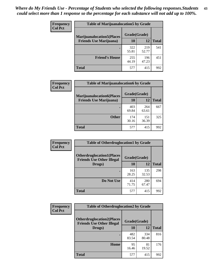| <b>Frequency</b> | <b>Table of Marijuanalocation5 by Grade</b> |              |              |              |
|------------------|---------------------------------------------|--------------|--------------|--------------|
| <b>Col Pct</b>   | <b>Marijuanalocation5(Places)</b>           | Grade(Grade) |              |              |
|                  | <b>Friends Use Marijuana</b> )              | 10           | 12           | <b>Total</b> |
|                  |                                             | 322<br>55.81 | 219<br>52.77 | 541          |
|                  | <b>Friend's House</b>                       | 255<br>44.19 | 196<br>47.23 | 451          |
|                  | <b>Total</b>                                | 577          | 415          | 992          |

| <b>Frequency</b> | <b>Table of Marijuanalocation6 by Grade</b>                        |                    |              |              |
|------------------|--------------------------------------------------------------------|--------------------|--------------|--------------|
| <b>Col Pct</b>   | <b>Marijuanalocation6(Places</b><br><b>Friends Use Marijuana</b> ) | Grade(Grade)<br>10 | 12           | <b>Total</b> |
|                  |                                                                    | 403<br>69.84       | 264<br>63.61 | 667          |
|                  | <b>Other</b>                                                       | 174<br>30.16       | 151<br>36.39 | 325          |
|                  | <b>Total</b>                                                       | 577                | 415          | 992          |

| <b>Frequency</b> | <b>Table of Otherdruglocation1 by Grade</b>                          |              |              |              |
|------------------|----------------------------------------------------------------------|--------------|--------------|--------------|
| <b>Col Pct</b>   | <b>Otherdruglocation1(Places</b><br><b>Friends Use Other Illegal</b> | Grade(Grade) |              |              |
|                  | Drugs)                                                               | 10           | 12           | <b>Total</b> |
|                  |                                                                      | 163<br>28.25 | 135<br>32.53 | 298          |
|                  | Do Not Use                                                           | 414<br>71.75 | 280<br>67.47 | 694          |
|                  | <b>Total</b>                                                         | 577          | 415          | 992          |

| Frequency      | <b>Table of Otherdruglocation2 by Grade</b>                           |              |              |              |
|----------------|-----------------------------------------------------------------------|--------------|--------------|--------------|
| <b>Col Pct</b> | <b>Otherdruglocation2(Places)</b><br><b>Friends Use Other Illegal</b> |              | Grade(Grade) |              |
|                | Drugs)                                                                | 10           | 12           | <b>Total</b> |
|                |                                                                       | 482<br>83.54 | 334<br>80.48 | 816          |
|                | Home                                                                  | 95<br>16.46  | 81<br>19.52  | 176          |
|                | <b>Total</b>                                                          | 577          | 415          | 992          |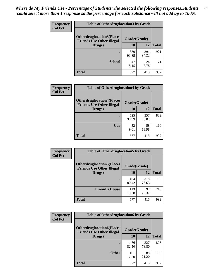| <b>Frequency</b> | <b>Table of Otherdruglocation 3 by Grade</b>                         |              |              |              |
|------------------|----------------------------------------------------------------------|--------------|--------------|--------------|
| <b>Col Pct</b>   | <b>Otherdruglocation3(Places</b><br><b>Friends Use Other Illegal</b> | Grade(Grade) |              |              |
|                  | Drugs)                                                               | 10           | 12           | <b>Total</b> |
|                  |                                                                      | 530<br>91.85 | 391<br>94.22 | 921          |
|                  | <b>School</b>                                                        | 47<br>8.15   | 24<br>5.78   | 71           |
|                  | <b>Total</b>                                                         | 577          | 415          | 992          |

| Frequency      | <b>Table of Otherdruglocation4 by Grade</b>                          |              |              |              |
|----------------|----------------------------------------------------------------------|--------------|--------------|--------------|
| <b>Col Pct</b> | <b>Otherdruglocation4(Places</b><br><b>Friends Use Other Illegal</b> | Grade(Grade) |              |              |
|                | Drugs)                                                               | 10           | 12           | <b>Total</b> |
|                |                                                                      | 525<br>90.99 | 357<br>86.02 | 882          |
|                | Car                                                                  | 52<br>9.01   | 58<br>13.98  | 110          |
|                | <b>Total</b>                                                         | 577          | 415          | 992          |

| Frequency      | <b>Table of Otherdruglocation5 by Grade</b>                          |              |              |              |
|----------------|----------------------------------------------------------------------|--------------|--------------|--------------|
| <b>Col Pct</b> | <b>Otherdruglocation5(Places</b><br><b>Friends Use Other Illegal</b> | Grade(Grade) |              |              |
|                | Drugs)                                                               | 10           | 12           | <b>Total</b> |
|                |                                                                      | 464<br>80.42 | 318<br>76.63 | 782          |
|                | <b>Friend's House</b>                                                | 113<br>19.58 | 97<br>23.37  | 210          |
|                | <b>Total</b>                                                         | 577          | 415          | 992          |

| <b>Frequency</b> | <b>Table of Otherdruglocation6 by Grade</b>                          |              |              |              |
|------------------|----------------------------------------------------------------------|--------------|--------------|--------------|
| <b>Col Pct</b>   | <b>Otherdruglocation6(Places</b><br><b>Friends Use Other Illegal</b> | Grade(Grade) |              |              |
|                  | Drugs)                                                               | 10           | 12           | <b>Total</b> |
|                  |                                                                      | 476<br>82.50 | 327<br>78.80 | 803          |
|                  | <b>Other</b>                                                         | 101<br>17.50 | 88<br>21.20  | 189          |
|                  | Total                                                                | 577          | 415          | 992          |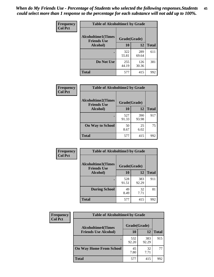| Frequency      | <b>Table of Alcoholtime1 by Grade</b>                           |              |              |              |
|----------------|-----------------------------------------------------------------|--------------|--------------|--------------|
| <b>Col Pct</b> | <b>Alcoholtime1(Times</b><br>Grade(Grade)<br><b>Friends Use</b> |              |              |              |
|                | Alcohol)                                                        | <b>10</b>    | 12           | <b>Total</b> |
|                |                                                                 | 322<br>55.81 | 289<br>69.64 | 611          |
|                | Do Not Use                                                      | 255<br>44.19 | 126<br>30.36 | 381          |
|                | <b>Total</b>                                                    | 577          | 415          | 992          |

| Frequency      | <b>Table of Alcoholtime2 by Grade</b>                           |              |              |              |
|----------------|-----------------------------------------------------------------|--------------|--------------|--------------|
| <b>Col Pct</b> | <b>Alcoholtime2(Times</b><br>Grade(Grade)<br><b>Friends Use</b> |              |              |              |
|                | Alcohol)                                                        | 10           | 12           | <b>Total</b> |
|                |                                                                 | 527<br>91.33 | 390<br>93.98 | 917          |
|                | <b>On Way to School</b>                                         | 50<br>8.67   | 25<br>6.02   | 75           |
|                | <b>Total</b>                                                    | 577          | 415          | 992          |

| Frequency<br><b>Col Pct</b> | <b>Table of Alcoholtime3 by Grade</b>                           |              |              |              |  |
|-----------------------------|-----------------------------------------------------------------|--------------|--------------|--------------|--|
|                             | <b>Alcoholtime3(Times</b><br>Grade(Grade)<br><b>Friends Use</b> |              |              |              |  |
|                             | Alcohol)                                                        | 10           | 12           | <b>Total</b> |  |
|                             |                                                                 | 528<br>91.51 | 383<br>92.29 | 911          |  |
|                             | <b>During School</b>                                            | 49<br>8.49   | 32<br>7.71   | 81           |  |
|                             | <b>Total</b>                                                    | 577          | 415          | 992          |  |

| <b>Frequency</b><br><b>Col Pct</b> | <b>Table of Alcoholtime4 by Grade</b> |              |              |              |
|------------------------------------|---------------------------------------|--------------|--------------|--------------|
|                                    | <b>Alcoholtime4(Times</b>             | Grade(Grade) |              |              |
|                                    | <b>Friends Use Alcohol)</b>           | 10           | 12           | <b>Total</b> |
|                                    |                                       | 532<br>92.20 | 383<br>92.29 | 915          |
|                                    | <b>On Way Home From School</b>        | 45<br>7.80   | 32<br>7.71   | 77           |
|                                    | <b>Total</b>                          | 577          | 415          | 992          |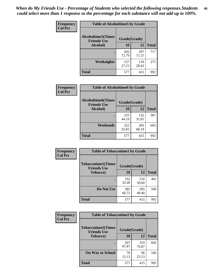*When do My Friends Use - Percentage of Students who selected the following responses.Students could select more than 1 response so the percentage for each substance will not add up to 100%.* **46**

| Frequency      | <b>Table of Alcoholtime5 by Grade</b>            |              |              |              |
|----------------|--------------------------------------------------|--------------|--------------|--------------|
| <b>Col Pct</b> | <b>Alcoholtime5</b> (Times<br><b>Friends Use</b> | Grade(Grade) |              |              |
|                | Alcohol)                                         | 10           | 12           | <b>Total</b> |
|                |                                                  | 420<br>72.79 | 297<br>71.57 | 717          |
|                | Weeknights                                       | 157<br>27.21 | 118<br>28.43 | 275          |
|                | <b>Total</b>                                     | 577          | 415          | 992          |

| Frequency      | <b>Table of Alcoholtime6 by Grade</b>           |              |              |              |
|----------------|-------------------------------------------------|--------------|--------------|--------------|
| <b>Col Pct</b> | <b>Alcoholtime6(Times</b><br><b>Friends Use</b> | Grade(Grade) |              |              |
|                | Alcohol)                                        | 10           | 12           | <b>Total</b> |
|                |                                                 | 255<br>44.19 | 132<br>31.81 | 387          |
|                | Weekends                                        | 322<br>55.81 | 283<br>68.19 | 605          |
|                | <b>Total</b>                                    | 577          | 415          | 992          |

| Frequency<br><b>Col Pct</b> | <b>Table of Tobaccotime1 by Grade</b>                           |              |              |              |
|-----------------------------|-----------------------------------------------------------------|--------------|--------------|--------------|
|                             | <b>Tobaccotime1(Times</b><br>Grade(Grade)<br><b>Friends Use</b> |              |              |              |
|                             | <b>Tobacco</b> )                                                | 10           | 12           | <b>Total</b> |
|                             |                                                                 | 192<br>33.28 | 210<br>50.60 | 402          |
|                             | Do Not Use                                                      | 385<br>66.72 | 205<br>49.40 | 590          |
|                             | <b>Total</b>                                                    | 577          | 415          | 992          |

| Frequency      | <b>Table of Tobaccotime2 by Grade</b>           |              |              |              |
|----------------|-------------------------------------------------|--------------|--------------|--------------|
| <b>Col Pct</b> | <b>Tobaccotime2(Times</b><br><b>Friends Use</b> | Grade(Grade) |              |              |
|                | <b>Tobacco</b> )                                | 10           | 12           | <b>Total</b> |
|                |                                                 | 507<br>87.87 | 319<br>76.87 | 826          |
|                | <b>On Way to School</b>                         | 70<br>12.13  | 96<br>23.13  | 166          |
|                | <b>Total</b>                                    | 577          | 415          | 992          |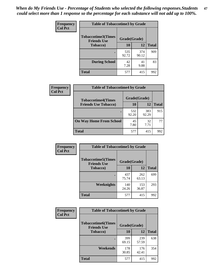*When do My Friends Use - Percentage of Students who selected the following responses.Students could select more than 1 response so the percentage for each substance will not add up to 100%.* **47**

| <b>Frequency</b> | <b>Table of Tobaccotime3 by Grade</b>           |              |              |              |  |
|------------------|-------------------------------------------------|--------------|--------------|--------------|--|
| <b>Col Pct</b>   | <b>Tobaccotime3(Times</b><br><b>Friends Use</b> | Grade(Grade) |              |              |  |
|                  | <b>Tobacco</b> )                                | 10           | 12           | <b>Total</b> |  |
|                  |                                                 | 535<br>92.72 | 374<br>90.12 | 909          |  |
|                  | <b>During School</b>                            | 42<br>7.28   | 41<br>9.88   | 83           |  |
|                  | <b>Total</b>                                    | 577          | 415          | 992          |  |

| <b>Frequency</b><br><b>Col Pct</b> | <b>Table of Tobaccotime4 by Grade</b> |              |              |              |
|------------------------------------|---------------------------------------|--------------|--------------|--------------|
|                                    | <b>Tobaccotime4(Times</b>             | Grade(Grade) |              |              |
|                                    | <b>Friends Use Tobacco)</b>           | 10           | 12           | <b>Total</b> |
|                                    |                                       | 532<br>92.20 | 383<br>92.29 | 915          |
|                                    | <b>On Way Home From School</b>        | 45<br>7.80   | 32<br>7.71   | 77           |
|                                    | Total                                 | 577          | 415          | 992          |

| Frequency      | <b>Table of Tobaccotime5 by Grade</b>                           |              |              |              |
|----------------|-----------------------------------------------------------------|--------------|--------------|--------------|
| <b>Col Pct</b> | <b>Tobaccotime5(Times</b><br>Grade(Grade)<br><b>Friends Use</b> |              |              |              |
|                | <b>Tobacco</b> )                                                | 10           | 12           | <b>Total</b> |
|                |                                                                 | 437<br>75.74 | 262<br>63.13 | 699          |
|                | Weeknights                                                      | 140<br>24.26 | 153<br>36.87 | 293          |
|                | <b>Total</b>                                                    | 577          | 415          | 992          |

| Frequency      | <b>Table of Tobaccotime6 by Grade</b>           |              |              |              |
|----------------|-------------------------------------------------|--------------|--------------|--------------|
| <b>Col Pct</b> | <b>Tobaccotime6(Times</b><br><b>Friends Use</b> | Grade(Grade) |              |              |
|                | <b>Tobacco</b> )                                | 10           | 12           | <b>Total</b> |
|                |                                                 | 399<br>69.15 | 239<br>57.59 | 638          |
|                | Weekends                                        | 178<br>30.85 | 176<br>42.41 | 354          |
|                | <b>Total</b>                                    | 577          | 415          | 992          |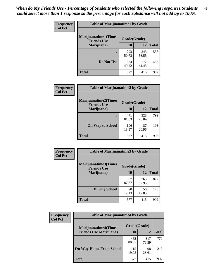| Frequency      | <b>Table of Marijuanatime1 by Grade</b>           |              |              |              |  |
|----------------|---------------------------------------------------|--------------|--------------|--------------|--|
| <b>Col Pct</b> | <b>Marijuanatime1(Times</b><br><b>Friends Use</b> | Grade(Grade) |              |              |  |
|                | Marijuana)                                        | 10           | 12           | <b>Total</b> |  |
|                |                                                   | 293<br>50.78 | 243<br>58.55 | 536          |  |
|                | Do Not Use                                        | 284<br>49.22 | 172<br>41.45 | 456          |  |
|                | <b>Total</b>                                      | 577          | 415          | 992          |  |

| <b>Frequency</b> | <b>Table of Marijuanatime2 by Grade</b>           |              |              |              |
|------------------|---------------------------------------------------|--------------|--------------|--------------|
| <b>Col Pct</b>   | <b>Marijuanatime2(Times</b><br><b>Friends Use</b> | Grade(Grade) |              |              |
|                  | Marijuana)                                        | 10           | 12           | <b>Total</b> |
|                  | $\bullet$                                         | 471<br>81.63 | 328<br>79.04 | 799          |
|                  | <b>On Way to School</b>                           | 106<br>18.37 | 87<br>20.96  | 193          |
|                  | <b>Total</b>                                      | 577          | 415          | 992          |

| Frequency      | <b>Table of Marijuanatime3 by Grade</b>    |              |              |              |
|----------------|--------------------------------------------|--------------|--------------|--------------|
| <b>Col Pct</b> | Marijuanatime3(Times<br><b>Friends Use</b> | Grade(Grade) |              |              |
|                | Marijuana)                                 | 10           | 12           | <b>Total</b> |
|                |                                            | 507<br>87.87 | 365<br>87.95 | 872          |
|                | <b>During School</b>                       | 70<br>12.13  | 50<br>12.05  | 120          |
|                | Total                                      | 577          | 415          | 992          |

| <b>Frequency</b> | <b>Table of Marijuanatime4 by Grade</b> |              |              |              |
|------------------|-----------------------------------------|--------------|--------------|--------------|
| <b>Col Pct</b>   | <b>Marijuanatime4(Times</b>             | Grade(Grade) |              |              |
|                  | <b>Friends Use Marijuana</b> )          | 10           | 12           | <b>Total</b> |
|                  |                                         | 462<br>80.07 | 317<br>76.39 | 779          |
|                  | <b>On Way Home From School</b>          | 115<br>19.93 | 98<br>23.61  | 213          |
|                  | <b>Total</b>                            | 577          | 415          | 992          |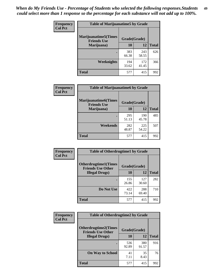| Frequency      | <b>Table of Marijuanatime5 by Grade</b>            |              |              |              |  |
|----------------|----------------------------------------------------|--------------|--------------|--------------|--|
| <b>Col Pct</b> | <b>Marijuanatime5</b> (Times<br><b>Friends Use</b> | Grade(Grade) |              |              |  |
|                | Marijuana)                                         | 10           | 12           | <b>Total</b> |  |
|                |                                                    | 383<br>66.38 | 243<br>58.55 | 626          |  |
|                | Weeknights                                         | 194<br>33.62 | 172<br>41.45 | 366          |  |
|                | <b>Total</b>                                       | 577          | 415          | 992          |  |

| Frequency      | <b>Table of Marijuanatime6 by Grade</b>    |              |              |              |
|----------------|--------------------------------------------|--------------|--------------|--------------|
| <b>Col Pct</b> | Marijuanatime6(Times<br><b>Friends Use</b> | Grade(Grade) |              |              |
|                | Marijuana)                                 | 10           | 12           | <b>Total</b> |
|                |                                            | 295<br>51.13 | 190<br>45.78 | 485          |
|                | Weekends                                   | 282<br>48.87 | 225<br>54.22 | 507          |
|                | <b>Total</b>                               | 577          | 415          | 992          |

| Frequency      | <b>Table of Otherdrugtime1 by Grade</b>                 |              |              |              |  |
|----------------|---------------------------------------------------------|--------------|--------------|--------------|--|
| <b>Col Pct</b> | <b>Otherdrugtime1(Times</b><br><b>Friends Use Other</b> | Grade(Grade) |              |              |  |
|                | <b>Illegal Drugs</b> )                                  | 10           | 12           | <b>Total</b> |  |
|                |                                                         | 155<br>26.86 | 127<br>30.60 | 282          |  |
|                | Do Not Use                                              | 422<br>73.14 | 288<br>69.40 | 710          |  |
|                | Total                                                   | 577          | 415          | 992          |  |

| Frequency      | <b>Table of Otherdrugtime2 by Grade</b>                 |              |              |              |
|----------------|---------------------------------------------------------|--------------|--------------|--------------|
| <b>Col Pct</b> | <b>Otherdrugtime2(Times</b><br><b>Friends Use Other</b> | Grade(Grade) |              |              |
|                | <b>Illegal Drugs</b> )                                  | 10           | 12           | <b>Total</b> |
|                |                                                         | 536<br>92.89 | 380<br>91.57 | 916          |
|                | <b>On Way to School</b>                                 | 41<br>7.11   | 35<br>8.43   | 76           |
|                | Total                                                   | 577          | 415          | 992          |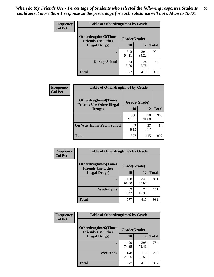| <b>Frequency</b> | <b>Table of Otherdrugtime3 by Grade</b>                          |              |              |              |
|------------------|------------------------------------------------------------------|--------------|--------------|--------------|
| <b>Col Pct</b>   | Otherdrugtime3(Times<br>Grade(Grade)<br><b>Friends Use Other</b> |              |              |              |
|                  | <b>Illegal Drugs</b> )                                           | 10           | 12           | <b>Total</b> |
|                  |                                                                  | 543<br>94.11 | 391<br>94.22 | 934          |
|                  | <b>During School</b>                                             | 34<br>5.89   | 24<br>5.78   | 58           |
|                  | Total                                                            | 577          | 415          | 992          |

| Frequency      | <b>Table of Otherdrugtime4 by Grade</b>                         |              |              |              |
|----------------|-----------------------------------------------------------------|--------------|--------------|--------------|
| <b>Col Pct</b> | <b>Otherdrugtime4(Times</b><br><b>Friends Use Other Illegal</b> | Grade(Grade) |              |              |
|                | Drugs)                                                          | 10           | 12           | <b>Total</b> |
|                | $\bullet$                                                       | 530<br>91.85 | 378<br>91.08 | 908          |
|                | <b>On Way Home From School</b>                                  | 47<br>8.15   | 37<br>8.92   | 84           |
|                | Total                                                           | 577          | 415          | 992          |

| <b>Frequency</b> | <b>Table of Otherdrugtime5 by Grade</b>                 |              |              |              |
|------------------|---------------------------------------------------------|--------------|--------------|--------------|
| <b>Col Pct</b>   | <b>Otherdrugtime5(Times</b><br><b>Friends Use Other</b> | Grade(Grade) |              |              |
|                  | <b>Illegal Drugs</b> )                                  | 10           | 12           | <b>Total</b> |
|                  |                                                         | 488<br>84.58 | 343<br>82.65 | 831          |
|                  | Weeknights                                              | 89<br>15.42  | 72<br>17.35  | 161          |
|                  | <b>Total</b>                                            | 577          | 415          | 992          |

| <b>Frequency</b><br><b>Col Pct</b> | <b>Table of Otherdrugtime6 by Grade</b>                                 |              |              |              |
|------------------------------------|-------------------------------------------------------------------------|--------------|--------------|--------------|
|                                    | <b>Otherdrugtime6(Times</b><br>Grade(Grade)<br><b>Friends Use Other</b> |              |              |              |
|                                    | <b>Illegal Drugs</b> )                                                  | 10           | 12           | <b>Total</b> |
|                                    |                                                                         | 429<br>74.35 | 305<br>73.49 | 734          |
|                                    | Weekends                                                                | 148<br>25.65 | 110<br>26.51 | 258          |
|                                    | <b>Total</b>                                                            | 577          | 415          | 992          |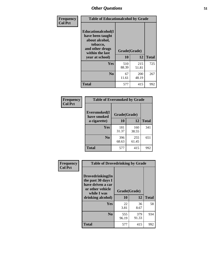| Frequency      | <b>Table of Educationalcohol by Grade</b>                                                                  |              |              |              |
|----------------|------------------------------------------------------------------------------------------------------------|--------------|--------------|--------------|
| <b>Col Pct</b> | Educationalcohol(I<br>have been taught<br>about alcohol,<br>tobacco,<br>and other drugs<br>within the last | Grade(Grade) |              |              |
|                | year at school)                                                                                            | 10           | 12           | <b>Total</b> |
|                | <b>Yes</b>                                                                                                 | 510<br>88.39 | 215<br>51.81 | 725          |
|                | N <sub>0</sub>                                                                                             | 67<br>11.61  | 200<br>48.19 | 267          |
|                | <b>Total</b>                                                                                               | 577          | 415          | 992          |

| Frequency      | <b>Table of Eversmoked by Grade</b> |              |              |              |  |
|----------------|-------------------------------------|--------------|--------------|--------------|--|
| <b>Col Pct</b> | Eversmoked(I<br>have smoked         | Grade(Grade) |              |              |  |
|                | a cigarette)                        | 10           | 12           | <b>Total</b> |  |
|                | Yes                                 | 181<br>31.37 | 160<br>38.55 | 341          |  |
|                | N <sub>0</sub>                      | 396<br>68.63 | 255<br>61.45 | 651          |  |
|                | <b>Total</b>                        | 577          | 415          | 992          |  |

| Frequency<br><b>Col Pct</b> | <b>Table of Drovedrinking by Grade</b>                                                                              |                    |              |              |
|-----------------------------|---------------------------------------------------------------------------------------------------------------------|--------------------|--------------|--------------|
|                             | Drovedrinking(In<br>the past 30 days I<br>have driven a car<br>or other vehicle<br>while I was<br>drinking alcohol) | Grade(Grade)<br>10 | 12           | <b>Total</b> |
|                             | <b>Yes</b>                                                                                                          | 22<br>3.81         | 36<br>8.67   | 58           |
|                             | N <sub>0</sub>                                                                                                      | 555<br>96.19       | 379<br>91.33 | 934          |
|                             | <b>Total</b>                                                                                                        | 577                | 415          | 992          |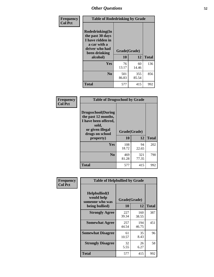| Frequency<br><b>Col Pct</b> | <b>Table of Rodedrinking by Grade</b>                                                                      |              |              |              |
|-----------------------------|------------------------------------------------------------------------------------------------------------|--------------|--------------|--------------|
|                             | Rodedrinking(In<br>the past 30 days<br>I have ridden in<br>a car with a<br>driver who had<br>been drinking |              | Grade(Grade) |              |
|                             | alcohol)                                                                                                   | 10           | 12           | <b>Total</b> |
|                             | <b>Yes</b>                                                                                                 | 76<br>13.17  | 60<br>14.46  | 136          |
|                             | N <sub>0</sub>                                                                                             | 501<br>86.83 | 355<br>85.54 | 856          |
|                             | <b>Total</b>                                                                                               | 577          | 415          | 992          |

#### **Frequency Col Pct**

| <b>Table of Drugsschool by Grade</b>                                                                                      |              |              |              |  |
|---------------------------------------------------------------------------------------------------------------------------|--------------|--------------|--------------|--|
| <b>Drugsschool</b> (During<br>the past 12 months,<br>I have been offered,<br>sold,<br>or given illegal<br>drugs on school | Grade(Grade) |              |              |  |
| property)                                                                                                                 | 10           | 12           | <b>Total</b> |  |
| Yes                                                                                                                       | 108<br>18.72 | 94<br>22.65  | 202          |  |
| N <sub>0</sub>                                                                                                            | 469<br>81.28 | 321<br>77.35 | 790          |  |
| <b>Total</b>                                                                                                              | 577          | 415          | 992          |  |

| Frequency      | <b>Table of Helpbullied by Grade</b>                                   |                    |              |              |
|----------------|------------------------------------------------------------------------|--------------------|--------------|--------------|
| <b>Col Pct</b> | $Helpb$ ullied $(I$<br>would help<br>someone who was<br>being bullied) | Grade(Grade)<br>10 | 12           | <b>Total</b> |
|                |                                                                        |                    |              |              |
|                | <b>Strongly Agree</b>                                                  | 227<br>39.34       | 160<br>38.55 | 387          |
|                | <b>Somewhat Agree</b>                                                  | 257<br>44.54       | 194<br>46.75 | 451          |
|                | <b>Somewhat Disagree</b>                                               | 61<br>10.57        | 35<br>8.43   | 96           |
|                | <b>Strongly Disagree</b>                                               | 32<br>5.55         | 26<br>6.27   | 58           |
|                | <b>Total</b>                                                           | 577                | 415          | 992          |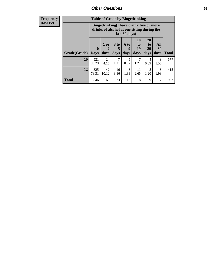| <b>Frequency</b><br>Row Pct |
|-----------------------------|
|                             |

| <b>Table of Grade by Bingedrinking</b> |                                                                                                         |                    |                   |                   |                       |                       |                   |                     |
|----------------------------------------|---------------------------------------------------------------------------------------------------------|--------------------|-------------------|-------------------|-----------------------|-----------------------|-------------------|---------------------|
|                                        | Bingedrinking(I have drunk five or more<br>drinks of alcohol at one sitting during the<br>last 30 days) |                    |                   |                   |                       |                       |                   |                     |
| Grade(Grade)                           | $\mathbf{0}$                                                                                            | 1 or<br>2          | 3 to<br>5         | <b>6 to</b><br>9  | <b>10</b><br>to<br>19 | <b>20</b><br>to<br>29 | All<br>30         |                     |
|                                        |                                                                                                         |                    |                   |                   |                       |                       |                   |                     |
| 10                                     | <b>Days</b><br>521<br>90.29                                                                             | days<br>24<br>4.16 | days<br>7<br>1.21 | days<br>5<br>0.87 | days<br>1.21          | days<br>4<br>0.69     | days<br>9<br>1.56 | <b>Total</b><br>577 |
| 12                                     | 325<br>78.31                                                                                            | 42<br>10.12        | 16<br>3.86        | 8<br>1.93         | 11<br>2.65            | 5<br>1.20             | 8<br>1.93         | 415                 |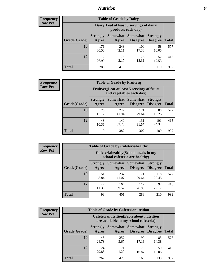#### *Nutrition* **54**

| <b>Frequency</b><br>Row Pct |
|-----------------------------|
|                             |

| <b>Table of Grade by Dairy</b> |                          |                                                                 |                                    |                                    |              |  |  |  |
|--------------------------------|--------------------------|-----------------------------------------------------------------|------------------------------------|------------------------------------|--------------|--|--|--|
|                                |                          | Dairy (I eat at least 3 servings of dairy<br>products each day) |                                    |                                    |              |  |  |  |
| Grade(Grade)                   | <b>Strongly</b><br>Agree | <b>Somewhat</b><br>Agree                                        | <b>Somewhat</b><br><b>Disagree</b> | <b>Strongly</b><br><b>Disagree</b> | <b>Total</b> |  |  |  |
| 10                             | 176<br>30.50             | 243<br>42.11                                                    | 100<br>17.33                       | 58<br>10.05                        | 577          |  |  |  |
| 12                             | 112<br>26.99             | 175<br>42.17                                                    | 76<br>18.31                        | 52<br>12.53                        | 415          |  |  |  |
| <b>Total</b>                   | 288                      | 418                                                             | 176                                | 110                                | 992          |  |  |  |

| <b>Frequency</b> |  |
|------------------|--|
| <b>Row Pct</b>   |  |

| <b>Table of Grade by Fruitveg</b> |                          |                                                                          |                                        |                                    |              |  |
|-----------------------------------|--------------------------|--------------------------------------------------------------------------|----------------------------------------|------------------------------------|--------------|--|
|                                   |                          | Fruitveg(I eat at least 5 servings of fruits<br>and vegetables each day) |                                        |                                    |              |  |
| Grade(Grade)                      | <b>Strongly</b><br>Agree | Agree                                                                    | Somewhat   Somewhat<br><b>Disagree</b> | <b>Strongly</b><br><b>Disagree</b> | <b>Total</b> |  |
| 10                                | 76<br>13.17              | 242<br>41.94                                                             | 171<br>29.64                           | 88<br>15.25                        | 577          |  |
| 12                                | 43<br>10.36              | 140<br>33.73                                                             | 131<br>31.57                           | 101<br>24.34                       | 415          |  |
| <b>Total</b>                      | 119                      | 382                                                                      | 302                                    | 189                                | 992          |  |

| <b>Frequency</b> | <b>Table of Grade by Cafeteriahealthy</b> |                                                                       |                     |                                    |                                    |              |  |  |  |
|------------------|-------------------------------------------|-----------------------------------------------------------------------|---------------------|------------------------------------|------------------------------------|--------------|--|--|--|
| <b>Row Pct</b>   |                                           | Cafeteriahealthy (School meals in my<br>school cafeteria are healthy) |                     |                                    |                                    |              |  |  |  |
|                  | Grade(Grade)                              | <b>Strongly</b><br>Agree                                              | Somewhat  <br>Agree | <b>Somewhat</b><br><b>Disagree</b> | <b>Strongly</b><br><b>Disagree</b> | <b>Total</b> |  |  |  |
|                  | 10                                        | 51<br>8.84                                                            | 237<br>41.07        | 171<br>29.64                       | 118<br>20.45                       | 577          |  |  |  |
|                  | 12                                        | 47<br>11.33                                                           | 164<br>39.52        | 112<br>26.99                       | 92<br>22.17                        | 415          |  |  |  |
|                  | Total                                     | 98                                                                    | 401                 | 283                                | 210                                | 992          |  |  |  |

| <b>Frequency</b> |
|------------------|
| <b>Row Pct</b>   |

| <b>Table of Grade by Cafeterianutrition</b>                                               |                          |                   |                             |                                    |              |  |
|-------------------------------------------------------------------------------------------|--------------------------|-------------------|-----------------------------|------------------------------------|--------------|--|
| <b>Cafeterianutrition</b> (Facts about nutrition<br>are available in my school cafeteria) |                          |                   |                             |                                    |              |  |
| Grade(Grade)                                                                              | <b>Strongly</b><br>Agree | Somewhat<br>Agree | <b>Somewhat</b><br>Disagree | <b>Strongly</b><br><b>Disagree</b> | <b>Total</b> |  |
| 10                                                                                        | 143<br>24.78             | 252<br>43.67      | 99<br>17.16                 | 83<br>14.38                        | 577          |  |
| 12                                                                                        | 124<br>29.88             | 171<br>41.20      | 70<br>16.87                 | 50<br>12.05                        | 415          |  |
| <b>Total</b>                                                                              | 267                      | 423               | 169                         | 133                                | 992          |  |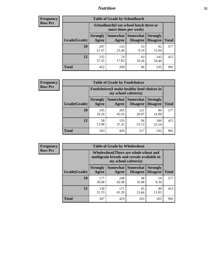### *Nutrition* **55**

| Frequency |
|-----------|
| Row Pct   |

| <b>Table of Grade by Schoollunch</b> |                          |                                                                 |                                    |                                    |              |  |  |  |
|--------------------------------------|--------------------------|-----------------------------------------------------------------|------------------------------------|------------------------------------|--------------|--|--|--|
|                                      |                          | Schoollunch(I eat school lunch three or<br>more times per week) |                                    |                                    |              |  |  |  |
| Grade(Grade)                         | <b>Strongly</b><br>Agree | <b>Somewhat</b><br>Agree                                        | <b>Somewhat</b><br><b>Disagree</b> | <b>Strongly</b><br><b>Disagree</b> | <b>Total</b> |  |  |  |
| 10                                   | 297<br>51.47             | 135<br>23.40                                                    | 53<br>9.19                         | 92<br>15.94                        | 577          |  |  |  |
| 12                                   | 155<br>37.35             | 74<br>17.83                                                     | 43<br>10.36                        | 143<br>34.46                       | 415          |  |  |  |
| <b>Total</b>                         | 452                      | 209                                                             | 96                                 | 235                                | 992          |  |  |  |

| <b>Frequency</b> |  |
|------------------|--|
| <b>Row Pct</b>   |  |

| <b>Table of Grade by Foodchoices</b> |                          |                                                                            |                                 |                                    |              |  |
|--------------------------------------|--------------------------|----------------------------------------------------------------------------|---------------------------------|------------------------------------|--------------|--|
|                                      |                          | <b>Foodchoices</b> (I make healthy food choices in<br>my school cafeteria) |                                 |                                    |              |  |
| Grade(Grade)                         | <b>Strongly</b><br>Agree | Agree                                                                      | Somewhat   Somewhat<br>Disagree | <b>Strongly</b><br><b>Disagree</b> | <b>Total</b> |  |
| 10                                   | 105<br>18.20             | 265<br>45.93                                                               | 121<br>20.97                    | 86<br>14.90                        | 577          |  |
| 12                                   | 58<br>13.98              | 155<br>37.35                                                               | 96<br>23.13                     | 106<br>25.54                       | 415          |  |
| Total                                | 163                      | 420                                                                        | 217                             | 192                                | 992          |  |

| Frequency      | <b>Table of Grade by Wholewheat</b> |                                                                                                             |                   |                             |                                    |              |  |
|----------------|-------------------------------------|-------------------------------------------------------------------------------------------------------------|-------------------|-----------------------------|------------------------------------|--------------|--|
| <b>Row Pct</b> |                                     | Wholewheat (There are whole wheat and<br>multigrain breads and cereals available in<br>my school cafeteria) |                   |                             |                                    |              |  |
|                | Grade(Grade)                        | <b>Strongly</b><br>Agree                                                                                    | Somewhat<br>Agree | Somewhat<br><b>Disagree</b> | <b>Strongly</b><br><b>Disagree</b> | <b>Total</b> |  |
|                | 10                                  | 177<br>30.68                                                                                                | 248<br>42.98      | 98<br>16.98                 | 54<br>9.36                         | 577          |  |
|                | 12                                  | 130<br>31.33                                                                                                | 171<br>41.20      | 65<br>15.66                 | 49<br>11.81                        | 415          |  |
|                | <b>Total</b>                        | 307                                                                                                         | 419               | 163                         | 103                                | 992          |  |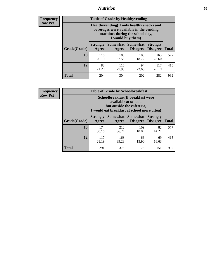#### *Nutrition* **56**

**Frequency Row Pct**

| <b>Table of Grade by Healthyvending</b> |                                                                                                                                               |                          |                                    |                                    |              |  |  |
|-----------------------------------------|-----------------------------------------------------------------------------------------------------------------------------------------------|--------------------------|------------------------------------|------------------------------------|--------------|--|--|
|                                         | Healthyvending (If only healthy snacks and<br>beverages were available in the vending<br>machines during the school day,<br>I would buy them) |                          |                                    |                                    |              |  |  |
| Grade(Grade)                            | <b>Strongly</b><br>Agree                                                                                                                      | <b>Somewhat</b><br>Agree | <b>Somewhat</b><br><b>Disagree</b> | <b>Strongly</b><br><b>Disagree</b> | <b>Total</b> |  |  |
| 10                                      | 116<br>20.10                                                                                                                                  | 188<br>32.58             | 108<br>18.72                       | 165<br>28.60                       | 577          |  |  |
| 12                                      | 88<br>21.20                                                                                                                                   | 116<br>27.95             | 94<br>22.65                        | 117<br>28.19                       | 415          |  |  |
| <b>Total</b>                            | 204                                                                                                                                           | 304                      | 202                                | 282                                | 992          |  |  |

**Frequency Row Pct**

| <b>Table of Grade by Schoolbreakfast</b> |                                                                                                                                         |                          |                                    |                                    |              |  |  |
|------------------------------------------|-----------------------------------------------------------------------------------------------------------------------------------------|--------------------------|------------------------------------|------------------------------------|--------------|--|--|
|                                          | Schoolbreakfast (If breakfast were<br>available at school,<br>but outside the cafeteria,<br>I would eat breakfast at school more often) |                          |                                    |                                    |              |  |  |
| Grade(Grade)                             | <b>Strongly</b><br>Agree                                                                                                                | <b>Somewhat</b><br>Agree | <b>Somewhat</b><br><b>Disagree</b> | <b>Strongly</b><br><b>Disagree</b> | <b>Total</b> |  |  |
| 10                                       | 174<br>30.16                                                                                                                            | 212<br>36.74             | 109<br>18.89                       | 82<br>14.21                        | 577          |  |  |
| 12                                       | 117<br>28.19                                                                                                                            | 163<br>39.28             | 66<br>15.90                        | 69<br>16.63                        | 415          |  |  |
| <b>Total</b>                             | 291                                                                                                                                     | 375                      | 175                                | 151                                | 992          |  |  |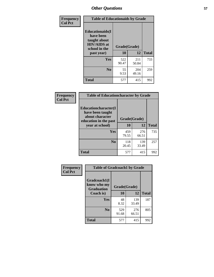| Frequency<br><b>Col Pct</b> | <b>Table of Educationaids by Grade</b>                                                                    |                    |              |              |
|-----------------------------|-----------------------------------------------------------------------------------------------------------|--------------------|--------------|--------------|
|                             | <b>Educationaids</b> (I<br>have been<br>taught about<br><b>HIV/AIDS</b> at<br>school in the<br>past year) | Grade(Grade)<br>10 | 12           | <b>Total</b> |
|                             | Yes                                                                                                       | 522<br>90.47       | 211<br>50.84 | 733          |
|                             | N <sub>0</sub>                                                                                            | 55<br>9.53         | 204<br>49.16 | 259          |
|                             | <b>Total</b>                                                                                              | 577                | 415          | 992          |

| Frequency      | <b>Table of Educationcharacter by Grade</b>                                          |              |              |              |  |  |
|----------------|--------------------------------------------------------------------------------------|--------------|--------------|--------------|--|--|
| <b>Col Pct</b> | Educationcharacter(I<br>have been taught<br>about character<br>education in the past | Grade(Grade) |              |              |  |  |
|                | year at school)                                                                      | 10           | 12           | <b>Total</b> |  |  |
|                | <b>Yes</b>                                                                           | 459<br>79.55 | 276<br>66.51 | 735          |  |  |
|                | N <sub>0</sub>                                                                       | 118<br>20.45 | 139<br>33.49 | 257          |  |  |
|                | <b>Total</b>                                                                         | 577          | 415          | 992          |  |  |

| Frequency      | <b>Table of Gradcoach1 by Grade</b>              |              |              |              |
|----------------|--------------------------------------------------|--------------|--------------|--------------|
| <b>Col Pct</b> | Gradcoach1(I<br>know who my<br><b>Graduation</b> | Grade(Grade) |              |              |
|                | Coach is)                                        | 10           | 12           | <b>Total</b> |
|                | Yes                                              | 48<br>8.32   | 139<br>33.49 | 187          |
|                | N <sub>0</sub>                                   | 529<br>91.68 | 276<br>66.51 | 805          |
|                | <b>Total</b>                                     | 577          | 415          | 992          |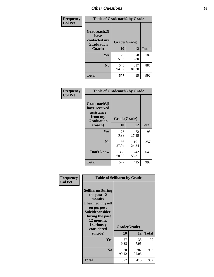| Frequency      | <b>Table of Gradcoach2 by Grade</b>       |              |              |              |  |
|----------------|-------------------------------------------|--------------|--------------|--------------|--|
| <b>Col Pct</b> |                                           |              |              |              |  |
|                | Gradcoach2(I                              |              |              |              |  |
|                | have<br>contacted my<br><b>Graduation</b> |              | Grade(Grade) |              |  |
|                | Coach)                                    | 10           | 12           | <b>Total</b> |  |
|                | Yes                                       | 29<br>5.03   | 78<br>18.80  | 107          |  |
|                | N <sub>0</sub>                            | 548<br>94.97 | 337<br>81.20 | 885          |  |
|                | <b>Total</b>                              | 577          | 415          | 992          |  |

| <b>Frequency</b><br><b>Col Pct</b> | <b>Table of Gradcoach3 by Grade</b>                                         |              |              |              |
|------------------------------------|-----------------------------------------------------------------------------|--------------|--------------|--------------|
|                                    | Gradcoach3(I<br>have received<br>assistance<br>from my<br><b>Graduation</b> | Grade(Grade) |              |              |
|                                    | Coach)                                                                      | 10           | 12           | <b>Total</b> |
|                                    | Yes                                                                         | 23<br>3.99   | 72<br>17.35  | 95           |
|                                    | N <sub>0</sub>                                                              | 156<br>27.04 | 101<br>24.34 | 257          |
|                                    | Don't know                                                                  | 398<br>68.98 | 242<br>58.31 | 640          |
|                                    | <b>Total</b>                                                                | 577          | 415          | 992          |

| Frequency<br><b>Col Pct</b> | <b>Table of Selfharm by Grade</b>                                                                                                                                          |              |              |              |
|-----------------------------|----------------------------------------------------------------------------------------------------------------------------------------------------------------------------|--------------|--------------|--------------|
|                             | <b>Selfharm</b> (During<br>the past 12<br>months,<br>I harmed myself<br>on purpose<br><b>Suicideconsider</b><br>During the past<br>12 months,<br>I seriously<br>considered | Grade(Grade) |              |              |
|                             | suicide)                                                                                                                                                                   | 10           | 12           | <b>Total</b> |
|                             | Yes                                                                                                                                                                        | 57<br>9.88   | 33<br>7.95   | 90           |
|                             | N <sub>0</sub>                                                                                                                                                             | 520<br>90.12 | 382<br>92.05 | 902          |
|                             | <b>Total</b>                                                                                                                                                               | 577          | 415          | 992          |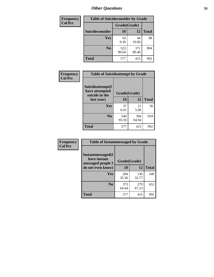| <b>Frequency</b> | <b>Table of Suicideconsider by Grade</b> |              |              |              |
|------------------|------------------------------------------|--------------|--------------|--------------|
| <b>Col Pct</b>   |                                          | Grade(Grade) |              |              |
|                  | Suicideconsider                          | <b>10</b>    | 12           | <b>Total</b> |
|                  | Yes                                      | 54<br>9.36   | 44<br>10.60  | 98           |
|                  | N <sub>0</sub>                           | 523<br>90.64 | 371<br>89.40 | 894          |
|                  | Total                                    | 577          | 415          | 992          |

| Frequency      | <b>Table of Suicideattempt by Grade</b>              |              |              |              |
|----------------|------------------------------------------------------|--------------|--------------|--------------|
| <b>Col Pct</b> | Suicideattempt(I<br>have attempted<br>suicide in the | Grade(Grade) |              |              |
|                | last year)                                           | 10           | 12           | <b>Total</b> |
|                | Yes                                                  | 37<br>6.41   | 21<br>5.06   | 58           |
|                | N <sub>0</sub>                                       | 540<br>93.59 | 394<br>94.94 | 934          |
|                | <b>Total</b>                                         | 577          | 415          | 992          |

| Frequency      | <b>Table of Instantmessaged by Grade</b>               |              |              |              |
|----------------|--------------------------------------------------------|--------------|--------------|--------------|
| <b>Col Pct</b> | Instantmessaged(I<br>have instant<br>messaged people I | Grade(Grade) |              |              |
|                | do not even know)                                      | 10           | 12           | <b>Total</b> |
|                | Yes                                                    | 204<br>35.36 | 136<br>32.77 | 340          |
|                | N <sub>0</sub>                                         | 373<br>64.64 | 279<br>67.23 | 652          |
|                | <b>Total</b>                                           | 577          | 415          | 992          |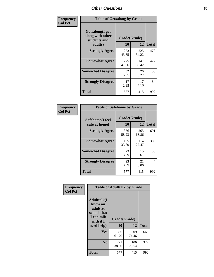| Frequency      | <b>Table of Getsalong by Grade</b>                          |              |              |              |  |  |  |  |
|----------------|-------------------------------------------------------------|--------------|--------------|--------------|--|--|--|--|
| <b>Col Pct</b> | <b>Getsalong</b> (I get<br>along with other<br>students and | Grade(Grade) |              |              |  |  |  |  |
|                | adults)                                                     | 10           | 12           | <b>Total</b> |  |  |  |  |
|                | <b>Strongly Agree</b>                                       | 253<br>43.85 | 225<br>54.22 | 478          |  |  |  |  |
|                | <b>Somewhat Agree</b>                                       | 275<br>47.66 | 147<br>35.42 | 422          |  |  |  |  |
|                | <b>Somewhat Disagree</b>                                    | 32<br>5.55   | 26<br>6.27   | 58           |  |  |  |  |
|                | <b>Strongly Disagree</b>                                    | 17<br>2.95   | 17<br>4.10   | 34           |  |  |  |  |
|                | <b>Total</b>                                                | 577          | 415          | 992          |  |  |  |  |

| Frequency      | <b>Table of Safehome by Grade</b> |                           |              |     |  |  |  |  |
|----------------|-----------------------------------|---------------------------|--------------|-----|--|--|--|--|
| <b>Col Pct</b> | Safehome(I feel<br>safe at home)  | Grade(Grade)<br><b>10</b> | <b>Total</b> |     |  |  |  |  |
|                | <b>Strongly Agree</b>             | 336<br>58.23              | 265<br>63.86 | 601 |  |  |  |  |
|                | <b>Somewhat Agree</b>             | 195<br>33.80              | 114<br>27.47 | 309 |  |  |  |  |
|                | <b>Somewhat Disagree</b>          | 23<br>3.99                | 15<br>3.61   | 38  |  |  |  |  |
|                | <b>Strongly Disagree</b>          | 23<br>3.99                | 21<br>5.06   | 44  |  |  |  |  |
|                | <b>Total</b>                      | 577                       | 415          | 992 |  |  |  |  |

| Frequency      | <b>Table of Adulttalk by Grade</b>                                                  |              |              |              |  |  |  |  |  |
|----------------|-------------------------------------------------------------------------------------|--------------|--------------|--------------|--|--|--|--|--|
| <b>Col Pct</b> | <b>Adulttalk(I</b><br>know an<br>adult at<br>school that<br>I can talk<br>with if I | Grade(Grade) |              |              |  |  |  |  |  |
|                | need help)                                                                          | 10           | 12           | <b>Total</b> |  |  |  |  |  |
|                | Yes                                                                                 | 356<br>61.70 | 309<br>74.46 | 665          |  |  |  |  |  |
|                | N <sub>0</sub>                                                                      | 221<br>38.30 | 106<br>25.54 | 327          |  |  |  |  |  |
|                | <b>Total</b>                                                                        | 577          | 415          | 992          |  |  |  |  |  |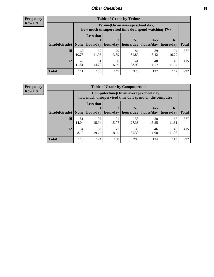**Frequency Row Pct**

| <b>Table of Grade by Tytime</b> |             |                                                                                         |             |                      |                      |                     |              |  |  |  |
|---------------------------------|-------------|-----------------------------------------------------------------------------------------|-------------|----------------------|----------------------|---------------------|--------------|--|--|--|
|                                 |             | Tytime (On an average school day,<br>how much unsupervised time do I spend watching TV) |             |                      |                      |                     |              |  |  |  |
|                                 |             | <b>Less that</b>                                                                        |             |                      |                      |                     |              |  |  |  |
| Grade(Grade)                    | None        | hour/day                                                                                | hour/day    | $2 - 3$<br>hours/day | $4 - 5$<br>hours/day | $6+$<br>  hours/day | <b>Total</b> |  |  |  |
| 10                              | 62<br>10.75 | 69<br>11.96                                                                             | 79<br>13.69 | 184<br>31.89         | 89<br>15.42          | 94<br>16.29         | 577          |  |  |  |
| 12                              | 49<br>11.81 | 61<br>14.70                                                                             | 68<br>16.39 | 141<br>33.98         | 48<br>11.57          | 48<br>11.57         | 415          |  |  |  |
| <b>Total</b>                    | 111         | 130                                                                                     | 147         | 325                  | 137                  | 142                 | 992          |  |  |  |

**Frequency Row Pct**

| <b>Table of Grade by Computertime</b> |             |                                                                                                                               |             |              |             |             |     |  |  |  |
|---------------------------------------|-------------|-------------------------------------------------------------------------------------------------------------------------------|-------------|--------------|-------------|-------------|-----|--|--|--|
|                                       |             | Computertime (On an average school day,<br>how much unsupervised time do I spend on the computer)                             |             |              |             |             |     |  |  |  |
| Grade(Grade)                          | None        | <b>Less that</b><br>$4 - 5$<br>$2 - 3$<br>$6+$<br>hours/day<br>hours/day<br>hour/day<br>hour/day<br>hours/day<br><b>Total</b> |             |              |             |             |     |  |  |  |
| 10                                    | 81<br>14.04 | 92<br>15.94                                                                                                                   | 91<br>15.77 | 158<br>27.38 | 88<br>15.25 | 67<br>11.61 | 577 |  |  |  |
| 12                                    | 34<br>8.19  | 82<br>19.76                                                                                                                   | 77<br>18.55 | 130<br>31.33 | 46<br>11.08 | 46<br>11.08 | 415 |  |  |  |
| <b>Total</b>                          | 115         | 174                                                                                                                           | 168         | 288          | 134         | 113         | 992 |  |  |  |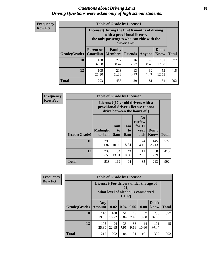#### *Questions about Driving Laws* **62** *Driving Questions were asked only of high school students.*

| <b>Frequency</b> |
|------------------|
| <b>Row Pct</b>   |

| <b>Table of Grade by License1</b> |                                                                         |                                                                                                                                           |            |            |              |     |  |  |  |  |
|-----------------------------------|-------------------------------------------------------------------------|-------------------------------------------------------------------------------------------------------------------------------------------|------------|------------|--------------|-----|--|--|--|--|
|                                   |                                                                         | License1(During the first 6 months of driving<br>with a provisional license,<br>the only passengers who can ride with the<br>driver are:) |            |            |              |     |  |  |  |  |
| Grade(Grade)                      | <b>Parent or</b><br><b>Guardian</b>                                     | Don't<br>Family<br><b>Members</b><br><b>Friends</b><br>Know<br><b>Total</b><br>Anyone                                                     |            |            |              |     |  |  |  |  |
| 10                                | 188<br>32.58                                                            | 222<br>38.47                                                                                                                              | 16<br>2.77 | 49<br>8.49 | 102<br>17.68 | 577 |  |  |  |  |
| 12                                | 32<br>52<br>105<br>213<br>13<br>7.71<br>3.13<br>25.30<br>51.33<br>12.53 |                                                                                                                                           |            |            |              |     |  |  |  |  |
| <b>Total</b>                      | 293                                                                     | 435                                                                                                                                       | 29         | 81         | 154          | 992 |  |  |  |  |

| <b>Frequency</b> | <b>Table of Grade by License2</b>                                                                                    |                           |                  |                              |                                                      |                      |              |  |  |
|------------------|----------------------------------------------------------------------------------------------------------------------|---------------------------|------------------|------------------------------|------------------------------------------------------|----------------------|--------------|--|--|
| <b>Row Pct</b>   | License $2(17 \text{ yr})$ old drivers with a<br>provisional driver's license cannot<br>drive between the hours of:) |                           |                  |                              |                                                      |                      |              |  |  |
|                  | Grade(Grade)                                                                                                         | <b>Midnight</b><br>to 6am | 1am<br>to<br>5am | 1am<br>t <sub>0</sub><br>6am | N <sub>0</sub><br>curfew<br>for $17$<br>year<br>olds | Don't<br><b>Know</b> | <b>Total</b> |  |  |
|                  | 10                                                                                                                   | 299<br>51.82              | 58<br>10.05      | 51<br>8.84                   | 24<br>4.16                                           | 145<br>25.13         | 577          |  |  |
|                  | 12                                                                                                                   | 239<br>57.59              | 54<br>13.01      | 43<br>10.36                  | 11<br>2.65                                           | 68<br>16.39          | 415          |  |  |
|                  | <b>Total</b>                                                                                                         | 538                       | 112              | 94                           | 35                                                   | 213                  | 992          |  |  |

| Frequency      | <b>Table of Grade by License3</b>                                                              |                      |              |            |            |             |               |              |  |
|----------------|------------------------------------------------------------------------------------------------|----------------------|--------------|------------|------------|-------------|---------------|--------------|--|
| <b>Row Pct</b> | License3(For drivers under the age of<br>21.<br>what level of alcohol is considered<br>$DUI$ ? |                      |              |            |            |             |               |              |  |
|                | Grade(Grade)                                                                                   | Any<br><b>Amount</b> | 0.02         | 0.04       | 0.06       | 0.08        | Don't<br>know | <b>Total</b> |  |
|                | <b>10</b>                                                                                      | 110<br>19.06         | 108<br>18.72 | 51<br>8.84 | 43<br>7.45 | 57<br>9.88  | 208<br>36.05  | 577          |  |
|                | 12                                                                                             | 105<br>25.30         | 94<br>22.65  | 33<br>7.95 | 38<br>9.16 | 44<br>10.60 | 101<br>24.34  | 415          |  |
|                | <b>Total</b>                                                                                   | 215                  | 202          | 84         | 81         | 101         | 309           | 992          |  |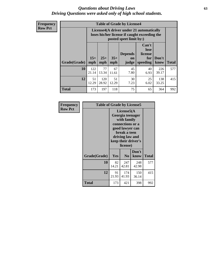#### *Questions about Driving Laws* **63** *Driving Questions were asked only of high school students.*

**Frequency Row Pct**

| <b>Table of Grade by License4</b> |              |                                                                                                                                                                                                                                                                                       |             |            |            |              |     |  |  |  |
|-----------------------------------|--------------|---------------------------------------------------------------------------------------------------------------------------------------------------------------------------------------------------------------------------------------------------------------------------------------|-------------|------------|------------|--------------|-----|--|--|--|
|                                   |              | License4(A driver under 21 automatically<br>loses his/her license if caught exceeding the<br>posted speet limit by:)<br>Can't<br>lose<br><b>Depends</b><br>license<br>$15+$<br>$25+$<br>$35+$<br>Don't<br>for<br><b>on</b><br><b>Total</b><br>mph<br>speeding<br>mph<br>judge<br>know |             |            |            |              |     |  |  |  |
| Grade(Grade)                      | mph          |                                                                                                                                                                                                                                                                                       |             |            |            |              |     |  |  |  |
| 10                                | 122<br>21.14 | 77<br>13.34                                                                                                                                                                                                                                                                           | 67<br>11.61 | 45<br>7.80 | 40<br>6.93 | 226<br>39.17 | 577 |  |  |  |
| 12                                | 51<br>12.29  | 120<br>28.92                                                                                                                                                                                                                                                                          | 51<br>12.29 | 30<br>7.23 | 25<br>6.02 | 138<br>33.25 | 415 |  |  |  |
| <b>Total</b>                      | 173          | 197                                                                                                                                                                                                                                                                                   | 118         | 75         | 65         | 364          | 992 |  |  |  |

| Frequency      | <b>Table of Grade by License5</b> |                                                                                                                                                             |                |               |              |
|----------------|-----------------------------------|-------------------------------------------------------------------------------------------------------------------------------------------------------------|----------------|---------------|--------------|
| <b>Row Pct</b> |                                   | License5(A)<br>Georgia teenager<br>with family<br>connections or a<br>good lawyer can<br>break a teen<br>driving law and<br>keep their driver's<br>license) |                |               |              |
|                | Grade(Grade)                      | <b>Yes</b>                                                                                                                                                  | N <sub>0</sub> | Don't<br>know | <b>Total</b> |
|                | 10                                | 82<br>14.21                                                                                                                                                 | 247<br>42.81   | 248<br>42.98  | 577          |
|                | 12                                | 91<br>21.93                                                                                                                                                 | 174<br>41.93   | 150<br>36.14  | 415          |
|                | Total                             | 173                                                                                                                                                         | 421            | 398           | 992          |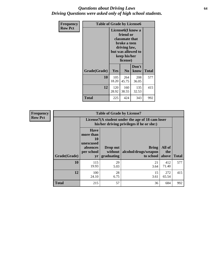#### *Questions about Driving Laws* **64** *Driving Questions were asked only of high school students.*

| <b>Frequency</b> | <b>Table of Grade by License6</b> |                                                                                                                                                 |                |               |              |
|------------------|-----------------------------------|-------------------------------------------------------------------------------------------------------------------------------------------------|----------------|---------------|--------------|
| <b>Row Pct</b>   |                                   | License <sub>6</sub> (I know a<br>friend or<br>classmate that<br>broke a teen<br>driving law,<br>but was allowed to<br>keep his/her<br>license) |                |               |              |
|                  | Grade(Grade)                      | <b>Yes</b>                                                                                                                                      | N <sub>0</sub> | Don't<br>know | <b>Total</b> |
|                  | 10                                | 105<br>18.20                                                                                                                                    | 264<br>45.75   | 208<br>36.05  | 577          |
|                  | 12                                | 120<br>28.92                                                                                                                                    | 160<br>38.55   | 135<br>32.53  | 415          |
|                  | <b>Total</b>                      | 225                                                                                                                                             | 424            | 343           | 992          |

| <b>Frequency</b> |              |                                                                             | <b>Table of Grade by License7</b>                                                             |                                                   |                        |              |  |
|------------------|--------------|-----------------------------------------------------------------------------|-----------------------------------------------------------------------------------------------|---------------------------------------------------|------------------------|--------------|--|
| <b>Row Pct</b>   |              |                                                                             | License7(A student under the age of 18 cam loser<br>his/her driving privileges if he or she:) |                                                   |                        |              |  |
|                  | Grade(Grade) | <b>Have</b><br>more than<br>10<br>unexcused<br>absences<br>per school<br>yr | Drop out<br>without  <br>graduating                                                           | <b>Bring</b><br>alcohol/drugs/weapon<br>to school | All of<br>the<br>above | <b>Total</b> |  |
|                  | 10           | 115<br>19.93                                                                | 29<br>5.03                                                                                    | 21<br>3.64                                        | 412<br>71.40           | 577          |  |
|                  | 12           | 100<br>24.10                                                                | 28<br>6.75                                                                                    | 15<br>3.61                                        | 272<br>65.54           | 415          |  |
|                  | <b>Total</b> | 215                                                                         | 57                                                                                            | 36                                                | 684                    | 992          |  |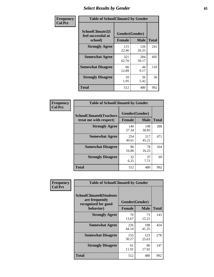# *Select Results by Gender* **65**

| Frequency      | <b>Table of SchoolClimate2 by Gender</b> |                |              |              |
|----------------|------------------------------------------|----------------|--------------|--------------|
| <b>Col Pct</b> | SchoolClimate2(I<br>feel successful at   | Gender(Gender) |              |              |
|                | school)                                  | <b>Female</b>  | <b>Male</b>  | <b>Total</b> |
|                | <b>Strongly Agree</b>                    | 115<br>22.46   | 126<br>26.25 | 241          |
|                | <b>Somewhat Agree</b>                    | 321<br>62.70   | 284<br>59.17 | 605          |
|                | <b>Somewhat Disagree</b>                 | 66<br>12.89    | 44<br>9.17   | 110          |
|                | <b>Strongly Disagree</b>                 | 10<br>1.95     | 26<br>5.42   | 36           |
|                | <b>Total</b>                             | 512            | 480          | 992          |

| Frequency      | <b>Table of SchoolClimate6 by Gender</b>                 |                                 |              |              |  |
|----------------|----------------------------------------------------------|---------------------------------|--------------|--------------|--|
| <b>Col Pct</b> | <b>SchoolClimate6(Teachers</b><br>treat me with respect) | Gender(Gender)<br><b>Female</b> | <b>Male</b>  | <b>Total</b> |  |
|                | <b>Strongly Agree</b>                                    | 140<br>27.34                    | 148<br>30.83 | 288          |  |
|                | <b>Somewhat Agree</b>                                    | 254<br>49.61                    | 217<br>45.21 | 471          |  |
|                | <b>Somewhat Disagree</b>                                 | 86<br>16.80                     | 78<br>16.25  | 164          |  |
|                | <b>Strongly Disagree</b>                                 | 32<br>6.25                      | 37<br>7.71   | 69           |  |
|                | Total                                                    | 512                             | 480          | 992          |  |

| <b>Frequency</b> | <b>Table of SchoolClimate8 by Gender</b>                                             |                                 |              |     |  |
|------------------|--------------------------------------------------------------------------------------|---------------------------------|--------------|-----|--|
| <b>Col Pct</b>   | <b>SchoolClimate8(Students</b><br>are frequently<br>recognized for good<br>behavior) | Gender(Gender)<br><b>Female</b> | <b>Total</b> |     |  |
|                  | <b>Strongly Agree</b>                                                                | 70<br>13.67                     | 73<br>15.21  | 143 |  |
|                  | <b>Somewhat Agree</b>                                                                | 226<br>44.14                    | 198<br>41.25 | 424 |  |
|                  | <b>Somewhat Disagree</b>                                                             | 155<br>30.27                    | 123<br>25.63 | 278 |  |
|                  | <b>Strongly Disagree</b>                                                             | 61<br>11.91                     | 86<br>17.92  | 147 |  |
|                  | Total                                                                                | 512                             | 480          | 992 |  |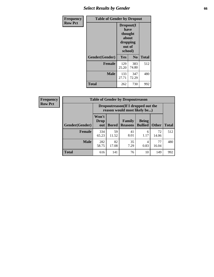# *Select Results by Gender* **66**

| <b>Frequency</b> | <b>Table of Gender by Dropout</b> |                                                                        |              |              |
|------------------|-----------------------------------|------------------------------------------------------------------------|--------------|--------------|
| <b>Row Pct</b>   |                                   | Dropout(I<br>have<br>thought<br>about<br>dropping<br>out of<br>school) |              |              |
|                  | Gender(Gender)                    | Yes                                                                    | No           | <b>Total</b> |
|                  | <b>Female</b>                     | 129<br>25.20                                                           | 383<br>74.80 | 512          |
|                  | <b>Male</b>                       | 133<br>27.71                                                           | 347<br>72.29 | 480          |
|                  | <b>Total</b>                      | 262                                                                    | 730          | 992          |

| <b>Frequency</b> |                | <b>Table of Gender by Dropoutreason</b>                            |              |                          |                                |              |              |
|------------------|----------------|--------------------------------------------------------------------|--------------|--------------------------|--------------------------------|--------------|--------------|
| <b>Row Pct</b>   |                | Dropoutreason(If I dropped out the<br>reason would most likely be) |              |                          |                                |              |              |
|                  | Gender(Gender) | Won't<br>Drop<br>out                                               | <b>Bored</b> | Family<br><b>Reasons</b> | <b>Being</b><br><b>Bullied</b> | <b>Other</b> | <b>Total</b> |
|                  | Female         | 334<br>65.23                                                       | 59<br>11.52  | 41<br>8.01               | 6<br>1.17                      | 72<br>14.06  | 512          |
|                  | <b>Male</b>    | 282<br>58.75                                                       | 82<br>17.08  | 35<br>7.29               | 4<br>0.83                      | 77<br>16.04  | 480          |
|                  | <b>Total</b>   | 616                                                                | 141          | 76                       | 10                             | 149          | 992          |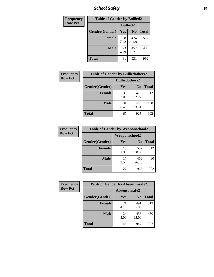*School Safety* **67**

| Frequency      | <b>Table of Gender by Bullied2</b> |                 |                |              |  |
|----------------|------------------------------------|-----------------|----------------|--------------|--|
| <b>Row Pct</b> |                                    | <b>Bullied2</b> |                |              |  |
|                | Gender(Gender)                     | Yes             | N <sub>0</sub> | <b>Total</b> |  |
|                | <b>Female</b>                      | 38<br>7.42      | 474<br>92.58   | 512          |  |
|                | <b>Male</b>                        | 23<br>4.79      | 457<br>95.21   | 480          |  |
|                | <b>Total</b>                       | 61              | 931            | 992          |  |

| <b>Frequency</b> | <b>Table of Gender by Bulliedothers2</b> |                       |                |              |  |
|------------------|------------------------------------------|-----------------------|----------------|--------------|--|
| <b>Row Pct</b>   |                                          | <b>Bulliedothers2</b> |                |              |  |
|                  | Gender(Gender)                           | Yes                   | N <sub>0</sub> | <b>Total</b> |  |
|                  | <b>Female</b>                            | 36<br>7.03            | 476<br>92.97   | 512          |  |
|                  | Male                                     | 31<br>6.46            | 449<br>93.54   | 480          |  |
|                  | <b>Total</b>                             | 67                    | 925            | 992          |  |

| Frequency      | <b>Table of Gender by Weaponschool2</b> |                      |                |              |  |
|----------------|-----------------------------------------|----------------------|----------------|--------------|--|
| <b>Row Pct</b> |                                         | <b>Weaponschool2</b> |                |              |  |
|                | Gender(Gender)                          | Yes                  | N <sub>0</sub> | <b>Total</b> |  |
|                | <b>Female</b>                           | 10<br>1.95           | 502<br>98.05   | 512          |  |
|                | <b>Male</b>                             | 17<br>3.54           | 463<br>96.46   | 480          |  |
|                | <b>Total</b>                            | 27                   | 965            | 992          |  |

| Frequency      | <b>Table of Gender by Absentunsafe2</b> |               |                |              |  |
|----------------|-----------------------------------------|---------------|----------------|--------------|--|
| <b>Row Pct</b> |                                         | Absentunsafe2 |                |              |  |
|                | Gender(Gender)                          | Yes           | N <sub>0</sub> | <b>Total</b> |  |
|                | <b>Female</b>                           | 21<br>4.10    | 491<br>95.90   | 512          |  |
|                | <b>Male</b>                             | 24<br>5.00    | 456<br>95.00   | 480          |  |
|                | <b>Total</b>                            | 45            | 947            | 992          |  |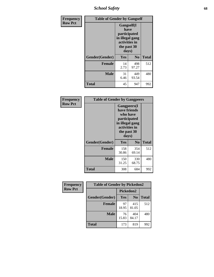*School Safety* **68**

| Frequency      | <b>Table of Gender by Gangself</b> |                                                                                                        |                |              |  |
|----------------|------------------------------------|--------------------------------------------------------------------------------------------------------|----------------|--------------|--|
| <b>Row Pct</b> |                                    | <b>Gangself</b> (I<br>have<br>participated<br>in illegal gang<br>activities in<br>the past 30<br>days) |                |              |  |
|                | Gender(Gender)                     | Yes                                                                                                    | N <sub>0</sub> | <b>Total</b> |  |
|                | <b>Female</b>                      | 14<br>2.73                                                                                             | 498<br>97.27   | 512          |  |
|                | <b>Male</b>                        | 31<br>6.46                                                                                             | 449<br>93.54   | 480          |  |
|                | <b>Total</b>                       | 45                                                                                                     | 947            | 992          |  |

| Frequency      | <b>Table of Gender by Gangpeers</b> |                                                                                                                             |                |              |
|----------------|-------------------------------------|-----------------------------------------------------------------------------------------------------------------------------|----------------|--------------|
| <b>Row Pct</b> |                                     | <b>Gangpeers</b> (I<br>have friends<br>who have<br>participated<br>in illegal gang<br>activities in<br>the past 30<br>days) |                |              |
|                | Gender(Gender)                      | Yes                                                                                                                         | N <sub>0</sub> | <b>Total</b> |
|                | <b>Female</b>                       | 158<br>30.86                                                                                                                | 354<br>69.14   | 512          |
|                | <b>Male</b>                         | 150<br>31.25                                                                                                                | 330<br>68.75   | 480          |
|                | <b>Total</b>                        | 308                                                                                                                         | 684            | 992          |

| <b>Frequency</b> | <b>Table of Gender by Pickedon2</b> |             |                |              |
|------------------|-------------------------------------|-------------|----------------|--------------|
| <b>Row Pct</b>   |                                     |             | Pickedon2      |              |
|                  | Gender(Gender)                      | Yes         | N <sub>0</sub> | <b>Total</b> |
|                  | <b>Female</b>                       | 97<br>18.95 | 415<br>81.05   | 512          |
|                  | <b>Male</b>                         | 76<br>15.83 | 404<br>84.17   | 480          |
|                  | <b>Total</b>                        | 819<br>173  |                | 992          |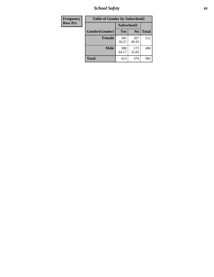*School Safety* **69**

| Frequency      | <b>Table of Gender by Safeschool2</b> |              |                |              |
|----------------|---------------------------------------|--------------|----------------|--------------|
| <b>Row Pct</b> |                                       | Safeschool2  |                |              |
|                | Gender(Gender)                        | <b>Yes</b>   | N <sub>0</sub> | <b>Total</b> |
|                | <b>Female</b>                         | 305<br>59.57 | 207<br>40.43   | 512          |
|                | <b>Male</b>                           | 308<br>64.17 | 172<br>35.83   | 480          |
|                | <b>Total</b>                          | 613          | 379            | 992          |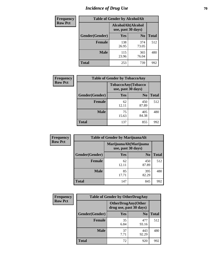# *Incidence of Drug Use* **70**

| <b>Frequency</b> | <b>Table of Gender by AlcoholAlt</b> |                                          |                |              |  |
|------------------|--------------------------------------|------------------------------------------|----------------|--------------|--|
| <b>Row Pct</b>   |                                      | AlcoholAlt(Alcohol<br>use, past 30 days) |                |              |  |
|                  | Gender(Gender)                       | <b>Yes</b>                               | N <sub>0</sub> | <b>Total</b> |  |
|                  | <b>Female</b>                        | 138<br>26.95                             | 374<br>73.05   | 512          |  |
|                  | <b>Male</b>                          | 115<br>23.96                             | 365<br>76.04   | 480          |  |
|                  | <b>Total</b>                         | 253                                      | 739            | 992          |  |

| <b>Frequency</b> | <b>Table of Gender by TobaccoAny</b> |                                          |                |              |
|------------------|--------------------------------------|------------------------------------------|----------------|--------------|
| <b>Row Pct</b>   |                                      | TobaccoAny(Tobacco<br>use, past 30 days) |                |              |
|                  | Gender(Gender)                       | Yes                                      | N <sub>0</sub> | <b>Total</b> |
|                  | <b>Female</b>                        | 62<br>12.11                              | 450<br>87.89   | 512          |
|                  | <b>Male</b>                          | 75<br>15.63                              | 405<br>84.38   | 480          |
|                  | <b>Total</b>                         | 137                                      | 855            | 992          |

| <b>Frequency</b> | <b>Table of Gender by MarijuanaAlt</b> |                    |                        |              |  |
|------------------|----------------------------------------|--------------------|------------------------|--------------|--|
| <b>Row Pct</b>   |                                        | use, past 30 days) | MarijuanaAlt(Marijuana |              |  |
|                  | Gender(Gender)                         | <b>Yes</b>         | N <sub>0</sub>         | <b>Total</b> |  |
|                  | Female                                 | 62<br>12.11        | 450<br>87.89           | 512          |  |
|                  | <b>Male</b>                            | 85<br>17.71        | 395<br>82.29           | 480          |  |
|                  | Total                                  | 147                | 845                    | 992          |  |

| <b>Frequency</b> | <b>Table of Gender by OtherDrugAny</b> |                                                      |                |              |
|------------------|----------------------------------------|------------------------------------------------------|----------------|--------------|
| <b>Row Pct</b>   |                                        | <b>OtherDrugAny(Other</b><br>drug use, past 30 days) |                |              |
|                  | Gender(Gender)                         | <b>Yes</b>                                           | N <sub>0</sub> | <b>Total</b> |
|                  | <b>Female</b>                          | 35<br>6.84                                           | 477<br>93.16   | 512          |
|                  | <b>Male</b>                            | 37<br>7.71                                           | 443<br>92.29   | 480          |
|                  | <b>Total</b>                           | 72                                                   | 920            | 992          |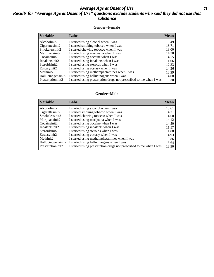#### *Average Age at Onset of Use* **71** *Results for "Average Age at Onset of Use" questions exclude students who said they did not use that substance*

#### **Gender=Female**

| <b>Variable</b>    | Label                                                              | <b>Mean</b> |
|--------------------|--------------------------------------------------------------------|-------------|
| Alcoholinit2       | I started using alcohol when I was                                 | 13.49       |
| Cigarettesinit2    | I started smoking tobacco when I was                               | 13.71       |
| Smokelessinit2     | I started chewing tobacco when I was                               | 13.00       |
| Marijuanainit2     | I started using marijuana when I was                               | 14.30       |
| Cocaineinit2       | I started using cocaine when I was                                 | 14.55       |
| Inhalantsinit2     | I started using inhalants when I was                               | 11.06       |
| Steroidsinit2      | I started using steroids when I was                                | 12.33       |
| Ecstasyinit2       | I started using ecstasy when I was                                 | 14.36       |
| Methinit2          | I started using methamphetamines when I was                        | 12.29       |
| Hallucinogensinit2 | I started using hallucinogens when I was                           | 14.08       |
| Prescriptioninit2  | I started using prescription drugs not prescribed to me when I was | 13.30       |

#### **Gender=Male**

| <b>Variable</b>    | Label                                                              | <b>Mean</b> |
|--------------------|--------------------------------------------------------------------|-------------|
| Alcoholinit2       | I started using alcohol when I was                                 | 13.61       |
| Cigarettesinit2    | I started smoking tobacco when I was                               | 14.31       |
| Smokelessinit2     | I started chewing tobacco when I was                               | 14.60       |
| Marijuanainit2     | I started using marijuana when I was                               | 14.12       |
| Cocaineinit2       | I started using cocaine when I was                                 | 14.50       |
| Inhalantsinit2     | I started using inhalants when I was                               | 11.57       |
| Steroidsinit2      | I started using steroids when I was                                | 11.88       |
| Ecstasyinit2       | I started using ecstasy when I was                                 | 14.93       |
| Methinit2          | I started using methamphetamines when I was                        | 13.86       |
| Hallucinogensinit2 | I started using hallucinogens when I was                           | 15.64       |
| Prescriptioninit2  | I started using prescription drugs not prescribed to me when I was | 13.90       |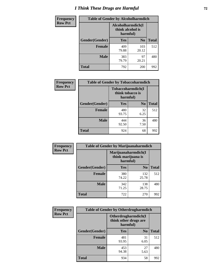# *I Think These Drugs are Harmful* **72**

| <b>Frequency</b> | <b>Table of Gender by Alcoholharmdich</b> |                                                   |                |              |
|------------------|-------------------------------------------|---------------------------------------------------|----------------|--------------|
| <b>Row Pct</b>   |                                           | Alcoholharmdich(I<br>think alcohol is<br>harmful) |                |              |
|                  | Gender(Gender)                            | Yes                                               | N <sub>0</sub> | <b>Total</b> |
|                  | <b>Female</b>                             | 409<br>79.88                                      | 103<br>20.12   | 512          |
|                  | <b>Male</b>                               | 383<br>79.79                                      | 97<br>20.21    | 480          |
|                  | <b>Total</b>                              | 792                                               | 200            | 992          |

| Frequency      | <b>Table of Gender by Tobaccoharmdich</b> |                  |                               |              |
|----------------|-------------------------------------------|------------------|-------------------------------|--------------|
| <b>Row Pct</b> |                                           | think tobacco is | Tobaccoharmdich(I<br>harmful) |              |
|                | Gender(Gender)                            | Yes              | N <sub>0</sub>                | <b>Total</b> |
|                | <b>Female</b>                             | 480<br>93.75     | 32<br>6.25                    | 512          |
|                | <b>Male</b>                               | 444<br>92.50     | 36<br>7.50                    | 480          |
|                | <b>Total</b>                              | 924              | 68                            |              |

| <b>Frequency</b> | <b>Table of Gender by Marijuanaharmdich</b> |                                                       |                |              |  |
|------------------|---------------------------------------------|-------------------------------------------------------|----------------|--------------|--|
| <b>Row Pct</b>   |                                             | Marijuanaharmdich(I<br>think marijuana is<br>harmful) |                |              |  |
|                  | Gender(Gender)                              | <b>Yes</b>                                            | N <sub>0</sub> | <b>Total</b> |  |
|                  | <b>Female</b>                               | 380<br>74.22                                          | 132<br>25.78   | 512          |  |
|                  | <b>Male</b>                                 | 342<br>71.25                                          | 138<br>28.75   | 480          |  |
|                  | <b>Total</b>                                | 722                                                   | 270            | 992          |  |

| Frequency      | <b>Table of Gender by Otherdrugharmdich</b> |                                                          |                |              |
|----------------|---------------------------------------------|----------------------------------------------------------|----------------|--------------|
| <b>Row Pct</b> |                                             | Otherdrugharmdich(I<br>think other drugs are<br>harmful) |                |              |
|                | Gender(Gender)                              | <b>Yes</b>                                               | N <sub>0</sub> | <b>Total</b> |
|                | <b>Female</b>                               | 481<br>93.95                                             | 31<br>6.05     | 512          |
|                | <b>Male</b>                                 | 453<br>94.38                                             | 27<br>5.63     | 480          |
|                | <b>Total</b>                                | 934                                                      | 58             | 992          |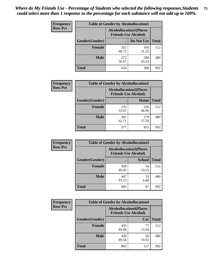| <b>Frequency</b> | <b>Table of Gender by Alcohollocation1</b> |                                                               |              |              |
|------------------|--------------------------------------------|---------------------------------------------------------------|--------------|--------------|
| <b>Row Pct</b>   |                                            | <b>Alcohollocation1(Places</b><br><b>Friends Use Alcohol)</b> |              |              |
|                  | Gender(Gender)                             |                                                               | Do Not Use   | <b>Total</b> |
|                  | <b>Female</b>                              | 352<br>68.75                                                  | 160<br>31.25 | 512          |
|                  | <b>Male</b>                                | 272<br>56.67                                                  | 208<br>43.33 | 480          |
|                  | <b>Total</b>                               | 624                                                           | 368          | 992          |

| <b>Frequency</b> | <b>Table of Gender by Alcohollocation2</b> |              |                                                               |              |
|------------------|--------------------------------------------|--------------|---------------------------------------------------------------|--------------|
| <b>Row Pct</b>   |                                            |              | <b>Alcohollocation2(Places</b><br><b>Friends Use Alcohol)</b> |              |
|                  | Gender(Gender)                             |              | Home                                                          | <b>Total</b> |
|                  | <b>Female</b>                              | 276<br>53.91 | 236<br>46.09                                                  | 512          |
|                  | <b>Male</b>                                | 301<br>62.71 | 179<br>37.29                                                  | 480          |
|                  | <b>Total</b>                               | 577          | 415                                                           | 992          |

| Frequency      | <b>Table of Gender by Alcohollocation3</b> |              |                                                               |              |
|----------------|--------------------------------------------|--------------|---------------------------------------------------------------|--------------|
| <b>Row Pct</b> |                                            |              | <b>Alcohollocation3(Places</b><br><b>Friends Use Alcohol)</b> |              |
|                | Gender(Gender)                             |              | <b>School</b>                                                 | <b>Total</b> |
|                | <b>Female</b>                              | 458<br>89.45 | 54<br>10.55                                                   | 512          |
|                | <b>Male</b>                                | 447<br>93.13 | 33<br>6.88                                                    | 480          |
|                | <b>Total</b>                               | 905          | 87                                                            | 992          |

| Frequency      | <b>Table of Gender by Alcohollocation4</b> |                                                               |             |              |
|----------------|--------------------------------------------|---------------------------------------------------------------|-------------|--------------|
| <b>Row Pct</b> |                                            | <b>Alcohollocation4(Places</b><br><b>Friends Use Alcohol)</b> |             |              |
|                | Gender(Gender)                             |                                                               | Car         | <b>Total</b> |
|                | Female                                     | 435<br>84.96                                                  | 77<br>15.04 | 512          |
|                | <b>Male</b>                                | 430<br>89.58                                                  | 50<br>10.42 | 480          |
|                | <b>Total</b>                               | 865                                                           | 127         | 992          |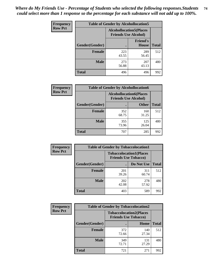| <b>Frequency</b> | <b>Table of Gender by Alcohollocation5</b> |                                                                |                                 |              |
|------------------|--------------------------------------------|----------------------------------------------------------------|---------------------------------|--------------|
| <b>Row Pct</b>   |                                            | <b>Alcohollocation5</b> (Places<br><b>Friends Use Alcohol)</b> |                                 |              |
|                  | Gender(Gender)                             |                                                                | <b>Friend's</b><br><b>House</b> | <b>Total</b> |
|                  | <b>Female</b>                              | 223<br>43.55                                                   | 289<br>56.45                    | 512          |
|                  | <b>Male</b>                                | 273<br>56.88                                                   | 207<br>43.13                    | 480          |
|                  | <b>Total</b>                               | 496                                                            | 496                             | 992          |

| <b>Frequency</b> | <b>Table of Gender by Alcohollocation6</b> |                                                               |              |              |
|------------------|--------------------------------------------|---------------------------------------------------------------|--------------|--------------|
| <b>Row Pct</b>   |                                            | <b>Alcohollocation6(Places</b><br><b>Friends Use Alcohol)</b> |              |              |
|                  | Gender(Gender)                             |                                                               | <b>Other</b> | <b>Total</b> |
|                  | <b>Female</b>                              | 352<br>68.75                                                  | 160<br>31.25 | 512          |
|                  | <b>Male</b>                                | 355<br>73.96                                                  | 125<br>26.04 | 480          |
|                  | <b>Total</b>                               | 707                                                           | 285          | 992          |

| Frequency      | <b>Table of Gender by Tobaccolocation1</b> |                                                               |              |              |  |
|----------------|--------------------------------------------|---------------------------------------------------------------|--------------|--------------|--|
| <b>Row Pct</b> |                                            | <b>Tobaccolocation1(Places</b><br><b>Friends Use Tobacco)</b> |              |              |  |
|                | Gender(Gender)                             |                                                               | Do Not Use   | <b>Total</b> |  |
|                | Female                                     | 201<br>39.26                                                  | 311<br>60.74 | 512          |  |
|                | <b>Male</b>                                | 202<br>42.08                                                  | 278<br>57.92 | 480          |  |
|                | <b>Total</b>                               | 403                                                           | 589          | 992          |  |

| <b>Frequency</b> |                | <b>Table of Gender by Tobaccolocation2</b>                    |              |              |
|------------------|----------------|---------------------------------------------------------------|--------------|--------------|
| <b>Row Pct</b>   |                | <b>Tobaccolocation2(Places</b><br><b>Friends Use Tobacco)</b> |              |              |
|                  | Gender(Gender) |                                                               | Home         | <b>Total</b> |
|                  | Female         | 372<br>72.66                                                  | 140<br>27.34 | 512          |
|                  | <b>Male</b>    | 349<br>72.71                                                  | 131<br>27.29 | 480          |
|                  | <b>Total</b>   | 721                                                           | 271          | 992          |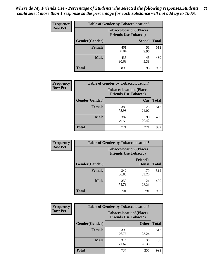| <b>Frequency</b> | <b>Table of Gender by Tobaccolocation3</b> |              |                                                               |              |
|------------------|--------------------------------------------|--------------|---------------------------------------------------------------|--------------|
| <b>Row Pct</b>   |                                            |              | <b>Tobaccolocation3(Places</b><br><b>Friends Use Tobacco)</b> |              |
|                  | Gender(Gender)                             |              | <b>School</b>                                                 | <b>Total</b> |
|                  | Female                                     | 461<br>90.04 | 51<br>9.96                                                    | 512          |
|                  | <b>Male</b>                                | 435<br>90.63 | 45<br>9.38                                                    | 480          |
|                  | Total                                      | 896          | 96                                                            | 992          |

| <b>Frequency</b> | <b>Table of Gender by Tobaccolocation4</b> |                                                               |              |              |
|------------------|--------------------------------------------|---------------------------------------------------------------|--------------|--------------|
| <b>Row Pct</b>   |                                            | <b>Tobaccolocation4(Places</b><br><b>Friends Use Tobacco)</b> |              |              |
|                  | <b>Gender</b> (Gender)                     |                                                               | Car          | <b>Total</b> |
|                  | <b>Female</b>                              | 389<br>75.98                                                  | 123<br>24.02 | 512          |
|                  | <b>Male</b>                                | 382<br>79.58                                                  | 98<br>20.42  | 480          |
|                  | <b>Total</b>                               | 771                                                           | 221          | 992          |

| <b>Frequency</b> | <b>Table of Gender by Tobaccolocation5</b> |                                                               |                                 |              |
|------------------|--------------------------------------------|---------------------------------------------------------------|---------------------------------|--------------|
| <b>Row Pct</b>   |                                            | <b>Tobaccolocation5(Places</b><br><b>Friends Use Tobacco)</b> |                                 |              |
|                  | Gender(Gender)                             |                                                               | <b>Friend's</b><br><b>House</b> | <b>Total</b> |
|                  | <b>Female</b>                              | 342<br>66.80                                                  | 170<br>33.20                    | 512          |
|                  | <b>Male</b>                                | 359<br>74.79                                                  | 121<br>25.21                    | 480          |
|                  | <b>Total</b>                               | 701                                                           | 291                             | 992          |

| <b>Frequency</b> | <b>Table of Gender by Tobaccolocation6</b> |                                                               |              |              |  |
|------------------|--------------------------------------------|---------------------------------------------------------------|--------------|--------------|--|
| <b>Row Pct</b>   |                                            | <b>Tobaccolocation6(Places</b><br><b>Friends Use Tobacco)</b> |              |              |  |
|                  | Gender(Gender)                             |                                                               | <b>Other</b> | <b>Total</b> |  |
|                  | Female                                     | 393<br>76.76                                                  | 119<br>23.24 | 512          |  |
|                  | <b>Male</b>                                | 344<br>71.67                                                  | 136<br>28.33 | 480          |  |
|                  | <b>Total</b>                               | 737                                                           | 255          | 992          |  |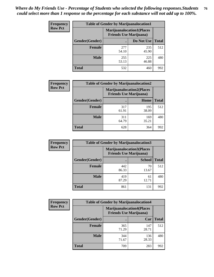| <b>Frequency</b> | <b>Table of Gender by Marijuanalocation1</b> |                                                                    |              |              |
|------------------|----------------------------------------------|--------------------------------------------------------------------|--------------|--------------|
| <b>Row Pct</b>   |                                              | <b>Marijuanalocation1(Places</b><br><b>Friends Use Marijuana</b> ) |              |              |
|                  | Gender(Gender)                               |                                                                    | Do Not Use   | <b>Total</b> |
|                  | <b>Female</b>                                | 277<br>54.10                                                       | 235<br>45.90 | 512          |
|                  | <b>Male</b>                                  | 255<br>53.13                                                       | 225<br>46.88 | 480          |
|                  | <b>Total</b>                                 | 532                                                                | 460          | 992          |

| <b>Frequency</b> | <b>Table of Gender by Marijuanalocation2</b> |                                                                    |              |              |
|------------------|----------------------------------------------|--------------------------------------------------------------------|--------------|--------------|
| <b>Row Pct</b>   |                                              | <b>Marijuanalocation2(Places</b><br><b>Friends Use Marijuana</b> ) |              |              |
|                  | Gender(Gender)                               |                                                                    | Home         | <b>Total</b> |
|                  | <b>Female</b>                                | 317<br>61.91                                                       | 195<br>38.09 | 512          |
|                  | <b>Male</b>                                  | 311<br>64.79                                                       | 169<br>35.21 | 480          |
|                  | <b>Total</b>                                 | 628                                                                | 364          | 992          |

| <b>Frequency</b> | <b>Table of Gender by Marijuanalocation3</b> |                                                                     |               |              |
|------------------|----------------------------------------------|---------------------------------------------------------------------|---------------|--------------|
| <b>Row Pct</b>   |                                              | <b>Marijuanalocation3(Places)</b><br><b>Friends Use Marijuana</b> ) |               |              |
|                  | Gender(Gender)                               |                                                                     | <b>School</b> | <b>Total</b> |
|                  | Female                                       | 442<br>86.33                                                        | 70<br>13.67   | 512          |
|                  | <b>Male</b>                                  | 419<br>87.29                                                        | 61<br>12.71   | 480          |
|                  | <b>Total</b>                                 | 861                                                                 | 131           | 992          |

| Frequency      | <b>Table of Gender by Marijuanalocation4</b> |                                                                    |              |              |
|----------------|----------------------------------------------|--------------------------------------------------------------------|--------------|--------------|
| <b>Row Pct</b> |                                              | <b>Marijuanalocation4(Places</b><br><b>Friends Use Marijuana</b> ) |              |              |
|                | <b>Gender</b> (Gender)                       |                                                                    | Car          | <b>Total</b> |
|                | <b>Female</b>                                | 365<br>71.29                                                       | 147<br>28.71 | 512          |
|                | <b>Male</b>                                  | 344<br>71.67                                                       | 136<br>28.33 | 480          |
|                | <b>Total</b>                                 | 709                                                                | 283          | 992          |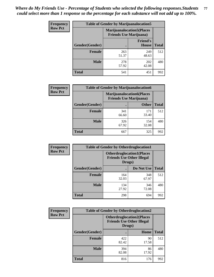| <b>Frequency</b> | <b>Table of Gender by Marijuanalocation5</b> |                                                                    |                          |              |
|------------------|----------------------------------------------|--------------------------------------------------------------------|--------------------------|--------------|
| <b>Row Pct</b>   |                                              | <b>Marijuanalocation5(Places</b><br><b>Friends Use Marijuana</b> ) |                          |              |
|                  | Gender(Gender)                               |                                                                    | <b>Friend's</b><br>House | <b>Total</b> |
|                  | <b>Female</b>                                | 263<br>51.37                                                       | 249<br>48.63             | 512          |
|                  | <b>Male</b>                                  | 278<br>57.92                                                       | 202<br>42.08             | 480          |
|                  | <b>Total</b>                                 | 541                                                                | 451                      | 992          |

| <b>Frequency</b> | <b>Table of Gender by Marijuanalocation6</b> |                                                                    |              |              |
|------------------|----------------------------------------------|--------------------------------------------------------------------|--------------|--------------|
| <b>Row Pct</b>   |                                              | <b>Marijuanalocation6(Places</b><br><b>Friends Use Marijuana</b> ) |              |              |
|                  | <b>Gender</b> (Gender)                       |                                                                    | <b>Other</b> | <b>Total</b> |
|                  | Female                                       | 341<br>66.60                                                       | 171<br>33.40 | 512          |
|                  | <b>Male</b>                                  | 326<br>67.92                                                       | 154<br>32.08 | 480          |
|                  | Total                                        | 667                                                                | 325          | 992          |

| <b>Frequency</b> | <b>Table of Gender by Otherdruglocation1</b> |                                                                                |              |              |
|------------------|----------------------------------------------|--------------------------------------------------------------------------------|--------------|--------------|
| <b>Row Pct</b>   |                                              | <b>Otherdruglocation1(Places</b><br><b>Friends Use Other Illegal</b><br>Drugs) |              |              |
|                  | Gender(Gender)                               |                                                                                | Do Not Use   | <b>Total</b> |
|                  | Female                                       | 164<br>32.03                                                                   | 348<br>67.97 | 512          |
|                  | <b>Male</b>                                  | 134<br>27.92                                                                   | 346<br>72.08 | 480          |
|                  | <b>Total</b>                                 | 298                                                                            | 694          | 992          |

| <b>Frequency</b> | <b>Table of Gender by Otherdruglocation2</b> |                                            |                                  |              |
|------------------|----------------------------------------------|--------------------------------------------|----------------------------------|--------------|
| <b>Row Pct</b>   |                                              | <b>Friends Use Other Illegal</b><br>Drugs) | <b>Otherdruglocation2(Places</b> |              |
|                  | Gender(Gender)                               |                                            | Home                             | <b>Total</b> |
|                  | Female                                       | 422<br>82.42                               | 90<br>17.58                      | 512          |
|                  | <b>Male</b>                                  | 394<br>82.08                               | 86<br>17.92                      | 480          |
|                  | <b>Total</b>                                 | 816                                        | 176                              | 992          |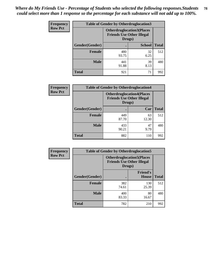| <b>Frequency</b> | <b>Table of Gender by Otherdruglocation3</b> |                                                                                |               |              |
|------------------|----------------------------------------------|--------------------------------------------------------------------------------|---------------|--------------|
| <b>Row Pct</b>   |                                              | <b>Otherdruglocation3(Places</b><br><b>Friends Use Other Illegal</b><br>Drugs) |               |              |
|                  | Gender(Gender)                               |                                                                                | <b>School</b> | <b>Total</b> |
|                  | <b>Female</b>                                | 480<br>93.75                                                                   | 32<br>6.25    | 512          |
|                  | <b>Male</b>                                  | 441<br>91.88                                                                   | 39<br>8.13    | 480          |
|                  | <b>Total</b>                                 | 921                                                                            | 71            | 992          |

| Frequency      | <b>Table of Gender by Otherdruglocation4</b> |                                                                                |             |              |
|----------------|----------------------------------------------|--------------------------------------------------------------------------------|-------------|--------------|
| <b>Row Pct</b> |                                              | <b>Otherdruglocation4(Places</b><br><b>Friends Use Other Illegal</b><br>Drugs) |             |              |
|                | Gender(Gender)                               |                                                                                | Car         | <b>Total</b> |
|                | <b>Female</b>                                | 449<br>87.70                                                                   | 63<br>12.30 | 512          |
|                | <b>Male</b>                                  | 433<br>90.21                                                                   | 47<br>9.79  | 480          |
|                | <b>Total</b>                                 | 882                                                                            | 110         | 992          |

| Frequency      | <b>Table of Gender by Otherdruglocation5</b> |                                                                                |                                 |              |
|----------------|----------------------------------------------|--------------------------------------------------------------------------------|---------------------------------|--------------|
| <b>Row Pct</b> |                                              | <b>Otherdruglocation5(Places</b><br><b>Friends Use Other Illegal</b><br>Drugs) |                                 |              |
|                | Gender(Gender)                               |                                                                                | <b>Friend's</b><br><b>House</b> | <b>Total</b> |
|                | <b>Female</b>                                | 382<br>74.61                                                                   | 130<br>25.39                    | 512          |
|                | <b>Male</b>                                  | 400<br>83.33                                                                   | 80<br>16.67                     | 480          |
|                | <b>Total</b>                                 | 782                                                                            | 210                             | 992          |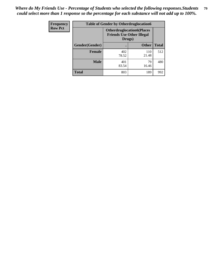| <b>Frequency</b> | <b>Table of Gender by Otherdruglocation6</b> |                                                                                |              |              |
|------------------|----------------------------------------------|--------------------------------------------------------------------------------|--------------|--------------|
| <b>Row Pct</b>   |                                              | <b>Otherdruglocation6(Places</b><br><b>Friends Use Other Illegal</b><br>Drugs) |              |              |
|                  | Gender(Gender)                               |                                                                                | <b>Other</b> | <b>Total</b> |
|                  | Female                                       | 402<br>78.52                                                                   | 110<br>21.48 | 512          |
|                  | <b>Male</b>                                  | 401<br>83.54                                                                   | 79<br>16.46  | 480          |
|                  | <b>Total</b>                                 | 803                                                                            | 189          | 992          |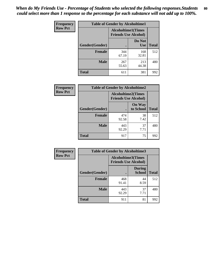| <b>Frequency</b> | <b>Table of Gender by Alcoholtime1</b> |                                                          |                      |              |
|------------------|----------------------------------------|----------------------------------------------------------|----------------------|--------------|
| <b>Row Pct</b>   |                                        | <b>Alcoholtime1(Times</b><br><b>Friends Use Alcohol)</b> |                      |              |
|                  | Gender(Gender)                         |                                                          | Do Not<br><b>Use</b> | <b>Total</b> |
|                  | <b>Female</b>                          | 344<br>67.19                                             | 168<br>32.81         | 512          |
|                  | <b>Male</b>                            | 267<br>55.63                                             | 213<br>44.38         | 480          |
|                  | <b>Total</b>                           | 611                                                      | 381                  | 992          |

| <b>Frequency</b> | <b>Table of Gender by Alcoholtime2</b> |                                                          |                            |              |
|------------------|----------------------------------------|----------------------------------------------------------|----------------------------|--------------|
| <b>Row Pct</b>   |                                        | <b>Alcoholtime2(Times</b><br><b>Friends Use Alcohol)</b> |                            |              |
|                  | Gender(Gender)                         |                                                          | <b>On Way</b><br>to School | <b>Total</b> |
|                  | <b>Female</b>                          | 474<br>92.58                                             | 38<br>7.42                 | 512          |
|                  | <b>Male</b>                            | 443<br>92.29                                             | 37<br>7.71                 | 480          |
|                  | <b>Total</b>                           | 917                                                      | 75                         | 992          |

| Frequency      | <b>Table of Gender by Alcoholtime3</b> |                                                          |                                |              |
|----------------|----------------------------------------|----------------------------------------------------------|--------------------------------|--------------|
| <b>Row Pct</b> |                                        | <b>Alcoholtime3(Times</b><br><b>Friends Use Alcohol)</b> |                                |              |
|                | Gender(Gender)                         |                                                          | <b>During</b><br><b>School</b> | <b>Total</b> |
|                | Female                                 | 468<br>91.41                                             | 44<br>8.59                     | 512          |
|                | <b>Male</b>                            | 443<br>92.29                                             | 37<br>7.71                     | 480          |
|                | <b>Total</b>                           | 911                                                      | 81                             | 992          |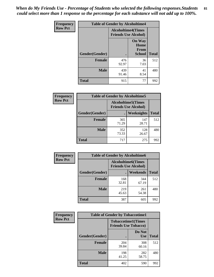*When do My Friends Use - Percentage of Students who selected the following responses.Students could select more than 1 response so the percentage for each substance will not add up to 100%.* **81**

| <b>Frequency</b> | <b>Table of Gender by Alcoholtime4</b> |                           |                                                |              |
|------------------|----------------------------------------|---------------------------|------------------------------------------------|--------------|
| <b>Row Pct</b>   |                                        | <b>Alcoholtime4(Times</b> | <b>Friends Use Alcohol)</b>                    |              |
|                  | Gender(Gender)                         |                           | <b>On Way</b><br>Home<br>From<br><b>School</b> | <b>Total</b> |
|                  | <b>Female</b>                          | 476<br>92.97              | 36<br>7.03                                     | 512          |
|                  | <b>Male</b>                            | 439<br>91.46              | 41<br>8.54                                     | 480          |
|                  | <b>Total</b>                           | 915                       | 77                                             | 992          |

| <b>Frequency</b> | <b>Table of Gender by Alcoholtime5</b> |                                                           |              |              |
|------------------|----------------------------------------|-----------------------------------------------------------|--------------|--------------|
| <b>Row Pct</b>   |                                        | <b>Alcoholtime5</b> (Times<br><b>Friends Use Alcohol)</b> |              |              |
|                  | Gender(Gender)                         |                                                           | Weeknights   | <b>Total</b> |
|                  | <b>Female</b>                          | 365<br>71.29                                              | 147<br>28.71 | 512          |
|                  | <b>Male</b>                            | 352<br>73.33                                              | 128<br>26.67 | 480          |
|                  | <b>Total</b>                           | 717                                                       | 275          | 992          |

| <b>Frequency</b> | <b>Table of Gender by Alcoholtime6</b> |                                                          |              |              |
|------------------|----------------------------------------|----------------------------------------------------------|--------------|--------------|
| <b>Row Pct</b>   |                                        | <b>Alcoholtime6(Times</b><br><b>Friends Use Alcohol)</b> |              |              |
|                  | Gender(Gender)                         |                                                          | Weekends     | <b>Total</b> |
|                  | Female                                 | 168<br>32.81                                             | 344<br>67.19 | 512          |
|                  | <b>Male</b>                            | 219<br>45.63                                             | 261<br>54.38 | 480          |
|                  | <b>Total</b>                           | 387                                                      | 605          | 992          |

| Frequency      | <b>Table of Gender by Tobaccotime1</b> |                             |                           |              |
|----------------|----------------------------------------|-----------------------------|---------------------------|--------------|
| <b>Row Pct</b> |                                        | <b>Friends Use Tobacco)</b> | <b>Tobaccotime1(Times</b> |              |
|                | Gender(Gender)                         |                             | Do Not<br><b>Use</b>      | <b>Total</b> |
|                | <b>Female</b>                          | 204<br>39.84                | 308<br>60.16              | 512          |
|                | <b>Male</b>                            | 198<br>41.25                | 282<br>58.75              | 480          |
|                | <b>Total</b>                           | 402                         | 590                       | 992          |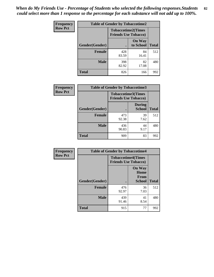*When do My Friends Use - Percentage of Students who selected the following responses.Students could select more than 1 response so the percentage for each substance will not add up to 100%.* **82**

| Frequency      | <b>Table of Gender by Tobaccotime2</b> |                                                          |                            |              |
|----------------|----------------------------------------|----------------------------------------------------------|----------------------------|--------------|
| <b>Row Pct</b> |                                        | <b>Tobaccotime2(Times</b><br><b>Friends Use Tobacco)</b> |                            |              |
|                | Gender(Gender)                         | $\bullet$                                                | <b>On Way</b><br>to School | <b>Total</b> |
|                | <b>Female</b>                          | 428<br>83.59                                             | 84<br>16.41                | 512          |
|                | <b>Male</b>                            | 398<br>82.92                                             | 82<br>17.08                | 480          |
|                | <b>Total</b>                           | 826                                                      | 166                        | 992          |

| <b>Frequency</b> | <b>Table of Gender by Tobaccotime3</b> |                                                          |                                |              |
|------------------|----------------------------------------|----------------------------------------------------------|--------------------------------|--------------|
| <b>Row Pct</b>   |                                        | <b>Tobaccotime3(Times</b><br><b>Friends Use Tobacco)</b> |                                |              |
|                  | Gender(Gender)                         |                                                          | <b>During</b><br><b>School</b> | <b>Total</b> |
|                  | <b>Female</b>                          | 473<br>92.38                                             | 39<br>7.62                     | 512          |
|                  | <b>Male</b>                            | 436<br>90.83                                             | 44<br>9.17                     | 480          |
|                  | <b>Total</b>                           | 909                                                      | 83                             | 992          |

| <b>Frequency</b> | <b>Table of Gender by Tobaccotime4</b> |                                                          |                                                |              |
|------------------|----------------------------------------|----------------------------------------------------------|------------------------------------------------|--------------|
| <b>Row Pct</b>   |                                        | <b>Tobaccotime4(Times</b><br><b>Friends Use Tobacco)</b> |                                                |              |
|                  | Gender(Gender)                         |                                                          | <b>On Way</b><br>Home<br>From<br><b>School</b> | <b>Total</b> |
|                  | <b>Female</b>                          | 476<br>92.97                                             | 36<br>7.03                                     | 512          |
|                  | <b>Male</b>                            | 439<br>91.46                                             | 41<br>8.54                                     | 480          |
|                  | <b>Total</b>                           | 915                                                      | 77                                             | 992          |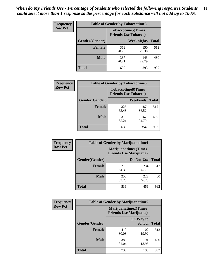| <b>Frequency</b> | <b>Table of Gender by Tobaccotime5</b> |              |                                                          |              |  |
|------------------|----------------------------------------|--------------|----------------------------------------------------------|--------------|--|
| <b>Row Pct</b>   |                                        |              | <b>Tobaccotime5(Times</b><br><b>Friends Use Tobacco)</b> |              |  |
|                  | <b>Gender</b> (Gender)                 |              | <b>Weeknights</b>                                        | <b>Total</b> |  |
|                  | Female                                 | 362<br>70.70 | 150<br>29.30                                             | 512          |  |
|                  | <b>Male</b>                            | 337<br>70.21 | 143<br>29.79                                             | 480          |  |
|                  | <b>Total</b>                           | 699          | 293                                                      | 992          |  |

| Frequency      | <b>Table of Gender by Tobaccotime6</b> |                                                          |              |              |
|----------------|----------------------------------------|----------------------------------------------------------|--------------|--------------|
| <b>Row Pct</b> |                                        | <b>Tobaccotime6(Times</b><br><b>Friends Use Tobacco)</b> |              |              |
|                | Gender(Gender)                         |                                                          | Weekends     | <b>Total</b> |
|                | <b>Female</b>                          | 325<br>63.48                                             | 187<br>36.52 | 512          |
|                | <b>Male</b>                            | 313<br>65.21                                             | 167<br>34.79 | 480          |
|                | <b>Total</b>                           | 638                                                      | 354          | 992          |

| Frequency      | <b>Table of Gender by Marijuanatime1</b> |                                |                             |              |
|----------------|------------------------------------------|--------------------------------|-----------------------------|--------------|
| <b>Row Pct</b> |                                          | <b>Friends Use Marijuana</b> ) | <b>Marijuanatime1(Times</b> |              |
|                | Gender(Gender)                           |                                | Do Not Use                  | <b>Total</b> |
|                | <b>Female</b>                            | 278<br>54.30                   | 234<br>45.70                | 512          |
|                | <b>Male</b>                              | 258<br>53.75                   | 222<br>46.25                | 480          |
|                | <b>Total</b>                             | 536                            | 456                         | 992          |

| Frequency      | <b>Table of Gender by Marijuanatime2</b> |                                                        |                            |              |
|----------------|------------------------------------------|--------------------------------------------------------|----------------------------|--------------|
| <b>Row Pct</b> |                                          | Marijuanatime2(Times<br><b>Friends Use Marijuana</b> ) |                            |              |
|                | Gender(Gender)                           |                                                        | On Way to<br><b>School</b> | <b>Total</b> |
|                | <b>Female</b>                            | 410<br>80.08                                           | 102<br>19.92               | 512          |
|                | <b>Male</b>                              | 389<br>81.04                                           | 91<br>18.96                | 480          |
|                | <b>Total</b>                             | 799                                                    | 193                        | 992          |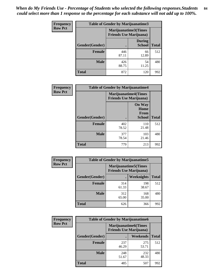*When do My Friends Use - Percentage of Students who selected the following responses.Students could select more than 1 response so the percentage for each substance will not add up to 100%.* **84**

| <b>Frequency</b> | Table of Gender by Marijuanatime3 |                                                        |                                |              |
|------------------|-----------------------------------|--------------------------------------------------------|--------------------------------|--------------|
| <b>Row Pct</b>   |                                   | Marijuanatime3(Times<br><b>Friends Use Marijuana</b> ) |                                |              |
|                  | Gender(Gender)                    |                                                        | <b>During</b><br><b>School</b> | <b>Total</b> |
|                  | <b>Female</b>                     | 446<br>87.11                                           | 66<br>12.89                    | 512          |
|                  | <b>Male</b>                       | 426<br>88.75                                           | 54<br>11.25                    | 480          |
|                  | <b>Total</b>                      | 872                                                    | 120                            | 992          |

| Frequency      | <b>Table of Gender by Marijuanatime4</b> |                                                               |                                                       |              |
|----------------|------------------------------------------|---------------------------------------------------------------|-------------------------------------------------------|--------------|
| <b>Row Pct</b> |                                          | <b>Marijuanatime4(Times</b><br><b>Friends Use Marijuana</b> ) |                                                       |              |
|                | Gender(Gender)                           |                                                               | <b>On Way</b><br>Home<br><b>From</b><br><b>School</b> | <b>Total</b> |
|                | <b>Female</b>                            | 402<br>78.52                                                  | 110<br>21.48                                          | 512          |
|                | <b>Male</b>                              | 377<br>78.54                                                  | 103<br>21.46                                          | 480          |
|                | <b>Total</b>                             | 779                                                           | 213                                                   | 992          |

| Frequency      | <b>Table of Gender by Marijuanatime5</b> |              |                                                                |              |  |
|----------------|------------------------------------------|--------------|----------------------------------------------------------------|--------------|--|
| <b>Row Pct</b> |                                          |              | <b>Marijuanatime5</b> (Times<br><b>Friends Use Marijuana</b> ) |              |  |
|                | Gender(Gender)                           | ٠            | Weeknights                                                     | <b>Total</b> |  |
|                | <b>Female</b>                            | 314<br>61.33 | 198<br>38.67                                                   | 512          |  |
|                | <b>Male</b>                              | 312<br>65.00 | 168<br>35.00                                                   | 480          |  |
|                | <b>Total</b>                             | 626          | 366                                                            | 992          |  |

| Frequency      | <b>Table of Gender by Marijuanatime6</b> |                                                                |                 |              |  |
|----------------|------------------------------------------|----------------------------------------------------------------|-----------------|--------------|--|
| <b>Row Pct</b> |                                          | <b>Marijuanatime6</b> (Times<br><b>Friends Use Marijuana</b> ) |                 |              |  |
|                | Gender(Gender)                           |                                                                | <b>Weekends</b> | <b>Total</b> |  |
|                | <b>Female</b>                            | 237<br>46.29                                                   | 275<br>53.71    | 512          |  |
|                | <b>Male</b>                              | 248<br>51.67                                                   | 232<br>48.33    | 480          |  |
|                | <b>Total</b>                             | 485                                                            | 507             | 992          |  |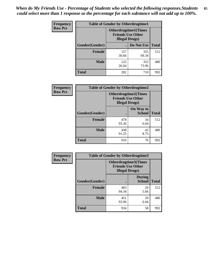*When do My Friends Use - Percentage of Students who selected the following responses.Students could select more than 1 response so the percentage for each substance will not add up to 100%.* **85**

| <b>Frequency</b> | <b>Table of Gender by Otherdrugtime1</b> |                                                                                    |              |              |
|------------------|------------------------------------------|------------------------------------------------------------------------------------|--------------|--------------|
| <b>Row Pct</b>   |                                          | <b>Otherdrugtime1</b> (Times<br><b>Friends Use Other</b><br><b>Illegal Drugs</b> ) |              |              |
|                  | Gender(Gender)                           |                                                                                    | Do Not Use   | <b>Total</b> |
|                  | Female                                   | 157<br>30.66                                                                       | 355<br>69.34 | 512          |
|                  | <b>Male</b>                              | 125<br>26.04                                                                       | 355<br>73.96 | 480          |
|                  | <b>Total</b>                             | 282                                                                                | 710          | 992          |

| <b>Frequency</b> | <b>Table of Gender by Otherdrugtime2</b> |                                                                                   |                            |              |
|------------------|------------------------------------------|-----------------------------------------------------------------------------------|----------------------------|--------------|
| <b>Row Pct</b>   |                                          | <b>Otherdrugtime2(Times</b><br><b>Friends Use Other</b><br><b>Illegal Drugs</b> ) |                            |              |
|                  | Gender(Gender)                           |                                                                                   | On Way to<br><b>School</b> | <b>Total</b> |
|                  | <b>Female</b>                            | 478<br>93.36                                                                      | 34<br>6.64                 | 512          |
|                  | <b>Male</b>                              | 438<br>91.25                                                                      | 42<br>8.75                 | 480          |
|                  | <b>Total</b>                             | 916                                                                               | 76                         | 992          |

| Frequency      | <b>Table of Gender by Otherdrugtime3</b> |                        |                                                         |              |
|----------------|------------------------------------------|------------------------|---------------------------------------------------------|--------------|
| <b>Row Pct</b> |                                          | <b>Illegal Drugs</b> ) | <b>Otherdrugtime3(Times</b><br><b>Friends Use Other</b> |              |
|                | Gender(Gender)                           |                        | <b>During</b><br><b>School</b>                          | <b>Total</b> |
|                | <b>Female</b>                            | 483<br>94.34           | 29<br>5.66                                              | 512          |
|                | <b>Male</b>                              | 451<br>93.96           | 29<br>6.04                                              | 480          |
|                | <b>Total</b>                             | 934                    | 58                                                      | 992          |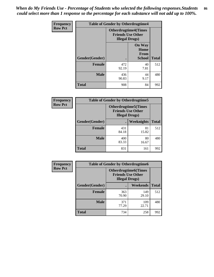*When do My Friends Use - Percentage of Students who selected the following responses.Students could select more than 1 response so the percentage for each substance will not add up to 100%.* **86**

| <b>Frequency</b> | <b>Table of Gender by Otherdrugtime4</b> |                                                    |                                                       |              |
|------------------|------------------------------------------|----------------------------------------------------|-------------------------------------------------------|--------------|
| <b>Row Pct</b>   |                                          | <b>Friends Use Other</b><br><b>Illegal Drugs</b> ) | <b>Otherdrugtime4(Times</b>                           |              |
|                  | Gender(Gender)                           |                                                    | <b>On Way</b><br>Home<br><b>From</b><br><b>School</b> | <b>Total</b> |
|                  | <b>Female</b>                            | 472<br>92.19                                       | 40<br>7.81                                            | 512          |
|                  | <b>Male</b>                              | 436<br>90.83                                       | 44<br>9.17                                            | 480          |
|                  | <b>Total</b>                             | 908                                                | 84                                                    | 992          |

| Frequency      | <b>Table of Gender by Otherdrugtime5</b> |                                                                                    |             |              |
|----------------|------------------------------------------|------------------------------------------------------------------------------------|-------------|--------------|
| <b>Row Pct</b> |                                          | <b>Otherdrugtime5</b> (Times<br><b>Friends Use Other</b><br><b>Illegal Drugs</b> ) |             |              |
|                | Gender(Gender)                           |                                                                                    | Weeknights  | <b>Total</b> |
|                | <b>Female</b>                            | 431<br>84.18                                                                       | 81<br>15.82 | 512          |
|                | <b>Male</b>                              | 400<br>83.33                                                                       | 80<br>16.67 | 480          |
|                | <b>Total</b>                             | 831                                                                                | 161         | 992          |

| <b>Frequency</b> | <b>Table of Gender by Otherdrugtime6</b> |                                                                                   |              |              |  |
|------------------|------------------------------------------|-----------------------------------------------------------------------------------|--------------|--------------|--|
| <b>Row Pct</b>   |                                          | <b>Otherdrugtime6(Times</b><br><b>Friends Use Other</b><br><b>Illegal Drugs</b> ) |              |              |  |
|                  | Gender(Gender)                           |                                                                                   | Weekends     | <b>Total</b> |  |
|                  | <b>Female</b>                            | 363<br>70.90                                                                      | 149<br>29.10 | 512          |  |
|                  | <b>Male</b>                              | 371<br>77.29                                                                      | 109<br>22.71 | 480          |  |
|                  | <b>Total</b>                             | 734                                                                               | 258          | 992          |  |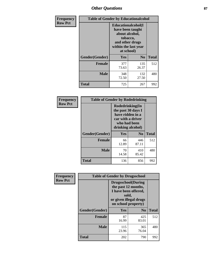## *Other Questions* **87**

| <b>Frequency</b> | <b>Table of Gender by Educationalcohol</b> |                                                                                                                                       |                |              |  |
|------------------|--------------------------------------------|---------------------------------------------------------------------------------------------------------------------------------------|----------------|--------------|--|
| <b>Row Pct</b>   |                                            | <b>Educationalcohol</b> (I<br>have been taught<br>about alcohol,<br>tobacco,<br>and other drugs<br>within the last year<br>at school) |                |              |  |
|                  | Gender(Gender)                             | <b>Yes</b>                                                                                                                            | N <sub>0</sub> | <b>Total</b> |  |
|                  | <b>Female</b>                              | 377<br>73.63                                                                                                                          | 135<br>26.37   | 512          |  |
|                  | <b>Male</b>                                | 348<br>72.50                                                                                                                          | 132<br>27.50   | 480          |  |
|                  | <b>Total</b>                               | 725                                                                                                                                   | 267            | 992          |  |

| Frequency      | <b>Table of Gender by Rodedrinking</b> |                                                                                                                     |                |              |  |
|----------------|----------------------------------------|---------------------------------------------------------------------------------------------------------------------|----------------|--------------|--|
| <b>Row Pct</b> |                                        | Rodedrinking(In<br>the past 30 days I<br>have ridden in a<br>car with a driver<br>who had been<br>drinking alcohol) |                |              |  |
|                | Gender(Gender)                         | Yes                                                                                                                 | N <sub>0</sub> | <b>Total</b> |  |
|                | <b>Female</b>                          | 66<br>12.89                                                                                                         | 446<br>87.11   | 512          |  |
|                | <b>Male</b>                            | 70<br>14.58                                                                                                         | 410<br>85.42   | 480          |  |
|                | <b>Total</b>                           | 136                                                                                                                 | 856            | 992          |  |

| Frequency      | <b>Table of Gender by Drugsschool</b> |                                                                                                                                     |                |              |  |
|----------------|---------------------------------------|-------------------------------------------------------------------------------------------------------------------------------------|----------------|--------------|--|
| <b>Row Pct</b> |                                       | <b>Drugsschool</b> (During<br>the past 12 months,<br>I have been offered,<br>sold,<br>or given illegal drugs<br>on school property) |                |              |  |
|                | Gender(Gender)                        | <b>Yes</b>                                                                                                                          | N <sub>0</sub> | <b>Total</b> |  |
|                | <b>Female</b>                         | 87<br>16.99                                                                                                                         | 425<br>83.01   | 512          |  |
|                | <b>Male</b>                           | 115<br>23.96                                                                                                                        | 365<br>76.04   | 480          |  |
|                | <b>Total</b>                          | 202                                                                                                                                 | 790            | 992          |  |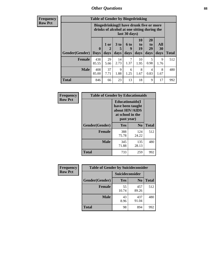### *Other Questions* **88**

**Frequency Row Pct**

| <b>Table of Gender by Bingedrinking</b> |                         |                                                                                                         |                              |                   |                               |                               |                   |              |
|-----------------------------------------|-------------------------|---------------------------------------------------------------------------------------------------------|------------------------------|-------------------|-------------------------------|-------------------------------|-------------------|--------------|
|                                         |                         | Bingedrinking(I have drunk five or more<br>drinks of alcohol at one sitting during the<br>last 30 days) |                              |                   |                               |                               |                   |              |
| <b>Gender</b> (Gender)                  | $\bf{0}$<br><b>Days</b> | 1 or<br>days                                                                                            | 3 <sub>to</sub><br>5<br>days | 6 to<br>9<br>days | <b>10</b><br>to<br>19<br>days | <b>20</b><br>to<br>29<br>days | All<br>30<br>days | <b>Total</b> |
| <b>Female</b>                           | 438<br>85.55            | 29<br>5.66                                                                                              | 14<br>2.73                   | 7<br>1.37         | 10<br>1.95                    | 5<br>0.98                     | 9<br>1.76         | 512          |
| <b>Male</b>                             | 408<br>85.00            | 37<br>7.71                                                                                              | 9<br>1.88                    | 6<br>1.25         | 8<br>1.67                     | 4<br>0.83                     | 8<br>1.67         | 480          |
| <b>Total</b>                            | 846                     | 66                                                                                                      | 23                           | 13                | 18                            | 9                             | 17                | 992          |

| Frequency      | <b>Table of Gender by Educationaids</b> |                                                                                                 |                |              |  |
|----------------|-----------------------------------------|-------------------------------------------------------------------------------------------------|----------------|--------------|--|
| <b>Row Pct</b> |                                         | <b>Educationaids</b> (I<br>have been taught<br>about HIV/AIDS<br>at school in the<br>past year) |                |              |  |
|                | Gender(Gender)                          | Yes                                                                                             | $\mathbf{N_0}$ | <b>Total</b> |  |
|                | <b>Female</b>                           | 388<br>75.78                                                                                    | 124<br>24.22   | 512          |  |
|                | <b>Male</b>                             | 345<br>71.88                                                                                    | 135<br>28.13   | 480          |  |
|                | <b>Total</b>                            | 733                                                                                             | 259            | 992          |  |

| <b>Frequency</b> | <b>Table of Gender by Suicideconsider</b> |                        |                |       |
|------------------|-------------------------------------------|------------------------|----------------|-------|
| <b>Row Pct</b>   |                                           | <b>Suicideconsider</b> |                |       |
|                  | Gender(Gender)                            | Yes                    | N <sub>0</sub> | Total |
|                  | Female                                    | 55<br>10.74            | 457<br>89.26   | 512   |
|                  | <b>Male</b>                               | 43<br>8.96             | 437<br>91.04   | 480   |
|                  | <b>Total</b>                              | 98                     | 894            | 992   |